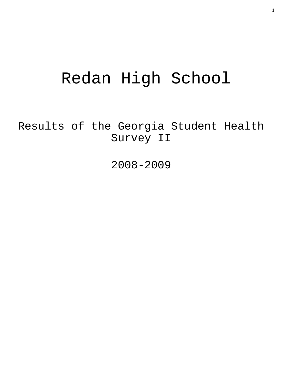# Redan High School

Results of the Georgia Student Health Survey II

2008-2009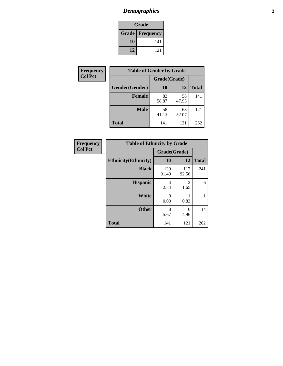# *Demographics* **2**

| Grade                  |     |  |  |  |
|------------------------|-----|--|--|--|
| <b>Grade Frequency</b> |     |  |  |  |
| 10                     | 141 |  |  |  |
| 12                     | 121 |  |  |  |

| <b>Frequency</b> | <b>Table of Gender by Grade</b> |              |             |              |  |  |
|------------------|---------------------------------|--------------|-------------|--------------|--|--|
| <b>Col Pct</b>   |                                 | Grade(Grade) |             |              |  |  |
|                  | Gender(Gender)                  | 10           | 12          | <b>Total</b> |  |  |
|                  | <b>Female</b>                   | 83<br>58.87  | 58<br>47.93 | 141          |  |  |
|                  | <b>Male</b>                     | 58<br>41.13  | 63<br>52.07 | 121          |  |  |
|                  | <b>Total</b>                    | 141          | 121         | 262          |  |  |

| <b>Frequency</b><br>Col Pct |
|-----------------------------|
|-----------------------------|

| <b>Table of Ethnicity by Grade</b> |              |              |              |  |  |  |
|------------------------------------|--------------|--------------|--------------|--|--|--|
|                                    | Grade(Grade) |              |              |  |  |  |
| <b>Ethnicity</b> (Ethnicity)       | 10           | 12           | <b>Total</b> |  |  |  |
| <b>Black</b>                       | 129<br>91.49 | 112<br>92.56 | 241          |  |  |  |
| <b>Hispanic</b>                    | 4<br>2.84    | 2<br>1.65    | 6            |  |  |  |
| White                              | 0<br>0.00    | 0.83         |              |  |  |  |
| <b>Other</b>                       | 8<br>5.67    | 6<br>4.96    | 14           |  |  |  |
| <b>Total</b>                       | 141          | 121          | 262          |  |  |  |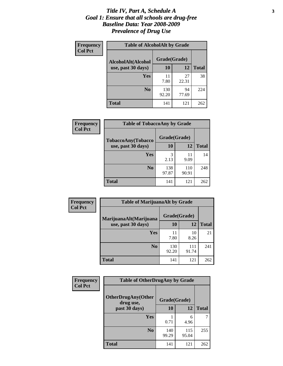#### *Title IV, Part A, Schedule A* **3** *Goal 1: Ensure that all schools are drug-free Baseline Data: Year 2008-2009 Prevalence of Drug Use*

| Frequency<br><b>Col Pct</b> | <b>Table of AlcoholAlt by Grade</b> |              |             |              |  |  |
|-----------------------------|-------------------------------------|--------------|-------------|--------------|--|--|
|                             | AlcoholAlt(Alcohol                  | Grade(Grade) |             |              |  |  |
|                             | use, past 30 days)                  | 10           | 12          | <b>Total</b> |  |  |
|                             | Yes                                 | 11<br>7.80   | 27<br>22.31 | 38           |  |  |
|                             | N <sub>0</sub>                      | 130<br>92.20 | 94<br>77.69 | 224          |  |  |
|                             | <b>Total</b>                        | 141          | 121         | 262          |  |  |

| <b>Frequency</b><br><b>Col Pct</b> | <b>Table of TobaccoAny by Grade</b> |              |              |              |  |
|------------------------------------|-------------------------------------|--------------|--------------|--------------|--|
|                                    | TobaccoAny(Tobacco                  | Grade(Grade) |              |              |  |
|                                    | use, past 30 days)                  | 10           | 12           | <b>Total</b> |  |
|                                    | Yes                                 | 3<br>2.13    | 11<br>9.09   | 14           |  |
|                                    | N <sub>0</sub>                      | 138<br>97.87 | 110<br>90.91 | 248          |  |
|                                    | Total                               | 141          | 121          | 262          |  |

| Frequency<br><b>Col Pct</b> | <b>Table of MarijuanaAlt by Grade</b> |              |              |              |  |  |
|-----------------------------|---------------------------------------|--------------|--------------|--------------|--|--|
|                             | MarijuanaAlt(Marijuana                | Grade(Grade) |              |              |  |  |
|                             | use, past 30 days)                    | <b>10</b>    | 12           | <b>Total</b> |  |  |
|                             | <b>Yes</b>                            | 11<br>7.80   | 10<br>8.26   | 21           |  |  |
|                             | N <sub>0</sub>                        | 130<br>92.20 | 111<br>91.74 | 241          |  |  |
|                             | <b>Total</b>                          | 141          | 121          | 262          |  |  |

| Frequency      | <b>Table of OtherDrugAny by Grade</b>  |              |              |              |  |
|----------------|----------------------------------------|--------------|--------------|--------------|--|
| <b>Col Pct</b> | <b>OtherDrugAny(Other</b><br>drug use, | Grade(Grade) |              |              |  |
|                | past 30 days)                          | 10           | 12           | <b>Total</b> |  |
|                | <b>Yes</b>                             | 0.71         | 6<br>4.96    | 7            |  |
|                | N <sub>0</sub>                         | 140<br>99.29 | 115<br>95.04 | 255          |  |
|                | <b>Total</b>                           | 141          | 121          | 262          |  |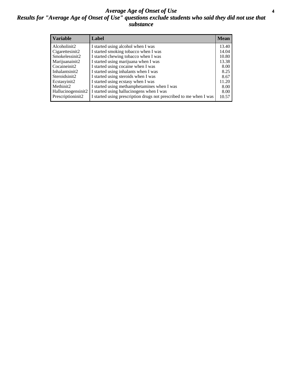#### *Average Age of Onset of Use* **4** *Results for "Average Age of Onset of Use" questions exclude students who said they did not use that substance*

| <b>Variable</b>    | Label                                                              | <b>Mean</b> |
|--------------------|--------------------------------------------------------------------|-------------|
| Alcoholinit2       | I started using alcohol when I was                                 | 13.40       |
| Cigarettesinit2    | I started smoking tobacco when I was                               | 14.04       |
| Smokelessinit2     | I started chewing tobacco when I was                               | 10.80       |
| Marijuanainit2     | I started using marijuana when I was                               | 13.38       |
| Cocaineinit2       | I started using cocaine when I was                                 | 8.00        |
| Inhalantsinit2     | I started using inhalants when I was                               | 8.25        |
| Steroidsinit2      | I started using steroids when I was                                | 8.67        |
| Ecstasyinit2       | I started using ecstasy when I was                                 | 11.20       |
| Methinit2          | I started using methamphetamines when I was                        | 8.00        |
| Hallucinogensinit2 | I started using hallucinogens when I was                           | 8.00        |
| Prescriptioninit2  | I started using prescription drugs not prescribed to me when I was | 10.57       |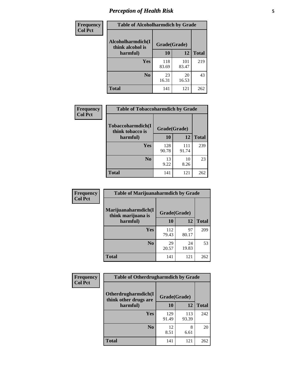# *Perception of Health Risk* **5**

| <b>Frequency</b> | <b>Table of Alcoholharmdich by Grade</b> |              |              |              |  |
|------------------|------------------------------------------|--------------|--------------|--------------|--|
| <b>Col Pct</b>   | Alcoholharmdich(I<br>think alcohol is    | Grade(Grade) |              |              |  |
|                  | harmful)                                 | 10           | 12           | <b>Total</b> |  |
|                  | Yes                                      | 118<br>83.69 | 101<br>83.47 | 219          |  |
|                  | N <sub>0</sub>                           | 23<br>16.31  | 20<br>16.53  | 43           |  |
|                  | <b>Total</b>                             | 141          | 121          | 262          |  |

| Frequency      | <b>Table of Tobaccoharmdich by Grade</b> |              |              |              |  |
|----------------|------------------------------------------|--------------|--------------|--------------|--|
| <b>Col Pct</b> | Tobaccoharmdich(I<br>think tobacco is    | Grade(Grade) |              |              |  |
|                | harmful)                                 | 10           | 12           | <b>Total</b> |  |
|                | Yes                                      | 128<br>90.78 | 111<br>91.74 | 239          |  |
|                | N <sub>0</sub>                           | 13<br>9.22   | 10<br>8.26   | 23           |  |
|                | <b>Total</b>                             | 141          | 121          | 262          |  |

| Frequency      | <b>Table of Marijuanaharmdich by Grade</b> |              |             |              |  |  |
|----------------|--------------------------------------------|--------------|-------------|--------------|--|--|
| <b>Col Pct</b> | Marijuanaharmdich(I<br>think marijuana is  | Grade(Grade) |             |              |  |  |
|                | harmful)                                   | 10           | 12          | <b>Total</b> |  |  |
|                | <b>Yes</b>                                 | 112<br>79.43 | 97<br>80.17 | 209          |  |  |
|                | N <sub>0</sub>                             | 29<br>20.57  | 24<br>19.83 | 53           |  |  |
|                | <b>Total</b>                               | 141          | 121         | 262          |  |  |

| Frequency      | <b>Table of Otherdrugharmdich by Grade</b>                   |              |              |              |  |
|----------------|--------------------------------------------------------------|--------------|--------------|--------------|--|
| <b>Col Pct</b> | Otherdrugharmdich(I<br>Grade(Grade)<br>think other drugs are |              |              |              |  |
|                | harmful)                                                     | 10           | 12           | <b>Total</b> |  |
|                | <b>Yes</b>                                                   | 129<br>91.49 | 113<br>93.39 | 242          |  |
|                | N <sub>0</sub>                                               | 12<br>8.51   | 8<br>6.61    | 20           |  |
|                | <b>Total</b>                                                 | 141          | 121          | 262          |  |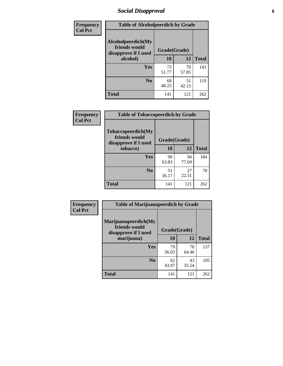# *Social Disapproval* **6**

| Frequency      | <b>Table of Alcoholpeerdich by Grade</b>                    |              |             |              |
|----------------|-------------------------------------------------------------|--------------|-------------|--------------|
| <b>Col Pct</b> | Alcoholpeerdich(My<br>friends would<br>disapprove if I used | Grade(Grade) |             |              |
|                | alcohol)                                                    | 10           | 12          | <b>Total</b> |
|                | <b>Yes</b>                                                  | 73<br>51.77  | 70<br>57.85 | 143          |
|                | N <sub>0</sub>                                              | 68<br>48.23  | 51<br>42.15 | 119          |
|                | <b>Total</b>                                                | 141          | 121         | 262          |

| <b>Frequency</b> |
|------------------|
| <b>Col Pct</b>   |

| <b>Table of Tobaccopeerdich by Grade</b>                            |              |             |              |  |
|---------------------------------------------------------------------|--------------|-------------|--------------|--|
| <b>Tobaccopeerdich</b> (My<br>friends would<br>disapprove if I used | Grade(Grade) |             |              |  |
| tobacco)                                                            | 10           | 12          | <b>Total</b> |  |
| Yes                                                                 | 90<br>63.83  | 94<br>77.69 | 184          |  |
| N <sub>0</sub>                                                      | 51<br>36.17  | 27<br>22.31 | 78           |  |
| <b>Total</b>                                                        | 141          | 121         | 262          |  |

| Frequency      | <b>Table of Marijuanapeerdich by Grade</b>                    |              |             |              |  |
|----------------|---------------------------------------------------------------|--------------|-------------|--------------|--|
| <b>Col Pct</b> | Marijuanapeerdich(My<br>friends would<br>disapprove if I used | Grade(Grade) |             |              |  |
|                | marijuana)                                                    | 10           | 12          | <b>Total</b> |  |
|                | <b>Yes</b>                                                    | 79<br>56.03  | 78<br>64.46 | 157          |  |
|                | N <sub>0</sub>                                                | 62<br>43.97  | 43<br>35.54 | 105          |  |
|                | <b>Total</b>                                                  | 141          | 121         | 262          |  |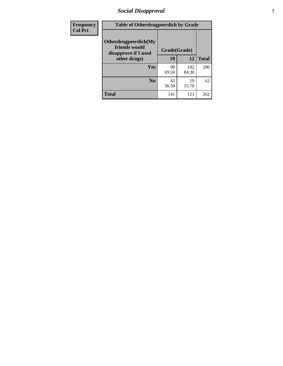# *Social Disapproval* **7**

| Frequency      | <b>Table of Otherdrugpeerdich by Grade</b>                    |              |              |              |  |
|----------------|---------------------------------------------------------------|--------------|--------------|--------------|--|
| <b>Col Pct</b> | Otherdrugpeerdich(My<br>friends would<br>disapprove if I used | Grade(Grade) |              |              |  |
|                | other drugs)                                                  | 10           | 12           | <b>Total</b> |  |
|                | Yes                                                           | 98<br>69.50  | 102<br>84.30 | 200          |  |
|                | N <sub>0</sub>                                                | 43<br>30.50  | 19<br>15.70  | 62           |  |
|                | <b>Total</b>                                                  | 141          | 121          | 262          |  |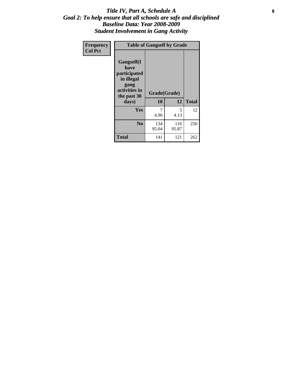### Title IV, Part A, Schedule A **8** *Goal 2: To help ensure that all schools are safe and disciplined Baseline Data: Year 2008-2009 Student Involvement in Gang Activity*

| Frequency      | <b>Table of Gangself by Grade</b>                                                                 |                    |              |              |
|----------------|---------------------------------------------------------------------------------------------------|--------------------|--------------|--------------|
| <b>Col Pct</b> | Gangself(I<br>have<br>participated<br>in illegal<br>gang<br>activities in<br>the past 30<br>days) | Grade(Grade)<br>10 | 12           | <b>Total</b> |
|                | Yes                                                                                               | 7<br>4.96          | 5<br>4.13    | 12           |
|                | N <sub>0</sub>                                                                                    | 134<br>95.04       | 116<br>95.87 | 250          |
|                | <b>Total</b>                                                                                      | 141                | 121          | 262          |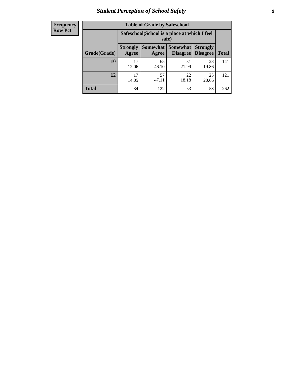# *Student Perception of School Safety* **9**

| <b>Frequency</b><br>Row Pct |
|-----------------------------|
|                             |

| <b>Table of Grade by Safeschool</b> |                          |                                                                                                          |             |             |     |  |  |  |
|-------------------------------------|--------------------------|----------------------------------------------------------------------------------------------------------|-------------|-------------|-----|--|--|--|
|                                     |                          | Safeschool (School is a place at which I feel<br>safe)                                                   |             |             |     |  |  |  |
| Grade(Grade)                        | <b>Strongly</b><br>Agree | Somewhat  <br><b>Somewhat</b><br><b>Strongly</b><br><b>Disagree</b><br>Disagree<br><b>Total</b><br>Agree |             |             |     |  |  |  |
| 10                                  | 17<br>12.06              | 65<br>46.10                                                                                              | 31<br>21.99 | 28<br>19.86 | 141 |  |  |  |
| 12                                  | 17<br>14.05              | 57<br>47.11                                                                                              | 22<br>18.18 | 25<br>20.66 | 121 |  |  |  |
| <b>Total</b>                        | 34                       | 122                                                                                                      | 53          | 53          | 262 |  |  |  |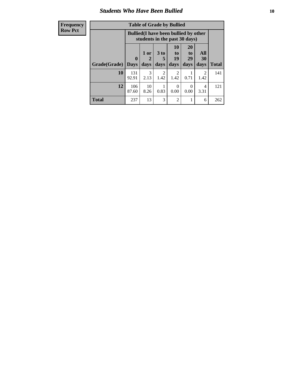### *Students Who Have Been Bullied* **10**

| <b>Frequency</b> | <b>Table of Grade by Bullied</b>                                              |              |            |                        |                                                                    |                       |           |              |
|------------------|-------------------------------------------------------------------------------|--------------|------------|------------------------|--------------------------------------------------------------------|-----------------------|-----------|--------------|
| <b>Row Pct</b>   | <b>Bullied</b> (I have been bullied by other<br>students in the past 30 days) |              |            |                        |                                                                    |                       |           |              |
|                  |                                                                               | 0            | 1 or<br>2  | 3 <sub>to</sub><br>5   | <b>10</b><br>$\mathbf{t}$ <sup><math>\mathbf{0}</math></sup><br>19 | <b>20</b><br>to<br>29 | All<br>30 |              |
|                  | Grade(Grade)                                                                  | <b>Days</b>  | days       | days                   | days                                                               | days                  | days      | <b>Total</b> |
|                  | 10                                                                            | 131<br>92.91 | 3<br>2.13  | $\mathfrak{D}$<br>1.42 | $\mathfrak{D}$<br>1.42                                             | 0.71                  | 2<br>1.42 | 141          |
|                  | 12                                                                            | 106<br>87.60 | 10<br>8.26 | 0.83                   | $\Omega$<br>0.00                                                   | 0<br>0.00             | 4<br>3.31 | 121          |
|                  | <b>Total</b>                                                                  | 237          | 13         | 3                      | $\overline{2}$                                                     |                       | 6         | 262          |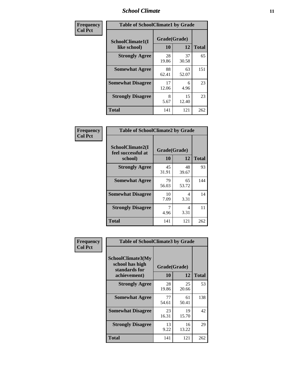### *School Climate* **11**

| Frequency      | <b>Table of SchoolClimate1 by Grade</b> |                    |             |              |  |  |
|----------------|-----------------------------------------|--------------------|-------------|--------------|--|--|
| <b>Col Pct</b> | SchoolClimate1(I<br>like school)        | Grade(Grade)<br>10 | 12          | <b>Total</b> |  |  |
|                | <b>Strongly Agree</b>                   | 28<br>19.86        | 37<br>30.58 | 65           |  |  |
|                | <b>Somewhat Agree</b>                   | 88<br>62.41        | 63<br>52.07 | 151          |  |  |
|                | <b>Somewhat Disagree</b>                | 17<br>12.06        | 6<br>4.96   | 23           |  |  |
|                | <b>Strongly Disagree</b>                | 8<br>5.67          | 15<br>12.40 | 23           |  |  |
|                | <b>Total</b>                            | 141                | 121         | 262          |  |  |

| Frequency      | <b>Table of SchoolClimate2 by Grade</b>           |             |                    |              |  |  |
|----------------|---------------------------------------------------|-------------|--------------------|--------------|--|--|
| <b>Col Pct</b> | SchoolClimate2(I<br>feel successful at<br>school) | <b>10</b>   | Grade(Grade)<br>12 | <b>Total</b> |  |  |
|                | <b>Strongly Agree</b>                             | 45<br>31.91 | 48<br>39.67        | 93           |  |  |
|                | <b>Somewhat Agree</b>                             | 79<br>56.03 | 65<br>53.72        | 144          |  |  |
|                | <b>Somewhat Disagree</b>                          | 10<br>7.09  | 4<br>3.31          | 14           |  |  |
|                | <b>Strongly Disagree</b>                          | 7<br>4.96   | 4<br>3.31          | 11           |  |  |
|                | <b>Total</b>                                      | 141         | 121                | 262          |  |  |

| Frequency      | <b>Table of SchoolClimate3 by Grade</b>                      |              |             |              |  |
|----------------|--------------------------------------------------------------|--------------|-------------|--------------|--|
| <b>Col Pct</b> | <b>SchoolClimate3(My</b><br>school has high<br>standards for | Grade(Grade) |             |              |  |
|                | achievement)                                                 | <b>10</b>    | 12          | <b>Total</b> |  |
|                | <b>Strongly Agree</b>                                        | 28<br>19.86  | 25<br>20.66 | 53           |  |
|                | <b>Somewhat Agree</b>                                        | 77<br>54.61  | 61<br>50.41 | 138          |  |
|                | <b>Somewhat Disagree</b>                                     | 23<br>16.31  | 19<br>15.70 | 42           |  |
|                | <b>Strongly Disagree</b>                                     | 13<br>9.22   | 16<br>13.22 | 29           |  |
|                | Total                                                        | 141          | 121         | 262          |  |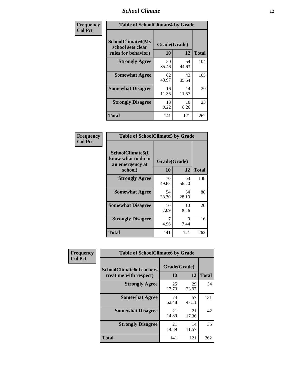### *School Climate* **12**

| Frequency      | <b>Table of SchoolClimate4 by Grade</b>                              |                    |             |              |
|----------------|----------------------------------------------------------------------|--------------------|-------------|--------------|
| <b>Col Pct</b> | <b>SchoolClimate4(My</b><br>school sets clear<br>rules for behavior) | Grade(Grade)<br>10 | 12          | <b>Total</b> |
|                | <b>Strongly Agree</b>                                                | 50<br>35.46        | 54<br>44.63 | 104          |
|                | <b>Somewhat Agree</b>                                                | 62<br>43.97        | 43<br>35.54 | 105          |
|                | <b>Somewhat Disagree</b>                                             | 16<br>11.35        | 14<br>11.57 | 30           |
|                | <b>Strongly Disagree</b>                                             | 13<br>9.22         | 10<br>8.26  | 23           |
|                | <b>Total</b>                                                         | 141                | 121         | 262          |

| <b>Table of SchoolClimate5 by Grade</b>                   |              |             |              |  |
|-----------------------------------------------------------|--------------|-------------|--------------|--|
| SchoolClimate5(I<br>know what to do in<br>an emergency at | Grade(Grade) |             |              |  |
| school)                                                   | 10           | 12          | <b>Total</b> |  |
| <b>Strongly Agree</b>                                     | 70<br>49.65  | 68<br>56.20 | 138          |  |
| <b>Somewhat Agree</b>                                     | 54<br>38.30  | 34<br>28.10 | 88           |  |
| <b>Somewhat Disagree</b>                                  | 10<br>7.09   | 10<br>8.26  | 20           |  |
| <b>Strongly Disagree</b>                                  | 4.96         | 9<br>7.44   | 16           |  |
| Total                                                     | 141          | 121         | 262          |  |

| Frequency      | <b>Table of SchoolClimate6 by Grade</b>                  |                    |             |              |
|----------------|----------------------------------------------------------|--------------------|-------------|--------------|
| <b>Col Pct</b> | <b>SchoolClimate6(Teachers</b><br>treat me with respect) | Grade(Grade)<br>10 | 12          | <b>Total</b> |
|                | <b>Strongly Agree</b>                                    | 25<br>17.73        | 29<br>23.97 | 54           |
|                | <b>Somewhat Agree</b>                                    | 74<br>52.48        | 57<br>47.11 | 131          |
|                | <b>Somewhat Disagree</b>                                 | 21<br>14.89        | 21<br>17.36 | 42           |
|                | <b>Strongly Disagree</b>                                 | 21<br>14.89        | 14<br>11.57 | 35           |
|                | <b>Total</b>                                             | 141                | 121         | 262          |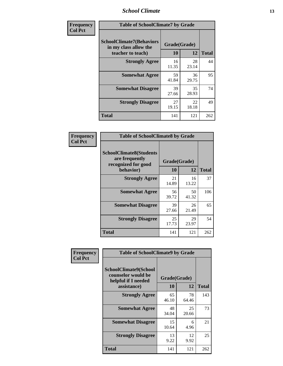### *School Climate* **13**

| Frequency      | <b>Table of SchoolClimate7 by Grade</b>                                       |                    |             |              |
|----------------|-------------------------------------------------------------------------------|--------------------|-------------|--------------|
| <b>Col Pct</b> | <b>SchoolClimate7(Behaviors</b><br>in my class allow the<br>teacher to teach) | Grade(Grade)<br>10 | 12          | <b>Total</b> |
|                | <b>Strongly Agree</b>                                                         | 16<br>11.35        | 28<br>23.14 | 44           |
|                | <b>Somewhat Agree</b>                                                         | 59<br>41.84        | 36<br>29.75 | 95           |
|                | <b>Somewhat Disagree</b>                                                      | 39<br>27.66        | 35<br>28.93 | 74           |
|                | <b>Strongly Disagree</b>                                                      | 27<br>19.15        | 22<br>18.18 | 49           |
|                | <b>Total</b>                                                                  | 141                | 121         | 262          |

| Frequency      | <b>Table of SchoolClimate8 by Grade</b>                                              |                    |             |              |
|----------------|--------------------------------------------------------------------------------------|--------------------|-------------|--------------|
| <b>Col Pct</b> | <b>SchoolClimate8(Students</b><br>are frequently<br>recognized for good<br>behavior) | Grade(Grade)<br>10 | 12          | <b>Total</b> |
|                | <b>Strongly Agree</b>                                                                | 21<br>14.89        | 16<br>13.22 | 37           |
|                | <b>Somewhat Agree</b>                                                                | 56<br>39.72        | 50<br>41.32 | 106          |
|                | <b>Somewhat Disagree</b>                                                             | 39<br>27.66        | 26<br>21.49 | 65           |
|                | <b>Strongly Disagree</b>                                                             | 25<br>17.73        | 29<br>23.97 | 54           |
|                | <b>Total</b>                                                                         | 141                | 121         | 262          |

| Frequency      | <b>Table of SchoolClimate9 by Grade</b>                                           |                    |             |              |
|----------------|-----------------------------------------------------------------------------------|--------------------|-------------|--------------|
| <b>Col Pct</b> | SchoolClimate9(School<br>counselor would be<br>helpful if I needed<br>assistance) | Grade(Grade)<br>10 | 12          | <b>Total</b> |
|                | <b>Strongly Agree</b>                                                             | 65<br>46.10        | 78<br>64.46 | 143          |
|                | <b>Somewhat Agree</b>                                                             | 48<br>34.04        | 25<br>20.66 | 73           |
|                | <b>Somewhat Disagree</b>                                                          | 15<br>10.64        | 6<br>4.96   | 21           |
|                | <b>Strongly Disagree</b>                                                          | 13<br>9.22         | 12<br>9.92  | 25           |
|                | Total                                                                             | 141                | 121         | 262          |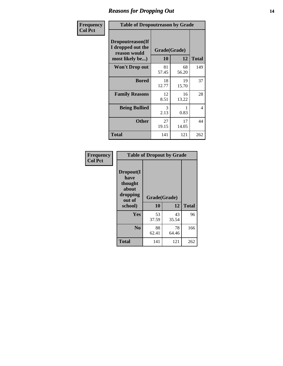### *Reasons for Dropping Out* **14**

| Frequency      | <b>Table of Dropoutreason by Grade</b>                                   |                    |             |              |
|----------------|--------------------------------------------------------------------------|--------------------|-------------|--------------|
| <b>Col Pct</b> | Dropoutreason(If<br>I dropped out the<br>reason would<br>most likely be) | Grade(Grade)<br>10 | 12          | <b>Total</b> |
|                | Won't Drop out                                                           | 81<br>57.45        | 68<br>56.20 | 149          |
|                | <b>Bored</b>                                                             | 18<br>12.77        | 19<br>15.70 | 37           |
|                | <b>Family Reasons</b>                                                    | 12<br>8.51         | 16<br>13.22 | 28           |
|                | <b>Being Bullied</b>                                                     | 3<br>2.13          | 0.83        | 4            |
|                | <b>Other</b>                                                             | 27<br>19.15        | 17<br>14.05 | 44           |
|                | <b>Total</b>                                                             | 141                | 121         | 262          |

| Frequency      |                                                                        | <b>Table of Dropout by Grade</b> |             |              |  |
|----------------|------------------------------------------------------------------------|----------------------------------|-------------|--------------|--|
| <b>Col Pct</b> | Dropout(I<br>have<br>thought<br>about<br>dropping<br>out of<br>school) | Grade(Grade)<br>10               | 12          | <b>Total</b> |  |
|                | Yes                                                                    | 53                               | 43          | 96           |  |
|                |                                                                        | 37.59                            | 35.54       |              |  |
|                | N <sub>0</sub>                                                         | 88<br>62.41                      | 78<br>64.46 | 166          |  |
|                | <b>Total</b>                                                           | 141                              | 121         | 262          |  |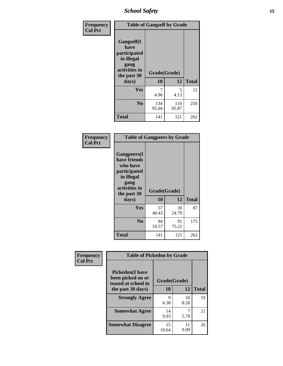*School Safety* **15**

| Frequency      | <b>Table of Gangself by Grade</b>                                                                 |                    |              |              |
|----------------|---------------------------------------------------------------------------------------------------|--------------------|--------------|--------------|
| <b>Col Pct</b> | Gangself(I<br>have<br>participated<br>in illegal<br>gang<br>activities in<br>the past 30<br>days) | Grade(Grade)<br>10 | 12           | <b>Total</b> |
|                | Yes                                                                                               | 7<br>4.96          | 5<br>4.13    | 12           |
|                | N <sub>0</sub>                                                                                    | 134<br>95.04       | 116<br>95.87 | 250          |
|                | <b>Total</b>                                                                                      | 141                | 121          | 262          |

| Frequency<br><b>Col Pct</b> | <b>Table of Gangpeers by Grade</b>                                                                                             |                    |             |              |  |
|-----------------------------|--------------------------------------------------------------------------------------------------------------------------------|--------------------|-------------|--------------|--|
|                             | <b>Gangpeers</b> (I<br>have friends<br>who have<br>participated<br>in illegal<br>gang<br>activities in<br>the past 30<br>days) | Grade(Grade)<br>10 | 12          | <b>Total</b> |  |
|                             | <b>Yes</b>                                                                                                                     | 57<br>40.43        | 30<br>24.79 | 87           |  |
|                             | N <sub>0</sub>                                                                                                                 | 84<br>59.57        | 91<br>75.21 | 175          |  |
|                             | <b>Total</b>                                                                                                                   | 141                | 121         | 262          |  |

| Frequency      | <b>Table of Pickedon by Grade</b>                                                       |                           |            |              |
|----------------|-----------------------------------------------------------------------------------------|---------------------------|------------|--------------|
| <b>Col Pct</b> | <b>Pickedon(I have</b><br>been picked on or<br>teased at school in<br>the past 30 days) | Grade(Grade)<br><b>10</b> | 12         | <b>Total</b> |
|                | <b>Strongly Agree</b>                                                                   | 9<br>6.38                 | 10<br>8.26 | 19           |
|                | <b>Somewhat Agree</b>                                                                   | 14<br>9.93                | 5.79       | 21           |
|                | <b>Somewhat Disagree</b>                                                                | 15<br>10.64               | 11<br>9.09 | 26           |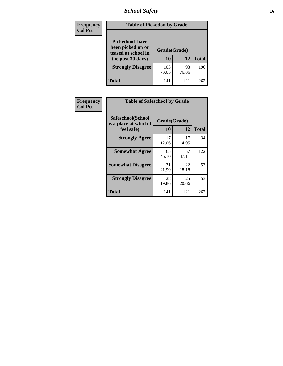# *School Safety* **16**

| <b>Frequency</b> | <b>Table of Pickedon by Grade</b>                                                        |                    |             |              |
|------------------|------------------------------------------------------------------------------------------|--------------------|-------------|--------------|
| <b>Col Pct</b>   | <b>Pickedon</b> (I have<br>been picked on or<br>teased at school in<br>the past 30 days) | Grade(Grade)<br>10 | 12          | <b>Total</b> |
|                  | <b>Strongly Disagree</b>                                                                 | 103<br>73.05       | 93<br>76.86 | 196          |
|                  | Total                                                                                    | 141                | 121         | 262          |

| Frequency      |                                                          | <b>Table of Safeschool by Grade</b> |             |              |  |  |  |  |  |  |
|----------------|----------------------------------------------------------|-------------------------------------|-------------|--------------|--|--|--|--|--|--|
| <b>Col Pct</b> | Safeschool(School<br>is a place at which I<br>feel safe) | Grade(Grade)<br>10                  | 12          | <b>Total</b> |  |  |  |  |  |  |
|                | <b>Strongly Agree</b>                                    | 17<br>12.06                         | 17<br>14.05 | 34           |  |  |  |  |  |  |
|                | <b>Somewhat Agree</b>                                    | 65<br>46.10                         | 57<br>47.11 | 122          |  |  |  |  |  |  |
|                | <b>Somewhat Disagree</b>                                 | 31<br>21.99                         | 22<br>18.18 | 53           |  |  |  |  |  |  |
|                | <b>Strongly Disagree</b>                                 | 28<br>19.86                         | 25<br>20.66 | 53           |  |  |  |  |  |  |
|                | Total                                                    | 141                                 | 121         | 262          |  |  |  |  |  |  |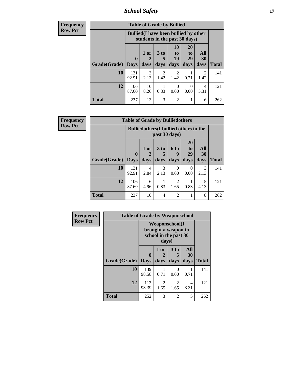*School Safety* **17**

| <b>Frequency</b> | <b>Table of Grade by Bullied</b> |              |                                                                               |                        |                          |                       |                        |              |  |  |
|------------------|----------------------------------|--------------|-------------------------------------------------------------------------------|------------------------|--------------------------|-----------------------|------------------------|--------------|--|--|
| <b>Row Pct</b>   |                                  |              | <b>Bullied</b> (I have been bullied by other<br>students in the past 30 days) |                        |                          |                       |                        |              |  |  |
|                  |                                  | $\mathbf 0$  | 1 or                                                                          | 3 <sub>to</sub><br>5   | 10<br>$\mathbf{t}$<br>19 | <b>20</b><br>to<br>29 | All<br><b>30</b>       |              |  |  |
|                  | Grade(Grade)                     | <b>Days</b>  | days                                                                          | days                   | days                     | days                  | days                   | <b>Total</b> |  |  |
|                  | 10                               | 131<br>92.91 | 3<br>2.13                                                                     | $\mathfrak{D}$<br>1.42 | $\mathfrak{D}$<br>1.42   | 0.71                  | $\overline{2}$<br>1.42 | 141          |  |  |
|                  | 12                               | 106<br>87.60 | 10<br>8.26                                                                    | 0.83                   | $\Omega$<br>0.00         | 0<br>0.00             | 4<br>3.31              | 121          |  |  |
|                  | <b>Total</b>                     | 237          | 13                                                                            | 3                      | $\overline{2}$           |                       | 6                      | 262          |  |  |

| Frequency      |                     | <b>Table of Grade by Bulliedothers</b> |                                                                |              |                        |                               |                   |              |  |
|----------------|---------------------|----------------------------------------|----------------------------------------------------------------|--------------|------------------------|-------------------------------|-------------------|--------------|--|
| <b>Row Pct</b> |                     |                                        | <b>Bulliedothers</b> (I bullied others in the<br>past 30 days) |              |                        |                               |                   |              |  |
|                | Grade(Grade)   Days | $\bf{0}$                               | 1 or<br>days                                                   | 3 to<br>days | 6 to<br>9<br>days      | <b>20</b><br>to<br>29<br>days | All<br>30<br>days | <b>Total</b> |  |
|                | 10                  | 131<br>92.91                           | 4<br>2.84                                                      | 3<br>2.13    | 0<br>0.00              | $\Omega$<br>0.00              | 3<br>2.13         | 141          |  |
|                | 12                  | 106<br>87.60                           | 6<br>4.96                                                      | 0.83         | $\mathfrak{D}$<br>1.65 | 0.83                          | 5<br>4.13         | 121          |  |
|                | <b>Total</b>        | 237                                    | 10                                                             | 4            | $\overline{c}$         |                               | 8                 | 262          |  |

| Frequency      |              |                             |                   | <b>Table of Grade by Weaponschool</b>                                  |                   |              |  |  |  |  |  |  |
|----------------|--------------|-----------------------------|-------------------|------------------------------------------------------------------------|-------------------|--------------|--|--|--|--|--|--|
| <b>Row Pct</b> |              |                             | days)             | <b>Weaponschool</b> (I<br>brought a weapon to<br>school in the past 30 |                   |              |  |  |  |  |  |  |
|                | Grade(Grade) | $\mathbf{0}$<br><b>Days</b> | 1 or<br>2<br>days | 3 to<br>5<br>days                                                      | All<br>30<br>days | <b>Total</b> |  |  |  |  |  |  |
|                | 10           | 139<br>98.58                | 0.71              | 0<br>0.00                                                              | 0.71              | 141          |  |  |  |  |  |  |
|                | 12           | 113<br>93.39                | 2<br>1.65         | 2<br>1.65                                                              | 4<br>3.31         | 121          |  |  |  |  |  |  |
|                | <b>Total</b> | 252                         | 3                 | $\overline{2}$                                                         | 5                 | 262          |  |  |  |  |  |  |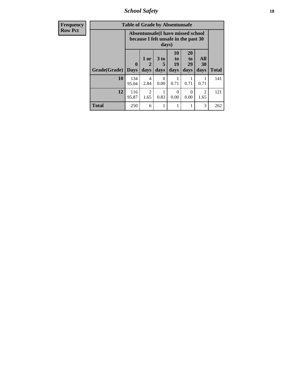*School Safety* **18**

| <b>Frequency</b> | <b>Table of Grade by Absentunsafe</b> |                                                                           |                        |                              |                                  |                        |                        |              |
|------------------|---------------------------------------|---------------------------------------------------------------------------|------------------------|------------------------------|----------------------------------|------------------------|------------------------|--------------|
| <b>Row Pct</b>   |                                       | Absentunsafe(I have missed school<br>because I felt unsafe in the past 30 |                        |                              |                                  |                        |                        |              |
|                  | Grade(Grade)                          | $\mathbf 0$<br><b>Days</b>                                                | 1 or<br>2<br>days      | 3 <sub>to</sub><br>5<br>days | 10<br>$\mathbf{t}$<br>19<br>days | 20<br>to<br>29<br>days | All<br>30<br>days      | <b>Total</b> |
|                  | 10                                    | 134<br>95.04                                                              | 4<br>2.84              | 0<br>0.00                    | 0.71                             | 0.71                   | 0.71                   | 141          |
|                  | 12                                    | 116<br>95.87                                                              | $\mathfrak{D}$<br>1.65 | 0.83                         | 0<br>0.00                        | $\Omega$<br>0.00       | $\mathfrak{D}$<br>1.65 | 121          |
|                  | <b>Total</b>                          | 250                                                                       | 6                      |                              |                                  |                        | 3                      | 262          |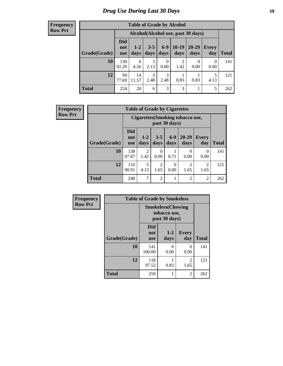# *Drug Use During Last 30 Days* **19**

#### **Frequency Row Pct**

| <b>Table of Grade by Alcohol</b> |                                 |                                    |                       |                  |                 |                   |              |       |  |  |
|----------------------------------|---------------------------------|------------------------------------|-----------------------|------------------|-----------------|-------------------|--------------|-------|--|--|
|                                  |                                 | Alcohol(Alcohol use, past 30 days) |                       |                  |                 |                   |              |       |  |  |
| Grade(Grade)                     | <b>Did</b><br>not<br><b>use</b> | $1-2$<br>days                      | $3 - 5$<br>days       | $6 - 9$<br>days  | $10-19$<br>days | $20 - 29$<br>days | Every<br>day | Total |  |  |
| 10                               | 130<br>92.20                    | 6<br>4.26                          | 3<br>2.13             | $\Omega$<br>0.00 | 2<br>1.42       | 0<br>0.00         | 0<br>0.00    | 141   |  |  |
| 12                               | 94<br>77.69                     | 14<br>11.57                        | $\mathcal{F}$<br>2.48 | 3<br>2.48        | 0.83            | 0.83              | 5<br>4.13    | 121   |  |  |
| <b>Total</b>                     | 224                             | 20                                 | 6                     | 3                | 3               |                   | 5            | 262   |  |  |

| <b>Frequency</b> |              | <b>Table of Grade by Cigarettes</b> |                                                   |                        |                  |                        |                        |              |  |
|------------------|--------------|-------------------------------------|---------------------------------------------------|------------------------|------------------|------------------------|------------------------|--------------|--|
| <b>Row Pct</b>   |              |                                     | Cigarettes (Smoking tobacco use,<br>past 30 days) |                        |                  |                        |                        |              |  |
|                  | Grade(Grade) | <b>Did</b><br>not<br><b>use</b>     | $1-2$<br>days                                     | $3 - 5$<br>days        | $6-9$<br>days    | $20 - 29$<br>days      | Every<br>day           | <b>Total</b> |  |
|                  | 10           | 138<br>97.87                        | $\mathfrak{D}$<br>1.42                            | 0<br>0.00              | 0.71             | $\Omega$<br>0.00       | 0<br>0.00              | 141          |  |
|                  | 12           | 110<br>90.91                        | 5<br>4.13                                         | $\overline{c}$<br>1.65 | $\theta$<br>0.00 | $\overline{2}$<br>1.65 | $\overline{c}$<br>1.65 | 121          |  |
|                  | <b>Total</b> | 248                                 | 7                                                 | $\overline{2}$         |                  | 2                      | $\overline{2}$         | 262          |  |

| Frequency      |              | <b>Table of Grade by Smokeless</b>                        |               |                        |              |  |  |
|----------------|--------------|-----------------------------------------------------------|---------------|------------------------|--------------|--|--|
| <b>Row Pct</b> |              | <b>Smokeless(Chewing</b><br>tobacco use,<br>past 30 days) |               |                        |              |  |  |
|                | Grade(Grade) | <b>Did</b><br>not<br><b>use</b>                           | $1-2$<br>days | <b>Every</b><br>day    | <b>Total</b> |  |  |
|                | 10           | 141<br>100.00                                             | 0<br>0.00     | 0<br>0.00              | 141          |  |  |
|                | 12           | 118<br>97.52                                              | 0.83          | $\overline{2}$<br>1.65 | 121          |  |  |
|                | <b>Total</b> | 259                                                       |               | 2                      | 262          |  |  |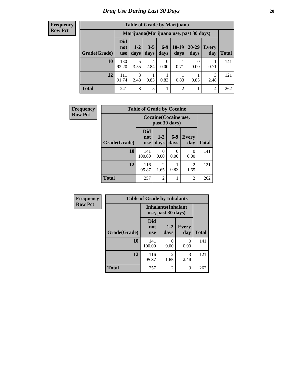#### **Frequency Row Pct**

| <b>Table of Grade by Marijuana</b> |                                 |                                         |                 |                  |                 |               |              |       |  |  |
|------------------------------------|---------------------------------|-----------------------------------------|-----------------|------------------|-----------------|---------------|--------------|-------|--|--|
|                                    |                                 | Marijuana (Marijuana use, past 30 days) |                 |                  |                 |               |              |       |  |  |
| Grade(Grade)                       | <b>Did</b><br>not<br><b>use</b> | $1 - 2$<br>days                         | $3 - 5$<br>days | $6 - 9$<br>days  | $10-19$<br>days | 20-29<br>days | Every<br>day | Total |  |  |
| 10                                 | 130<br>92.20                    | 5<br>3.55                               | 4<br>2.84       | $\theta$<br>0.00 | 0.71            | 0<br>0.00     | 0.71         | 141   |  |  |
| 12                                 | 111<br>91.74                    | 3<br>2.48                               | 0.83            | 0.83             | 0.83            | 0.83          | 3<br>2.48    | 121   |  |  |
| <b>Total</b>                       | 241                             | 8                                       | 5               | 1                | $\overline{2}$  |               | 4            | 262   |  |  |

| Frequency      |              | <b>Table of Grade by Cocaine</b> |                                        |                  |                        |              |  |  |
|----------------|--------------|----------------------------------|----------------------------------------|------------------|------------------------|--------------|--|--|
| <b>Row Pct</b> |              |                                  | Cocaine (Cocaine use,<br>past 30 days) |                  |                        |              |  |  |
|                | Grade(Grade) | <b>Did</b><br>not<br><b>use</b>  | $1-2$<br>days                          | $6-9$<br>days    | <b>Every</b><br>day    | <b>Total</b> |  |  |
|                | 10           | 141<br>100.00                    | $\Omega$<br>0.00                       | $\Omega$<br>0.00 | $\theta$<br>0.00       | 141          |  |  |
|                | 12           | 116<br>95.87                     | $\overline{2}$<br>1.65                 | 0.83             | $\overline{2}$<br>1.65 | 121          |  |  |
|                | <b>Total</b> | 257                              | $\overline{2}$                         |                  | $\mathfrak{D}$         | 262          |  |  |

| Frequency      | <b>Table of Grade by Inhalants</b> |                                 |                            |                     |              |
|----------------|------------------------------------|---------------------------------|----------------------------|---------------------|--------------|
| <b>Row Pct</b> |                                    | use, past 30 days)              | <b>Inhalants</b> (Inhalant |                     |              |
|                | Grade(Grade)                       | <b>Did</b><br>not<br><b>use</b> | $1 - 2$<br>days            | <b>Every</b><br>day | <b>Total</b> |
|                | 10                                 | 141<br>100.00                   | 0<br>0.00                  | 0<br>0.00           | 141          |
|                | 12                                 | 116<br>95.87                    | 2<br>1.65                  | 3<br>2.48           | 121          |
|                | <b>Total</b>                       | 257                             | $\overline{2}$             | 3                   | 262          |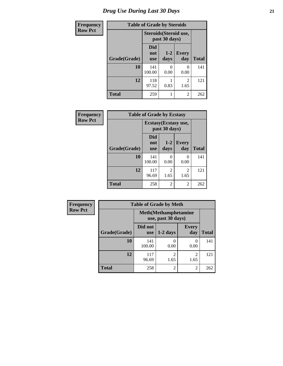| <b>Frequency</b> | <b>Table of Grade by Steroids</b> |                                 |                                         |                        |              |
|------------------|-----------------------------------|---------------------------------|-----------------------------------------|------------------------|--------------|
| <b>Row Pct</b>   |                                   |                                 | Steroids (Steroid use,<br>past 30 days) |                        |              |
|                  | Grade(Grade)                      | <b>Did</b><br>not<br><b>use</b> | $1-2$<br>days                           | <b>Every</b><br>day    | <b>Total</b> |
|                  | 10                                | 141<br>100.00                   | $\mathbf{\Omega}$<br>0.00               | 0<br>0.00              | 141          |
|                  | 12                                | 118<br>97.52                    | 0.83                                    | $\overline{c}$<br>1.65 | 121          |
|                  | <b>Total</b>                      | 259                             |                                         | $\overline{2}$         | 262          |

| Frequency      | <b>Table of Grade by Ecstasy</b>              |                          |                  |                     |              |
|----------------|-----------------------------------------------|--------------------------|------------------|---------------------|--------------|
| <b>Row Pct</b> | <b>Ecstasy</b> (Ecstasy use,<br>past 30 days) |                          |                  |                     |              |
|                | Grade(Grade)                                  | Did<br>not<br><b>use</b> | $1-2$<br>days    | <b>Every</b><br>day | <b>Total</b> |
|                | 10                                            | 141<br>100.00            | $\Omega$<br>0.00 | 0<br>0.00           | 141          |
|                | 12                                            | 117<br>96.69             | 2<br>1.65        | 2<br>1.65           | 121          |
|                | <b>Total</b>                                  | 258                      | 2                | 2                   | 262          |

| Frequency      | <b>Table of Grade by Meth</b> |                       |                                                    |                        |              |
|----------------|-------------------------------|-----------------------|----------------------------------------------------|------------------------|--------------|
| <b>Row Pct</b> |                               |                       | <b>Meth</b> (Methamphetamine<br>use, past 30 days) |                        |              |
|                | Grade(Grade)                  | Did not<br><b>use</b> | $1-2$ days                                         | <b>Every</b><br>day    | <b>Total</b> |
|                | 10                            | 141<br>100.00         | 0.00                                               | $\Omega$<br>0.00       | 141          |
|                | 12                            | 117<br>96.69          | $\mathfrak{D}$<br>1.65                             | $\mathfrak{D}$<br>1.65 | 121          |
|                | <b>Total</b>                  | 258                   | $\overline{2}$                                     | $\mathfrak{D}$         | 262          |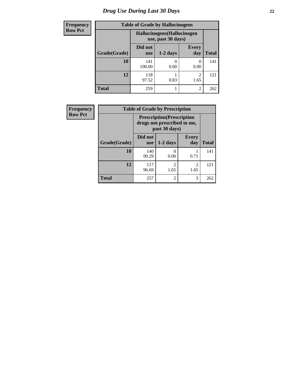# *Drug Use During Last 30 Days* **22**

| <b>Frequency</b> | <b>Table of Grade by Hallucinogens</b> |                                                   |            |                                     |              |
|------------------|----------------------------------------|---------------------------------------------------|------------|-------------------------------------|--------------|
| <b>Row Pct</b>   |                                        | Hallucinogens (Hallucinogen<br>use, past 30 days) |            |                                     |              |
|                  | Grade(Grade)                           | Did not<br><b>use</b>                             | $1-2$ days | <b>Every</b><br>day                 | <b>Total</b> |
|                  | 10                                     | 141<br>100.00                                     | 0<br>0.00  | 0.00                                | 141          |
|                  | 12                                     | 118<br>97.52                                      | 0.83       | $\mathcal{D}_{\mathcal{A}}$<br>1.65 | 121          |
|                  | <b>Total</b>                           | 259                                               |            | $\mathfrak{D}$                      | 262          |

| <b>Frequency</b> | <b>Table of Grade by Prescription</b> |                                                                                   |                        |                        |              |
|------------------|---------------------------------------|-----------------------------------------------------------------------------------|------------------------|------------------------|--------------|
| <b>Row Pct</b>   |                                       | <b>Prescription</b> (Prescription<br>drugs not prescribed to me,<br>past 30 days) |                        |                        |              |
|                  | Grade(Grade)                          | Did not<br><b>use</b>                                                             | $1-2$ days             | <b>Every</b><br>day    | <b>Total</b> |
|                  | 10                                    | 140<br>99.29                                                                      | $\Omega$<br>0.00       | 0.71                   | 141          |
|                  | 12                                    | 117<br>96.69                                                                      | $\overline{c}$<br>1.65 | $\overline{c}$<br>1.65 | 121          |
|                  | <b>Total</b>                          | 257                                                                               | $\overline{2}$         | 3                      | 262          |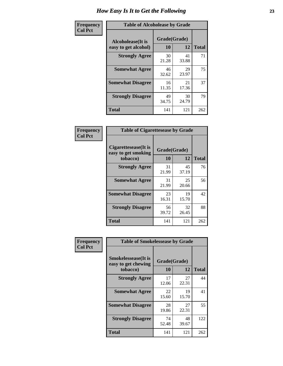| Frequency      | <b>Table of Alcoholease by Grade</b>              |                    |             |              |
|----------------|---------------------------------------------------|--------------------|-------------|--------------|
| <b>Col Pct</b> | <b>Alcoholease</b> (It is<br>easy to get alcohol) | Grade(Grade)<br>10 | 12          | <b>Total</b> |
|                | <b>Strongly Agree</b>                             | 30<br>21.28        | 41<br>33.88 | 71           |
|                | <b>Somewhat Agree</b>                             | 46<br>32.62        | 29<br>23.97 | 75           |
|                | <b>Somewhat Disagree</b>                          | 16<br>11.35        | 21<br>17.36 | 37           |
|                | <b>Strongly Disagree</b>                          | 49<br>34.75        | 30<br>24.79 | 79           |
|                | <b>Total</b>                                      | 141                | 121         | 262          |

| Frequency      | <b>Table of Cigarettesease by Grade</b>                  |                    |             |              |
|----------------|----------------------------------------------------------|--------------------|-------------|--------------|
| <b>Col Pct</b> | Cigarettesease (It is<br>easy to get smoking<br>tobacco) | Grade(Grade)<br>10 | 12          | <b>Total</b> |
|                | <b>Strongly Agree</b>                                    | 31<br>21.99        | 45<br>37.19 | 76           |
|                | <b>Somewhat Agree</b>                                    | 31<br>21.99        | 25<br>20.66 | 56           |
|                | <b>Somewhat Disagree</b>                                 | 23<br>16.31        | 19<br>15.70 | 42           |
|                | <b>Strongly Disagree</b>                                 | 56<br>39.72        | 32<br>26.45 | 88           |
|                | <b>Total</b>                                             | 141                | 121         | 262          |

| Frequency      | <b>Table of Smokelessease by Grade</b>                         |                    |             |              |  |
|----------------|----------------------------------------------------------------|--------------------|-------------|--------------|--|
| <b>Col Pct</b> | <b>Smokelessease</b> (It is<br>easy to get chewing<br>tobacco) | Grade(Grade)<br>10 | 12          | <b>Total</b> |  |
|                | <b>Strongly Agree</b>                                          | 17<br>12.06        | 27<br>22.31 | 44           |  |
|                | <b>Somewhat Agree</b>                                          | 22<br>15.60        | 19<br>15.70 | 41           |  |
|                | <b>Somewhat Disagree</b>                                       | 28<br>19.86        | 27<br>22.31 | 55           |  |
|                | <b>Strongly Disagree</b>                                       | 74<br>52.48        | 48<br>39.67 | 122          |  |
|                | Total                                                          | 141                | 121         | 262          |  |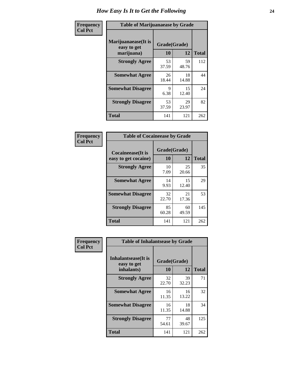| Frequency      | <b>Table of Marijuanaease by Grade</b>            |                           |             |              |
|----------------|---------------------------------------------------|---------------------------|-------------|--------------|
| <b>Col Pct</b> | Marijuanaease (It is<br>easy to get<br>marijuana) | Grade(Grade)<br><b>10</b> | 12          | <b>Total</b> |
|                | <b>Strongly Agree</b>                             | 53<br>37.59               | 59<br>48.76 | 112          |
|                | <b>Somewhat Agree</b>                             | 26<br>18.44               | 18<br>14.88 | 44           |
|                | <b>Somewhat Disagree</b>                          | 9<br>6.38                 | 15<br>12.40 | 24           |
|                | <b>Strongly Disagree</b>                          | 53<br>37.59               | 29<br>23.97 | 82           |
|                | <b>Total</b>                                      | 141                       | 121         | 262          |

| <b>Table of Cocaineease by Grade</b>              |                    |                   |     |  |  |
|---------------------------------------------------|--------------------|-------------------|-----|--|--|
| <b>Cocaineease</b> (It is<br>easy to get cocaine) | Grade(Grade)<br>10 | <b>Total</b>      |     |  |  |
| <b>Strongly Agree</b>                             | 10<br>7.09         | 12<br>25<br>20.66 | 35  |  |  |
| <b>Somewhat Agree</b>                             | 14<br>9.93         | 15<br>12.40       | 29  |  |  |
| <b>Somewhat Disagree</b>                          | 32<br>22.70        | 21<br>17.36       | 53  |  |  |
| <b>Strongly Disagree</b>                          | 85<br>60.28        | 60<br>49.59       | 145 |  |  |
| <b>Total</b>                                      | 141                | 121               | 262 |  |  |

| Frequency      | <b>Table of Inhalantsease by Grade</b>                   |                           |             |              |
|----------------|----------------------------------------------------------|---------------------------|-------------|--------------|
| <b>Col Pct</b> | <b>Inhalantsease</b> (It is<br>easy to get<br>inhalants) | Grade(Grade)<br><b>10</b> | 12          | <b>Total</b> |
|                | <b>Strongly Agree</b>                                    | 32<br>22.70               | 39<br>32.23 | 71           |
|                | <b>Somewhat Agree</b>                                    | 16<br>11.35               | 16<br>13.22 | 32           |
|                | <b>Somewhat Disagree</b>                                 | 16<br>11.35               | 18<br>14.88 | 34           |
|                | <b>Strongly Disagree</b>                                 | 77<br>54.61               | 48<br>39.67 | 125          |
|                | <b>Total</b>                                             | 141                       | 121         | 262          |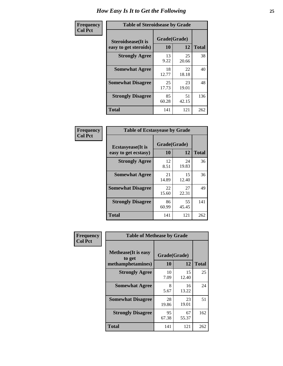| Frequency      | <b>Table of Steroidsease by Grade</b>               |                    |             |              |
|----------------|-----------------------------------------------------|--------------------|-------------|--------------|
| <b>Col Pct</b> | <b>Steroidsease</b> (It is<br>easy to get steroids) | Grade(Grade)<br>10 | 12          | <b>Total</b> |
|                | <b>Strongly Agree</b>                               | 13<br>9.22         | 25<br>20.66 | 38           |
|                | <b>Somewhat Agree</b>                               | 18<br>12.77        | 22<br>18.18 | 40           |
|                | <b>Somewhat Disagree</b>                            | 25<br>17.73        | 23<br>19.01 | 48           |
|                | <b>Strongly Disagree</b>                            | 85<br>60.28        | 51<br>42.15 | 136          |
|                | <b>Total</b>                                        | 141                | 121         | 262          |

| Frequency      | <b>Table of Ecstasyease by Grade</b>              |                    |             |              |  |  |  |  |  |
|----------------|---------------------------------------------------|--------------------|-------------|--------------|--|--|--|--|--|
| <b>Col Pct</b> | <b>Ecstasyease</b> (It is<br>easy to get ecstasy) | Grade(Grade)<br>10 | 12          | <b>Total</b> |  |  |  |  |  |
|                | <b>Strongly Agree</b>                             | 12<br>8.51         | 24<br>19.83 | 36           |  |  |  |  |  |
|                | <b>Somewhat Agree</b>                             | 21<br>14.89        | 15<br>12.40 | 36           |  |  |  |  |  |
|                | <b>Somewhat Disagree</b>                          | 22<br>15.60        | 27<br>22.31 | 49           |  |  |  |  |  |
|                | <b>Strongly Disagree</b>                          | 86<br>60.99        | 55<br>45.45 | 141          |  |  |  |  |  |
|                | <b>Total</b>                                      | 141                | 121         | 262          |  |  |  |  |  |

| Frequency      | <b>Table of Methease by Grade</b>                          |                    |             |              |  |  |  |  |  |  |
|----------------|------------------------------------------------------------|--------------------|-------------|--------------|--|--|--|--|--|--|
| <b>Col Pct</b> | <b>Methease</b> (It is easy<br>to get<br>methamphetamines) | Grade(Grade)<br>10 | 12          | <b>Total</b> |  |  |  |  |  |  |
|                | <b>Strongly Agree</b>                                      | 10<br>7.09         | 15<br>12.40 | 25           |  |  |  |  |  |  |
|                | <b>Somewhat Agree</b>                                      | 8<br>5.67          | 16<br>13.22 | 24           |  |  |  |  |  |  |
|                | <b>Somewhat Disagree</b>                                   | 28<br>19.86        | 23<br>19.01 | 51           |  |  |  |  |  |  |
|                | <b>Strongly Disagree</b>                                   | 95<br>67.38        | 67<br>55.37 | 162          |  |  |  |  |  |  |
|                | Total                                                      | 141                | 121         | 262          |  |  |  |  |  |  |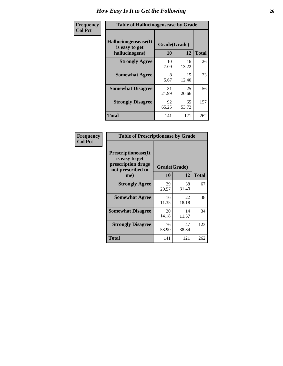| <b>Frequency</b> | <b>Table of Hallucinogensease by Grade</b>               |                    |             |              |
|------------------|----------------------------------------------------------|--------------------|-------------|--------------|
| <b>Col Pct</b>   | Hallucinogensease(It<br>is easy to get<br>hallucinogens) | Grade(Grade)<br>10 | 12          | <b>Total</b> |
|                  | <b>Strongly Agree</b>                                    | 10<br>7.09         | 16<br>13.22 | 26           |
|                  | <b>Somewhat Agree</b>                                    | 8<br>5.67          | 15<br>12.40 | 23           |
|                  | <b>Somewhat Disagree</b>                                 | 31<br>21.99        | 25<br>20.66 | 56           |
|                  | <b>Strongly Disagree</b>                                 | 92<br>65.25        | 65<br>53.72 | 157          |
|                  | <b>Total</b>                                             | 141                | 121         | 262          |

| Frequency<br>  Col Pct |
|------------------------|
|                        |

| <b>Table of Prescriptionease by Grade</b>                                                |             |              |              |  |  |  |
|------------------------------------------------------------------------------------------|-------------|--------------|--------------|--|--|--|
| <b>Prescriptionease</b> (It<br>is easy to get<br>prescription drugs<br>not prescribed to |             | Grade(Grade) |              |  |  |  |
| me)                                                                                      | 10          | 12           | <b>Total</b> |  |  |  |
| <b>Strongly Agree</b>                                                                    | 29<br>20.57 | 38<br>31.40  | 67           |  |  |  |
| <b>Somewhat Agree</b>                                                                    | 16<br>11.35 | 22<br>18.18  | 38           |  |  |  |
| <b>Somewhat Disagree</b>                                                                 | 20<br>14.18 | 14<br>11.57  | 34           |  |  |  |
| <b>Strongly Disagree</b>                                                                 | 76<br>53.90 | 47<br>38.84  | 123          |  |  |  |
| <b>Total</b>                                                                             | 141         | 121          | 262          |  |  |  |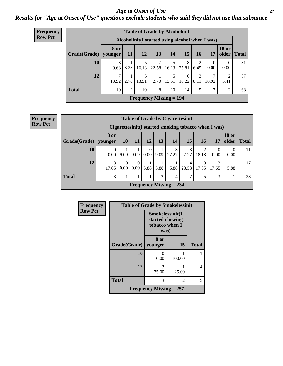### *Age at Onset of Use* **27** *Results for "Age at Onset of Use" questions exclude students who said they did not use that substance*

| Frequency      | <b>Table of Grade by Alcoholinit</b>             |                        |                |                   |                 |                |            |           |                  |                  |               |
|----------------|--------------------------------------------------|------------------------|----------------|-------------------|-----------------|----------------|------------|-----------|------------------|------------------|---------------|
| <b>Row Pct</b> | Alcoholinit (I started using alcohol when I was) |                        |                |                   |                 |                |            |           |                  |                  |               |
|                | Grade(Grade)                                     | <b>8 or</b><br>younger | 11             | <b>12</b>         | 13 <sup>1</sup> | <b>14</b>      | 15         | <b>16</b> | <b>17</b>        | <b>18 or</b>     | older   Total |
|                | 10                                               | 9.68                   | 3.23           | 16.13             | 22.58           | 16.13          | 8<br>25.81 | 2<br>6.45 | $\Omega$<br>0.00 | $\theta$<br>0.00 | 31            |
|                | 12                                               | ⇁<br>18.92             |                | 5<br>$2.70$ 13.51 |                 | $2.70$   13.51 | 6<br>16.22 | 3<br>8.11 | 18.92            | 2<br>5.41        | 37            |
|                | <b>Total</b>                                     | 10                     | $\overline{2}$ | 10                | 8               | 10             | 14         | 5         | $\mathcal{L}$    | $\overline{2}$   | 68            |
|                | <b>Frequency Missing = 194</b>                   |                        |                |                   |                 |                |            |           |                  |                  |               |

#### **Frequency Row Pct**

| <b>Table of Grade by Cigarettesinit</b> |                 |                  |                               |           |                |                                                       |            |            |            |                       |              |
|-----------------------------------------|-----------------|------------------|-------------------------------|-----------|----------------|-------------------------------------------------------|------------|------------|------------|-----------------------|--------------|
|                                         |                 |                  |                               |           |                | Cigarettesinit (I started smoking tobacco when I was) |            |            |            |                       |              |
| Grade(Grade)                            | 8 or<br>younger | <b>10</b>        | 11                            | 12        | 13             | <b>14</b>                                             | 15         | 16         | 17         | <b>18 or</b><br>older | <b>Total</b> |
| 10                                      | 0<br>$0.00\,$   | 9.09             | 9.09                          | 0<br>0.00 | 9.09           | 3<br>27.27                                            | 3<br>27.27 | 2<br>18.18 | 0.00       | 0.00                  |              |
| 12                                      | 3<br>17.65      | $\Omega$<br>0.00 | $\Omega$<br>0.00 <sub>1</sub> | 5.88      | 5.88           | 5.88                                                  | 4<br>23.53 | 3<br>17.65 | 3<br>17.65 | 5.88                  | 17           |
| <b>Total</b>                            | 3               |                  |                               |           | $\overline{2}$ | $\overline{4}$                                        | 7          | 5          | 3          |                       | 28           |
|                                         |                 |                  |                               |           |                | <b>Frequency Missing = 234</b>                        |            |            |            |                       |              |

| Frequency      | <b>Table of Grade by Smokelessinit</b> |                                                              |        |              |
|----------------|----------------------------------------|--------------------------------------------------------------|--------|--------------|
| <b>Row Pct</b> |                                        | Smokelessinit(I<br>started chewing<br>tobacco when I<br>was) |        |              |
|                | Grade(Grade)                           | 8 or<br>younger                                              | 15     | <b>Total</b> |
|                | 10                                     | 0<br>0.00                                                    | 100.00 |              |
|                | 12                                     | 3<br>75.00                                                   | 25.00  | 4            |
|                | <b>Total</b>                           | 3                                                            | 2      | 5            |
|                |                                        | Frequency Missing $= 257$                                    |        |              |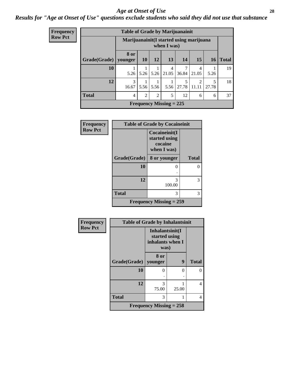#### *Age at Onset of Use* **28**

### *Results for "Age at Onset of Use" questions exclude students who said they did not use that substance*

| <b>Frequency</b><br>Row Pct |  |
|-----------------------------|--|
|                             |  |

| <b>Table of Grade by Marijuanainit</b> |                 |                                                         |                |            |            |                         |            |              |  |
|----------------------------------------|-----------------|---------------------------------------------------------|----------------|------------|------------|-------------------------|------------|--------------|--|
|                                        |                 | Marijuanainit (I started using marijuana<br>when I was) |                |            |            |                         |            |              |  |
| Grade(Grade)                           | 8 or<br>younger | <b>10</b>                                               | 12             | 13         | 14         | 15                      | 16         | <b>Total</b> |  |
| 10                                     | 5.26            | 5.26                                                    | 5.26           | 4<br>21.05 | 7<br>36.84 | 4<br>21.05              | 5.26       | 19           |  |
| 12                                     | 3<br>16.67      | 5.56                                                    | 5.56           | 5.56       | 5<br>27.78 | $\mathfrak{D}$<br>11.11 | 5<br>27.78 | 18           |  |
| <b>Total</b>                           | $\overline{4}$  | $\overline{c}$                                          | $\overline{2}$ | 5          | 12         | 6                       | 6          | 37           |  |
| Frequency Missing $= 225$              |                 |                                                         |                |            |            |                         |            |              |  |

| <b>Frequency</b> | <b>Table of Grade by Cocaineinit</b> |                                                          |              |  |  |  |  |
|------------------|--------------------------------------|----------------------------------------------------------|--------------|--|--|--|--|
| <b>Row Pct</b>   |                                      | Cocaineinit(I<br>started using<br>cocaine<br>when I was) |              |  |  |  |  |
|                  | Grade(Grade)                         | 8 or younger                                             | <b>Total</b> |  |  |  |  |
|                  | 10                                   | 0                                                        | 0            |  |  |  |  |
|                  | 12                                   | 3<br>100.00                                              | 3            |  |  |  |  |
|                  | <b>Total</b>                         | 3                                                        | 3            |  |  |  |  |
|                  |                                      | <b>Frequency Missing = 259</b>                           |              |  |  |  |  |

| Frequency      | <b>Table of Grade by Inhalantsinit</b> |                                                              |       |              |  |  |  |  |
|----------------|----------------------------------------|--------------------------------------------------------------|-------|--------------|--|--|--|--|
| <b>Row Pct</b> |                                        | Inhalantsinit(I<br>started using<br>inhalants when I<br>was) |       |              |  |  |  |  |
|                | Grade(Grade)                           | 8 or<br>younger                                              | 9     | <b>Total</b> |  |  |  |  |
|                | 10                                     | 0                                                            | 0     | 0            |  |  |  |  |
|                | 12                                     | 3<br>75.00                                                   | 25.00 | 4            |  |  |  |  |
|                | <b>Total</b>                           | 3                                                            |       | 4            |  |  |  |  |
|                |                                        | Frequency Missing $= 258$                                    |       |              |  |  |  |  |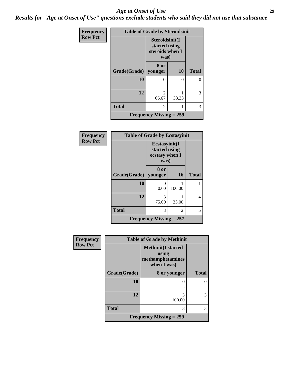#### *Age at Onset of Use* **29**

*Results for "Age at Onset of Use" questions exclude students who said they did not use that substance*

| Frequency      | <b>Table of Grade by Steroidsinit</b> |                                                            |           |              |
|----------------|---------------------------------------|------------------------------------------------------------|-----------|--------------|
| <b>Row Pct</b> |                                       | Steroidsinit(I<br>started using<br>steroids when I<br>was) |           |              |
|                | Grade(Grade)                          | 8 or<br>younger                                            | <b>10</b> | <b>Total</b> |
|                | 10                                    | 0                                                          | 0         | 0            |
|                | 12                                    | $\mathfrak{D}$<br>66.67                                    | 33.33     | 3            |
|                | <b>Total</b>                          | $\overline{c}$                                             |           | 3            |
|                |                                       | Frequency Missing $= 259$                                  |           |              |

| Frequency      | <b>Table of Grade by Ecstasyinit</b> |                                                          |           |              |
|----------------|--------------------------------------|----------------------------------------------------------|-----------|--------------|
| <b>Row Pct</b> |                                      | Ecstasyinit(I<br>started using<br>ecstasy when I<br>was) |           |              |
|                | Grade(Grade)                         | 8 or<br>younger                                          | <b>16</b> | <b>Total</b> |
|                | 10                                   | 0.00                                                     | 100.00    |              |
|                | 12                                   | 3<br>75.00                                               | 25.00     | 4            |
|                | <b>Total</b>                         | 3                                                        | 2         | 5            |
|                |                                      | Frequency Missing $= 257$                                |           |              |

| Frequency      |              | <b>Table of Grade by Methinit</b>                                     |              |
|----------------|--------------|-----------------------------------------------------------------------|--------------|
| <b>Row Pct</b> |              | <b>Methinit(I started</b><br>using<br>methamphetamines<br>when I was) |              |
|                | Grade(Grade) | 8 or younger                                                          | <b>Total</b> |
|                | 10           | 0<br>٠                                                                |              |
|                | 12           | 3<br>100.00                                                           | 3            |
|                | <b>Total</b> | 3                                                                     | 3            |
|                |              | <b>Frequency Missing = 259</b>                                        |              |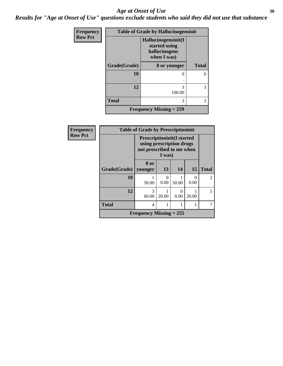#### Age at Onset of Use **30**

*Results for "Age at Onset of Use" questions exclude students who said they did not use that substance*

| Frequency      | <b>Table of Grade by Hallucinogensinit</b> |                                                                      |              |  |
|----------------|--------------------------------------------|----------------------------------------------------------------------|--------------|--|
| <b>Row Pct</b> |                                            | Hallucinogensinit(I<br>started using<br>hallucinogens<br>when I was) |              |  |
|                | Grade(Grade)                               | 8 or younger                                                         | <b>Total</b> |  |
|                | 10                                         | 0                                                                    |              |  |
|                | 12                                         | 3<br>100.00                                                          | 3            |  |
|                | <b>Total</b>                               | 3                                                                    | 3            |  |
|                |                                            | <b>Frequency Missing = 259</b>                                       |              |  |

| Frequency      | <b>Table of Grade by Prescriptioninit</b> |                                                                                            |           |       |                           |                |
|----------------|-------------------------------------------|--------------------------------------------------------------------------------------------|-----------|-------|---------------------------|----------------|
| <b>Row Pct</b> |                                           | <b>Prescriptioninit(I started</b><br>using prescription drugs<br>not prescribed to me when | I was)    |       |                           |                |
|                | Grade(Grade)                              | 8 or<br>younger                                                                            | 13        | 14    | 15                        | <b>Total</b>   |
|                | 10                                        | 50.00                                                                                      | 0<br>0.00 | 50.00 | $\mathbf{\Omega}$<br>0.00 | $\mathfrak{D}$ |
|                | 12                                        | 3<br>60.00                                                                                 | 20.00     | 0.00  | 20.00                     | 5              |
|                | <b>Total</b>                              | $\overline{4}$                                                                             |           |       |                           |                |
|                |                                           | <b>Frequency Missing = 255</b>                                                             |           |       |                           |                |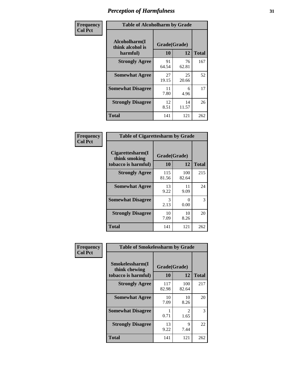| Frequency      | <b>Table of Alcoholharm by Grade</b>          |                           |             |              |
|----------------|-----------------------------------------------|---------------------------|-------------|--------------|
| <b>Col Pct</b> | Alcoholharm(I<br>think alcohol is<br>harmful) | Grade(Grade)<br><b>10</b> | 12          | <b>Total</b> |
|                | <b>Strongly Agree</b>                         | 91<br>64.54               | 76<br>62.81 | 167          |
|                | <b>Somewhat Agree</b>                         | 27<br>19.15               | 25<br>20.66 | 52           |
|                | <b>Somewhat Disagree</b>                      | 11<br>7.80                | 6<br>4.96   | 17           |
|                | <b>Strongly Disagree</b>                      | 12<br>8.51                | 14<br>11.57 | 26           |
|                | <b>Total</b>                                  | 141                       | 121         | 262          |

| <b>Table of Cigarettesharm by Grade</b>                  |                    |              |              |  |  |
|----------------------------------------------------------|--------------------|--------------|--------------|--|--|
| Cigarettesharm(I<br>think smoking<br>tobacco is harmful) | Grade(Grade)<br>10 | 12           | <b>Total</b> |  |  |
| <b>Strongly Agree</b>                                    | 115<br>81.56       | 100<br>82.64 | 215          |  |  |
| <b>Somewhat Agree</b>                                    | 13<br>9.22         | 11<br>9.09   | 24           |  |  |
| <b>Somewhat Disagree</b>                                 | 3<br>2.13          | 0<br>0.00    | 3            |  |  |
| <b>Strongly Disagree</b>                                 | 10<br>7.09         | 10<br>8.26   | 20           |  |  |
| <b>Total</b>                                             | 141                | 121          | 262          |  |  |

| Frequency      | <b>Table of Smokelessharm by Grade</b>                  |                    |              |              |
|----------------|---------------------------------------------------------|--------------------|--------------|--------------|
| <b>Col Pct</b> | Smokelessharm(I<br>think chewing<br>tobacco is harmful) | Grade(Grade)<br>10 | 12           | <b>Total</b> |
|                | <b>Strongly Agree</b>                                   | 117<br>82.98       | 100<br>82.64 | 217          |
|                | <b>Somewhat Agree</b>                                   | 10<br>7.09         | 10<br>8.26   | 20           |
|                | <b>Somewhat Disagree</b>                                | 0.71               | 2<br>1.65    | 3            |
|                | <b>Strongly Disagree</b>                                | 13<br>9.22         | 9<br>7.44    | 22           |
|                | <b>Total</b>                                            | 141                | 121          | 262          |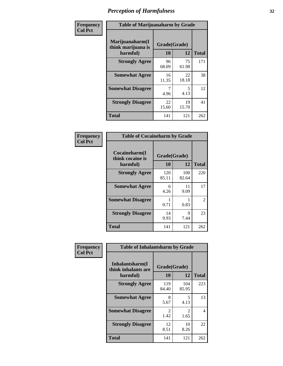| Frequency      | <b>Table of Marijuanaharm by Grade</b>            |                    |             |              |
|----------------|---------------------------------------------------|--------------------|-------------|--------------|
| <b>Col Pct</b> | Marijuanaharm(I<br>think marijuana is<br>harmful) | Grade(Grade)<br>10 | 12          | <b>Total</b> |
|                | <b>Strongly Agree</b>                             | 96<br>68.09        | 75<br>61.98 | 171          |
|                | <b>Somewhat Agree</b>                             | 16<br>11.35        | 22<br>18.18 | 38           |
|                | <b>Somewhat Disagree</b>                          | 7<br>4.96          | 5<br>4.13   | 12           |
|                | <b>Strongly Disagree</b>                          | 22<br>15.60        | 19<br>15.70 | 41           |
|                | <b>Total</b>                                      | 141                | 121         | 262          |

| <b>Table of Cocaineharm by Grade</b>          |                    |              |     |  |  |
|-----------------------------------------------|--------------------|--------------|-----|--|--|
| Cocaineharm(I<br>think cocaine is<br>harmful) | Grade(Grade)<br>10 | <b>Total</b> |     |  |  |
| <b>Strongly Agree</b>                         | 120<br>85.11       | 100<br>82.64 | 220 |  |  |
| <b>Somewhat Agree</b>                         | 6<br>4.26          | 11<br>9.09   | 17  |  |  |
| <b>Somewhat Disagree</b>                      | 1<br>0.71          | 0.83         | 2   |  |  |
| <b>Strongly Disagree</b>                      | 14<br>9.93         | 9<br>7.44    | 23  |  |  |
| <b>Total</b>                                  | 141                | 121          | 262 |  |  |

| Frequency      | <b>Table of Inhalantsharm by Grade</b>             |                    |                       |              |
|----------------|----------------------------------------------------|--------------------|-----------------------|--------------|
| <b>Col Pct</b> | Inhalantsharm(I<br>think inhalants are<br>harmful) | Grade(Grade)<br>10 | 12                    | <b>Total</b> |
|                | <b>Strongly Agree</b>                              | 119<br>84.40       | 104<br>85.95          | 223          |
|                | <b>Somewhat Agree</b>                              | 8<br>5.67          | 5<br>4.13             | 13           |
|                | <b>Somewhat Disagree</b>                           | 2<br>1.42          | $\mathcal{L}$<br>1.65 | 4            |
|                | <b>Strongly Disagree</b>                           | 12<br>8.51         | 10<br>8.26            | 22           |
|                | <b>Total</b>                                       | 141                | 121                   | 262          |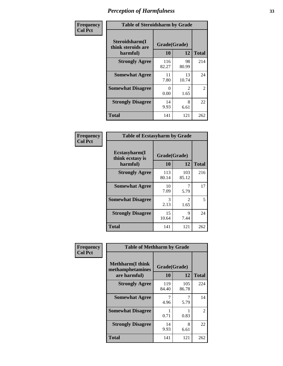| Frequency      | <b>Table of Steroidsharm by Grade</b>            |                    |                        |              |
|----------------|--------------------------------------------------|--------------------|------------------------|--------------|
| <b>Col Pct</b> | Steroidsharm(I<br>think steroids are<br>harmful) | Grade(Grade)<br>10 | 12                     | <b>Total</b> |
|                | <b>Strongly Agree</b>                            | 116<br>82.27       | 98<br>80.99            | 214          |
|                | <b>Somewhat Agree</b>                            | 11<br>7.80         | 13<br>10.74            | 24           |
|                | <b>Somewhat Disagree</b>                         | 0<br>0.00          | $\mathfrak{D}$<br>1.65 | 2            |
|                | <b>Strongly Disagree</b>                         | 14<br>9.93         | 8<br>6.61              | 22           |
|                | <b>Total</b>                                     | 141                | 121                    | 262          |

| <b>Table of Ecstasyharm by Grade</b>          |                    |              |     |  |  |
|-----------------------------------------------|--------------------|--------------|-----|--|--|
| Ecstasyharm(I<br>think ecstasy is<br>harmful) | Grade(Grade)<br>10 | <b>Total</b> |     |  |  |
| <b>Strongly Agree</b>                         | 113<br>80.14       | 103<br>85.12 | 216 |  |  |
| <b>Somewhat Agree</b>                         | 10<br>7.09         | 5.79         | 17  |  |  |
| <b>Somewhat Disagree</b>                      | 3<br>2.13          | 2<br>1.65    | 5   |  |  |
| <b>Strongly Disagree</b>                      | 15<br>10.64        | 9<br>7.44    | 24  |  |  |
| Total                                         | 141                | 121          | 262 |  |  |

| Frequency      | <b>Table of Methharm by Grade</b>                            |                    |              |                |
|----------------|--------------------------------------------------------------|--------------------|--------------|----------------|
| <b>Col Pct</b> | <b>Methharm</b> (I think<br>methamphetamines<br>are harmful) | Grade(Grade)<br>10 | 12           | <b>Total</b>   |
|                | <b>Strongly Agree</b>                                        | 119<br>84.40       | 105<br>86.78 | 224            |
|                | <b>Somewhat Agree</b>                                        | 7<br>4.96          | 5.79         | 14             |
|                | <b>Somewhat Disagree</b>                                     | 0.71               | 0.83         | $\overline{2}$ |
|                | <b>Strongly Disagree</b>                                     | 14<br>9.93         | 8<br>6.61    | 22             |
|                | <b>Total</b>                                                 | 141                | 121          | 262            |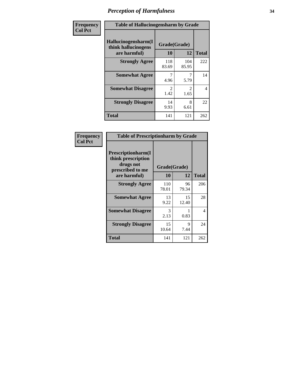| Frequency      | <b>Table of Hallucinogensharm by Grade</b>                 |                        |                       |                |
|----------------|------------------------------------------------------------|------------------------|-----------------------|----------------|
| <b>Col Pct</b> | Hallucinogensharm(I<br>think hallucinogens<br>are harmful) | Grade(Grade)<br>10     | 12                    | <b>Total</b>   |
|                | <b>Strongly Agree</b>                                      | 118<br>83.69           | 104<br>85.95          | 222            |
|                | <b>Somewhat Agree</b>                                      | 4.96                   | 7<br>5.79             | 14             |
|                | <b>Somewhat Disagree</b>                                   | $\mathfrak{D}$<br>1.42 | $\mathcal{L}$<br>1.65 | $\overline{4}$ |
|                | <b>Strongly Disagree</b>                                   | 14<br>9.93             | 8<br>6.61             | 22             |
|                | <b>Total</b>                                               | 141                    | 121                   | 262            |

| <b>Table of Prescriptionharm by Grade</b>                                                         |                    |             |              |  |
|---------------------------------------------------------------------------------------------------|--------------------|-------------|--------------|--|
| <b>Prescriptionharm</b> (I<br>think prescription<br>drugs not<br>prescribed to me<br>are harmful) | Grade(Grade)<br>10 | 12          | <b>Total</b> |  |
| <b>Strongly Agree</b>                                                                             | 110<br>78.01       | 96<br>79.34 | 206          |  |
| <b>Somewhat Agree</b>                                                                             | 13<br>9.22         | 15<br>12.40 | 28           |  |
| <b>Somewhat Disagree</b>                                                                          | 3<br>2.13          | 0.83        | 4            |  |
| <b>Strongly Disagree</b>                                                                          | 15<br>10.64        | 9<br>7.44   | 24           |  |
| <b>Total</b>                                                                                      | 141                | 121         | 262          |  |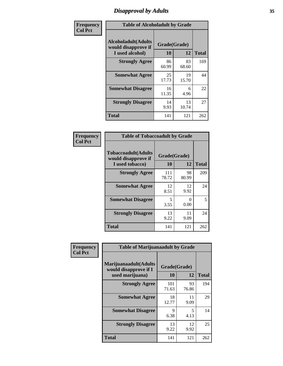# *Disapproval by Adults* **35**

| Frequency      | <b>Table of Alcoholadult by Grade</b>                                 |                    |             |              |
|----------------|-----------------------------------------------------------------------|--------------------|-------------|--------------|
| <b>Col Pct</b> | <b>Alcoholadult</b> (Adults<br>would disapprove if<br>I used alcohol) | Grade(Grade)<br>10 | 12          | <b>Total</b> |
|                | <b>Strongly Agree</b>                                                 | 86<br>60.99        | 83<br>68.60 | 169          |
|                | <b>Somewhat Agree</b>                                                 | 25<br>17.73        | 19<br>15.70 | 44           |
|                | <b>Somewhat Disagree</b>                                              | 16<br>11.35        | 6<br>4.96   | 22           |
|                | <b>Strongly Disagree</b>                                              | 14<br>9.93         | 13<br>10.74 | 27           |
|                | <b>Total</b>                                                          | 141                | 121         | 262          |

| <b>Table of Tobaccoadult by Grade</b>                                                             |              |             |     |  |  |
|---------------------------------------------------------------------------------------------------|--------------|-------------|-----|--|--|
| <b>Tobaccoadult</b> (Adults<br>Grade(Grade)<br>would disapprove if<br>10<br>12<br>I used tobacco) |              |             |     |  |  |
| <b>Strongly Agree</b>                                                                             | 111<br>78.72 | 98<br>80.99 | 209 |  |  |
| <b>Somewhat Agree</b>                                                                             | 12<br>8.51   | 12<br>9.92  | 24  |  |  |
| <b>Somewhat Disagree</b>                                                                          | 5<br>3.55    | 0<br>0.00   | 5   |  |  |
| <b>Strongly Disagree</b>                                                                          | 13<br>9.22   | 11<br>9.09  | 24  |  |  |
| Total                                                                                             | 141          | 121         | 262 |  |  |

| Frequency<br><b>Col Pct</b> | <b>Table of Marijuanaadult by Grade</b>                           |                    |             |              |
|-----------------------------|-------------------------------------------------------------------|--------------------|-------------|--------------|
|                             | Marijuanaadult(Adults<br>would disapprove if I<br>used marijuana) | Grade(Grade)<br>10 | 12          | <b>Total</b> |
|                             | <b>Strongly Agree</b>                                             | 101<br>71.63       | 93<br>76.86 | 194          |
|                             | <b>Somewhat Agree</b>                                             | 18<br>12.77        | 11<br>9.09  | 29           |
|                             | <b>Somewhat Disagree</b>                                          | 9<br>6.38          | 5<br>4.13   | 14           |
|                             | <b>Strongly Disagree</b>                                          | 13<br>9.22         | 12<br>9.92  | 25           |
|                             | <b>Total</b>                                                      | 141                | 121         | 262          |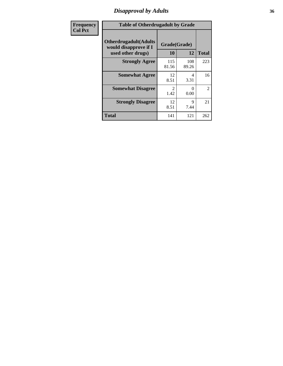### *Disapproval by Adults* **36**

| <b>Frequency</b> | <b>Table of Otherdrugadult by Grade</b>                                     |                                     |              |                |
|------------------|-----------------------------------------------------------------------------|-------------------------------------|--------------|----------------|
| <b>Col Pct</b>   | <b>Otherdrugadult</b> (Adults<br>would disapprove if I<br>used other drugs) | Grade(Grade)<br>10                  | 12           | <b>Total</b>   |
|                  | <b>Strongly Agree</b>                                                       | 115<br>81.56                        | 108<br>89.26 | 223            |
|                  | <b>Somewhat Agree</b>                                                       | 12<br>8.51                          | 4<br>3.31    | 16             |
|                  | <b>Somewhat Disagree</b>                                                    | $\mathcal{D}_{\mathcal{L}}$<br>1.42 | ∩<br>0.00    | $\overline{2}$ |
|                  | <b>Strongly Disagree</b>                                                    | 12<br>8.51                          | 9<br>7.44    | 21             |
|                  | <b>Total</b>                                                                | 141                                 | 121          | 262            |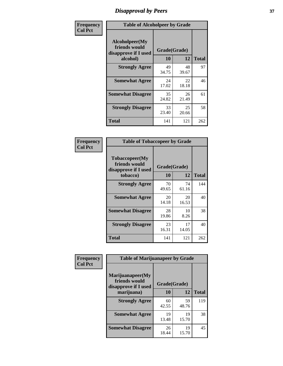# *Disapproval by Peers* **37**

| Frequency      | <b>Table of Alcoholpeer by Grade</b>                    |              |             |              |  |
|----------------|---------------------------------------------------------|--------------|-------------|--------------|--|
| <b>Col Pct</b> | Alcoholpeer(My<br>friends would<br>disapprove if I used | Grade(Grade) |             |              |  |
|                | alcohol)                                                | 10           | 12          | <b>Total</b> |  |
|                | <b>Strongly Agree</b>                                   | 49<br>34.75  | 48<br>39.67 | 97           |  |
|                | <b>Somewhat Agree</b>                                   | 24<br>17.02  | 22<br>18.18 | 46           |  |
|                | <b>Somewhat Disagree</b>                                | 35<br>24.82  | 26<br>21.49 | 61           |  |
|                | <b>Strongly Disagree</b>                                | 33<br>23.40  | 25<br>20.66 | 58           |  |
|                | Total                                                   | 141          | 121         | 262          |  |

| Frequency      | <b>Table of Tobaccopeer by Grade</b>                    |              |             |              |  |
|----------------|---------------------------------------------------------|--------------|-------------|--------------|--|
| <b>Col Pct</b> | Tobaccopeer(My<br>friends would<br>disapprove if I used | Grade(Grade) |             |              |  |
|                | tobacco)                                                | 10           | 12          | <b>Total</b> |  |
|                | <b>Strongly Agree</b>                                   | 70<br>49.65  | 74<br>61.16 | 144          |  |
|                | <b>Somewhat Agree</b>                                   | 20<br>14.18  | 20<br>16.53 | 40           |  |
|                | <b>Somewhat Disagree</b>                                | 28<br>19.86  | 10<br>8.26  | 38           |  |
|                | <b>Strongly Disagree</b>                                | 23<br>16.31  | 17<br>14.05 | 40           |  |
|                | Total                                                   | 141          | 121         | 262          |  |

| Frequency<br><b>Col Pct</b> | <b>Table of Marijuanapeer by Grade</b> |              |             |              |
|-----------------------------|----------------------------------------|--------------|-------------|--------------|
|                             | Marijuanapeer(My<br>friends would      | Grade(Grade) |             |              |
|                             | disapprove if I used<br>marijuana)     | 10           | 12          | <b>Total</b> |
|                             | <b>Strongly Agree</b>                  | 60<br>42.55  | 59<br>48.76 | 119          |
|                             | <b>Somewhat Agree</b>                  | 19<br>13.48  | 19<br>15.70 | 38           |
|                             | <b>Somewhat Disagree</b>               | 26<br>18.44  | 19<br>15.70 | 45           |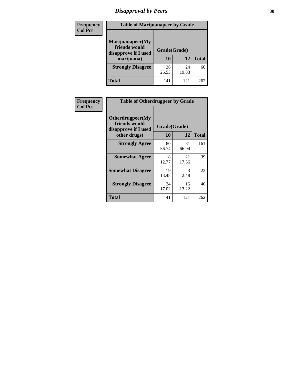# *Disapproval by Peers* **38**

| <b>Frequency</b> | <b>Table of Marijuanapeer by Grade</b>                                  |                           |             |              |  |
|------------------|-------------------------------------------------------------------------|---------------------------|-------------|--------------|--|
| <b>Col Pct</b>   | Marijuanapeer(My<br>friends would<br>disapprove if I used<br>marijuana) | Grade(Grade)<br><b>10</b> | 12          | <b>Total</b> |  |
|                  | <b>Strongly Disagree</b>                                                | 36<br>25.53               | 24<br>19.83 | 60           |  |
|                  | <b>Total</b>                                                            | 141                       | 121         | 262          |  |

| <b>Frequency</b> | <b>Table of Otherdrugpeer by Grade</b>                                    |                    |             |              |
|------------------|---------------------------------------------------------------------------|--------------------|-------------|--------------|
| <b>Col Pct</b>   | Otherdrugpeer(My<br>friends would<br>disapprove if I used<br>other drugs) | Grade(Grade)<br>10 | 12          | <b>Total</b> |
|                  | <b>Strongly Agree</b>                                                     | 80<br>56.74        | 81<br>66.94 | 161          |
|                  | <b>Somewhat Agree</b>                                                     | 18<br>12.77        | 21<br>17.36 | 39           |
|                  | <b>Somewhat Disagree</b>                                                  | 19<br>13.48        | 3<br>2.48   | 22           |
|                  | <b>Strongly Disagree</b>                                                  | 24<br>17.02        | 16<br>13.22 | 40           |
|                  | Total                                                                     | 141                | 121         | 262          |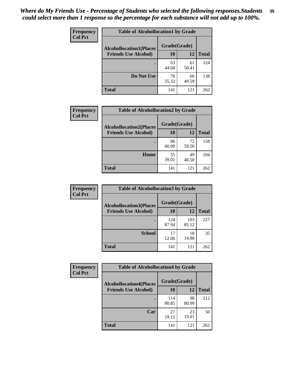| Frequency<br><b>Col Pct</b> | <b>Table of Alcohollocation1 by Grade</b> |              |             |              |
|-----------------------------|-------------------------------------------|--------------|-------------|--------------|
|                             | <b>Alcohollocation1(Places</b>            | Grade(Grade) |             |              |
|                             | <b>Friends Use Alcohol)</b>               | 10           | 12          | <b>Total</b> |
|                             |                                           | 63<br>44.68  | 61<br>50.41 | 124          |
|                             | Do Not Use                                | 78<br>55.32  | 60<br>49.59 | 138          |
|                             | <b>Total</b>                              | 141          | 121         | 262          |

| Frequency      | <b>Table of Alcohollocation2 by Grade</b>                     |                    |             |              |
|----------------|---------------------------------------------------------------|--------------------|-------------|--------------|
| <b>Col Pct</b> | <b>Alcohollocation2(Places</b><br><b>Friends Use Alcohol)</b> | Grade(Grade)<br>10 | <b>12</b>   | <b>Total</b> |
|                |                                                               | 86<br>60.99        | 72<br>59.50 | 158          |
|                | Home                                                          | 55<br>39.01        | 49<br>40.50 | 104          |
|                | <b>Total</b>                                                  | 141                | 121         | 262          |

| Frequency<br><b>Col Pct</b> | <b>Table of Alcohollocation 3 by Grade</b>                    |                    |              |              |
|-----------------------------|---------------------------------------------------------------|--------------------|--------------|--------------|
|                             | <b>Alcohollocation3(Places</b><br><b>Friends Use Alcohol)</b> | Grade(Grade)<br>10 | 12           | <b>Total</b> |
|                             |                                                               | 124<br>87.94       | 103<br>85.12 | 227          |
|                             | <b>School</b>                                                 | 17<br>12.06        | 18<br>14.88  | 35           |
|                             | <b>Total</b>                                                  | 141                | 121          | 262          |

| <b>Frequency</b> | <b>Table of Alcohollocation4 by Grade</b> |              |             |              |  |
|------------------|-------------------------------------------|--------------|-------------|--------------|--|
| <b>Col Pct</b>   | <b>Alcohollocation4(Places</b>            | Grade(Grade) |             |              |  |
|                  | <b>Friends Use Alcohol)</b>               | 10           | 12          | <b>Total</b> |  |
|                  |                                           | 114<br>80.85 | 98<br>80.99 | 212          |  |
|                  | Car                                       | 27<br>19.15  | 23<br>19.01 | 50           |  |
|                  | <b>Total</b>                              | 141          | 121         | 262          |  |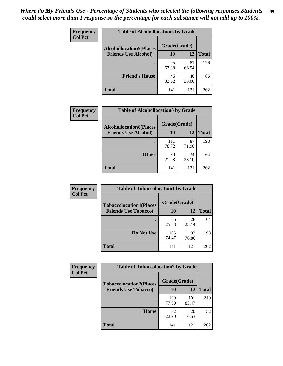| Frequency<br><b>Col Pct</b> | <b>Table of Alcohollocation5 by Grade</b> |              |             |              |
|-----------------------------|-------------------------------------------|--------------|-------------|--------------|
|                             | <b>Alcohollocation5(Places</b>            | Grade(Grade) |             |              |
|                             | <b>Friends Use Alcohol)</b>               | 10           | 12          | <b>Total</b> |
|                             |                                           | 95<br>67.38  | 81<br>66.94 | 176          |
|                             | <b>Friend's House</b>                     | 46<br>32.62  | 40<br>33.06 | 86           |
|                             | <b>Total</b>                              | 141          | 121         | 262          |

| Frequency      | <b>Table of Alcohollocation6 by Grade</b> |              |             |              |
|----------------|-------------------------------------------|--------------|-------------|--------------|
| <b>Col Pct</b> | <b>Alcohollocation6(Places</b>            | Grade(Grade) |             |              |
|                | <b>Friends Use Alcohol)</b>               | 10           | <b>12</b>   | <b>Total</b> |
|                |                                           | 111<br>78.72 | 87<br>71.90 | 198          |
|                | <b>Other</b>                              | 30<br>21.28  | 34<br>28.10 | 64           |
|                | <b>Total</b>                              | 141          | 121         | 262          |

| Frequency      | <b>Table of Tobaccolocation1 by Grade</b> |              |             |              |
|----------------|-------------------------------------------|--------------|-------------|--------------|
| <b>Col Pct</b> | <b>Tobaccolocation1(Places</b>            | Grade(Grade) |             |              |
|                | <b>Friends Use Tobacco)</b>               | 10           | 12          | <b>Total</b> |
|                |                                           | 36<br>25.53  | 28<br>23.14 | 64           |
|                | Do Not Use                                | 105<br>74.47 | 93<br>76.86 | 198          |
|                | <b>Total</b>                              | 141          | 121         | 262          |

| Frequency      | <b>Table of Tobaccolocation2 by Grade</b> |              |              |              |  |
|----------------|-------------------------------------------|--------------|--------------|--------------|--|
| <b>Col Pct</b> | <b>Tobaccolocation2(Places</b>            | Grade(Grade) |              |              |  |
|                | <b>Friends Use Tobacco)</b>               | 10           | 12           | <b>Total</b> |  |
|                |                                           | 109<br>77.30 | 101<br>83.47 | 210          |  |
|                | Home                                      | 32<br>22.70  | 20<br>16.53  | 52           |  |
|                | <b>Total</b>                              | 141          | 121          | 262          |  |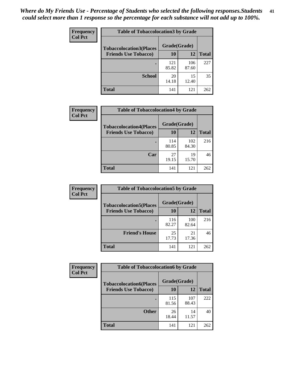| Frequency      | <b>Table of Tobaccolocation 3 by Grade</b> |              |              |              |
|----------------|--------------------------------------------|--------------|--------------|--------------|
| <b>Col Pct</b> | <b>Tobaccolocation3(Places</b>             | Grade(Grade) |              |              |
|                | <b>Friends Use Tobacco)</b>                | 10           | 12           | <b>Total</b> |
|                |                                            | 121<br>85.82 | 106<br>87.60 | 227          |
|                | <b>School</b>                              | 20<br>14.18  | 15<br>12.40  | 35           |
|                | <b>Total</b>                               | 141          | 121          | 262          |

| <b>Frequency</b>            | <b>Table of Tobaccolocation4 by Grade</b> |              |              |     |
|-----------------------------|-------------------------------------------|--------------|--------------|-----|
| <b>Col Pct</b>              | <b>Tobaccolocation4(Places</b>            | Grade(Grade) |              |     |
| <b>Friends Use Tobacco)</b> | 10                                        | 12           | <b>Total</b> |     |
|                             |                                           | 114<br>80.85 | 102<br>84.30 | 216 |
|                             | Car                                       | 27<br>19.15  | 19<br>15.70  | 46  |
|                             | Total                                     | 141          | 121          | 262 |

| Frequency      | <b>Table of Tobaccolocation5 by Grade</b> |              |              |              |  |
|----------------|-------------------------------------------|--------------|--------------|--------------|--|
| <b>Col Pct</b> | <b>Tobaccolocation5(Places</b>            | Grade(Grade) |              |              |  |
|                | <b>Friends Use Tobacco)</b>               | 10           | 12           | <b>Total</b> |  |
|                |                                           | 116<br>82.27 | 100<br>82.64 | 216          |  |
|                | <b>Friend's House</b>                     | 25<br>17.73  | 21<br>17.36  | 46           |  |
|                | <b>Total</b>                              | 141          | 121          | 262          |  |

| <b>Frequency</b> | <b>Table of Tobaccolocation6 by Grade</b> |              |              |              |  |
|------------------|-------------------------------------------|--------------|--------------|--------------|--|
| <b>Col Pct</b>   | <b>Tobaccolocation6(Places</b>            | Grade(Grade) |              |              |  |
|                  | <b>Friends Use Tobacco)</b>               | 10           | 12           | <b>Total</b> |  |
|                  |                                           | 115<br>81.56 | 107<br>88.43 | 222          |  |
|                  | <b>Other</b>                              | 26<br>18.44  | 14<br>11.57  | 40           |  |
|                  | <b>Total</b>                              | 141          | 121          | 262          |  |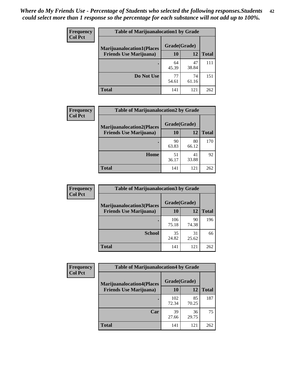| <b>Frequency</b> | <b>Table of Marijuanalocation1 by Grade</b> |              |             |              |
|------------------|---------------------------------------------|--------------|-------------|--------------|
| <b>Col Pct</b>   | <b>Marijuanalocation1(Places</b>            | Grade(Grade) |             |              |
|                  | <b>Friends Use Marijuana</b> )              | 10           | 12          | <b>Total</b> |
|                  |                                             | 64<br>45.39  | 47<br>38.84 | 111          |
|                  | Do Not Use                                  | 77<br>54.61  | 74<br>61.16 | 151          |
|                  | Total                                       | 141          | 121         | 262          |

| <b>Frequency</b> | <b>Table of Marijuanalocation2 by Grade</b>                        |                    |             |              |
|------------------|--------------------------------------------------------------------|--------------------|-------------|--------------|
| <b>Col Pct</b>   | <b>Marijuanalocation2(Places</b><br><b>Friends Use Marijuana</b> ) | Grade(Grade)<br>10 | 12          | <b>Total</b> |
|                  |                                                                    | 90<br>63.83        | 80<br>66.12 | 170          |
|                  | Home                                                               | 51<br>36.17        | 41<br>33.88 | 92           |
|                  | <b>Total</b>                                                       | 141                | 121         | 262          |

| Frequency<br><b>Col Pct</b> | <b>Table of Marijuanalocation3 by Grade</b> |              |             |              |
|-----------------------------|---------------------------------------------|--------------|-------------|--------------|
|                             | <b>Marijuanalocation3</b> (Places           | Grade(Grade) |             |              |
|                             | <b>Friends Use Marijuana</b> )              | <b>10</b>    | 12          | <b>Total</b> |
|                             |                                             | 106<br>75.18 | 90<br>74.38 | 196          |
|                             | <b>School</b>                               | 35<br>24.82  | 31<br>25.62 | 66           |
|                             | <b>Total</b>                                | 141          | 121         | 262          |

| <b>Frequency</b> | <b>Table of Marijuanalocation4 by Grade</b> |              |             |              |  |
|------------------|---------------------------------------------|--------------|-------------|--------------|--|
| <b>Col Pct</b>   | <b>Marijuanalocation4(Places</b>            | Grade(Grade) |             |              |  |
|                  | <b>Friends Use Marijuana</b> )              | <b>10</b>    | 12          | <b>Total</b> |  |
|                  |                                             | 102<br>72.34 | 85<br>70.25 | 187          |  |
|                  | Car                                         | 39<br>27.66  | 36<br>29.75 | 75           |  |
|                  | <b>Total</b>                                | 141          | 121         | 262          |  |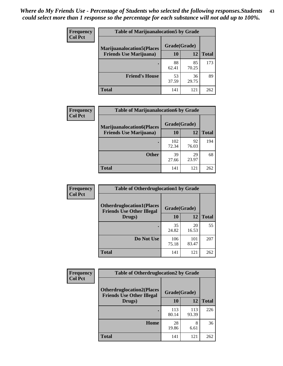| <b>Frequency</b> | <b>Table of Marijuanalocation5 by Grade</b> |              |             |              |
|------------------|---------------------------------------------|--------------|-------------|--------------|
| <b>Col Pct</b>   | <b>Marijuanalocation5</b> (Places           | Grade(Grade) |             |              |
|                  | <b>Friends Use Marijuana</b> )              | 10           | 12          | <b>Total</b> |
|                  |                                             | 88<br>62.41  | 85<br>70.25 | 173          |
|                  | <b>Friend's House</b>                       | 53<br>37.59  | 36<br>29.75 | 89           |
|                  | <b>Total</b>                                | 141          | 121         | 262          |

| <b>Frequency</b> | <b>Table of Marijuanalocation6 by Grade</b>                        |                    |             |              |
|------------------|--------------------------------------------------------------------|--------------------|-------------|--------------|
| <b>Col Pct</b>   | <b>Marijuanalocation6(Places</b><br><b>Friends Use Marijuana</b> ) | Grade(Grade)<br>10 | 12          | <b>Total</b> |
|                  |                                                                    | 102<br>72.34       | 92<br>76.03 | 194          |
|                  | <b>Other</b>                                                       | 39<br>27.66        | 29<br>23.97 | 68           |
|                  | <b>Total</b>                                                       | 141                | 121         | 262          |

| <b>Frequency</b> | <b>Table of Otherdruglocation1 by Grade</b>                          |              |              |              |
|------------------|----------------------------------------------------------------------|--------------|--------------|--------------|
| <b>Col Pct</b>   | <b>Otherdruglocation1(Places</b><br><b>Friends Use Other Illegal</b> | Grade(Grade) |              |              |
|                  | Drugs)                                                               | 10           | 12           | <b>Total</b> |
|                  |                                                                      | 35<br>24.82  | 20<br>16.53  | 55           |
|                  | Do Not Use                                                           | 106<br>75.18 | 101<br>83.47 | 207          |
|                  | <b>Total</b>                                                         | 141          | 121          | 262          |

| Frequency      | <b>Table of Otherdruglocation2 by Grade</b>                          |              |              |              |
|----------------|----------------------------------------------------------------------|--------------|--------------|--------------|
| <b>Col Pct</b> | <b>Otherdruglocation2(Places</b><br><b>Friends Use Other Illegal</b> | Grade(Grade) |              |              |
|                | Drugs)                                                               | 10           | 12           | <b>Total</b> |
|                |                                                                      | 113<br>80.14 | 113<br>93.39 | 226          |
|                | <b>Home</b>                                                          | 28<br>19.86  | 8<br>6.61    | 36           |
|                | <b>Total</b>                                                         | 141          | 121          | 262          |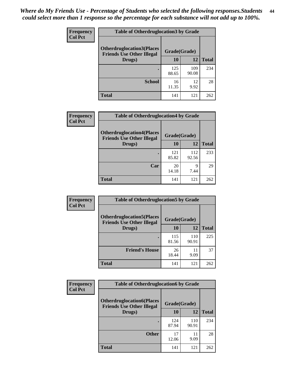| <b>Frequency</b> | <b>Table of Otherdruglocation 3 by Grade</b>                         |              |              |              |
|------------------|----------------------------------------------------------------------|--------------|--------------|--------------|
| <b>Col Pct</b>   | <b>Otherdruglocation3(Places</b><br><b>Friends Use Other Illegal</b> | Grade(Grade) |              |              |
|                  | Drugs)                                                               | 10           | 12           | <b>Total</b> |
|                  | ٠                                                                    | 125<br>88.65 | 109<br>90.08 | 234          |
|                  | <b>School</b>                                                        | 16<br>11.35  | 12<br>9.92   | 28           |
|                  | <b>Total</b>                                                         | 141          | 121          | 262          |

| Frequency      | <b>Table of Otherdruglocation4 by Grade</b>                          |              |              |              |
|----------------|----------------------------------------------------------------------|--------------|--------------|--------------|
| <b>Col Pct</b> | <b>Otherdruglocation4(Places</b><br><b>Friends Use Other Illegal</b> | Grade(Grade) |              |              |
|                | Drugs)                                                               | 10           | 12           | <b>Total</b> |
|                |                                                                      | 121<br>85.82 | 112<br>92.56 | 233          |
|                | Car                                                                  | 20<br>14.18  | 9<br>7.44    | 29           |
|                | <b>Total</b>                                                         | 141          | 121          | 262          |

| Frequency      | <b>Table of Otherdruglocation5 by Grade</b>                          |              |              |              |
|----------------|----------------------------------------------------------------------|--------------|--------------|--------------|
| <b>Col Pct</b> | <b>Otherdruglocation5(Places</b><br><b>Friends Use Other Illegal</b> | Grade(Grade) |              |              |
|                | Drugs)                                                               | 10           | 12           | <b>Total</b> |
|                |                                                                      | 115<br>81.56 | 110<br>90.91 | 225          |
|                | <b>Friend's House</b>                                                | 26<br>18.44  | 11<br>9.09   | 37           |
|                | <b>Total</b>                                                         | 141          | 121          | 262          |

| <b>Frequency</b> | <b>Table of Otherdruglocation6 by Grade</b>                          |              |              |              |
|------------------|----------------------------------------------------------------------|--------------|--------------|--------------|
| <b>Col Pct</b>   | <b>Otherdruglocation6(Places</b><br><b>Friends Use Other Illegal</b> | Grade(Grade) |              |              |
|                  | Drugs)                                                               | 10           | 12           | <b>Total</b> |
|                  |                                                                      | 124<br>87.94 | 110<br>90.91 | 234          |
|                  | <b>Other</b>                                                         | 17<br>12.06  | 11<br>9.09   | 28           |
|                  | <b>Total</b>                                                         | 141          | 121          | 262          |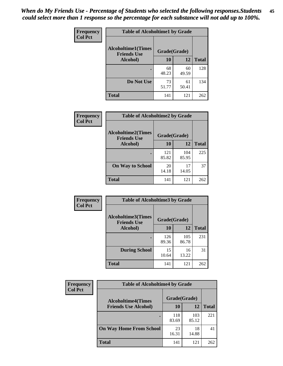| Frequency      | <b>Table of Alcoholtime1 by Grade</b> |              |             |              |
|----------------|---------------------------------------|--------------|-------------|--------------|
| <b>Col Pct</b> | <b>Alcoholtime1(Times</b>             | Grade(Grade) |             |              |
|                | <b>Friends Use</b><br>Alcohol)        | 10           | 12          | <b>Total</b> |
|                |                                       | 68<br>48.23  | 60<br>49.59 | 128          |
|                | Do Not Use                            | 73<br>51.77  | 61<br>50.41 | 134          |
|                | <b>Total</b>                          | 141          | 121         | 262          |

| Frequency      | <b>Table of Alcoholtime2 by Grade</b>           |              |              |              |
|----------------|-------------------------------------------------|--------------|--------------|--------------|
| <b>Col Pct</b> | <b>Alcoholtime2(Times</b><br><b>Friends Use</b> | Grade(Grade) |              |              |
|                | Alcohol)                                        | 10           | 12           | <b>Total</b> |
|                |                                                 | 121<br>85.82 | 104<br>85.95 | 225          |
|                | <b>On Way to School</b>                         | 20<br>14.18  | 17<br>14.05  | 37           |
|                | <b>Total</b>                                    | 141          | 121          | 262          |

| <b>Frequency</b> | <b>Table of Alcoholtime3 by Grade</b>           |              |              |              |
|------------------|-------------------------------------------------|--------------|--------------|--------------|
| <b>Col Pct</b>   | <b>Alcoholtime3(Times</b><br><b>Friends Use</b> | Grade(Grade) |              |              |
|                  | Alcohol)                                        | 10           | 12           | <b>Total</b> |
|                  |                                                 | 126<br>89.36 | 105<br>86.78 | 231          |
|                  | <b>During School</b>                            | 15<br>10.64  | 16<br>13.22  | 31           |
|                  | <b>Total</b>                                    | 141          | 121          | 262          |

| <b>Frequency</b><br><b>Col Pct</b> | <b>Table of Alcoholtime4 by Grade</b> |              |              |              |
|------------------------------------|---------------------------------------|--------------|--------------|--------------|
|                                    | <b>Alcoholtime4(Times</b>             | Grade(Grade) |              |              |
|                                    | <b>Friends Use Alcohol)</b>           | 10           | 12           | <b>Total</b> |
|                                    |                                       | 118<br>83.69 | 103<br>85.12 | 221          |
|                                    | <b>On Way Home From School</b>        | 23<br>16.31  | 18<br>14.88  | 41           |
|                                    | <b>Total</b>                          | 141          | 121          | 262          |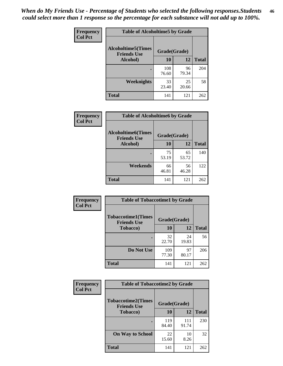*When do My Friends Use - Percentage of Students who selected the following responses.Students could select more than 1 response so the percentage for each substance will not add up to 100%.* **46**

| Frequency      | <b>Table of Alcoholtime5 by Grade</b>           |              |             |              |
|----------------|-------------------------------------------------|--------------|-------------|--------------|
| <b>Col Pct</b> | <b>Alcoholtime5(Times</b><br><b>Friends Use</b> | Grade(Grade) |             |              |
|                | Alcohol)                                        | 10           | 12          | <b>Total</b> |
|                |                                                 | 108<br>76.60 | 96<br>79.34 | 204          |
|                | Weeknights                                      | 33<br>23.40  | 25<br>20.66 | 58           |
|                | <b>Total</b>                                    | 141          | 121         | 262          |

| <b>Frequency</b> | <b>Table of Alcoholtime6 by Grade</b>           |              |             |              |
|------------------|-------------------------------------------------|--------------|-------------|--------------|
| <b>Col Pct</b>   | <b>Alcoholtime6(Times</b><br><b>Friends Use</b> | Grade(Grade) |             |              |
|                  | Alcohol)                                        | 10           | 12          | <b>Total</b> |
|                  |                                                 | 75<br>53.19  | 65<br>53.72 | 140          |
|                  | Weekends                                        | 66<br>46.81  | 56<br>46.28 | 122          |
|                  | <b>Total</b>                                    | 141          | 121         | 262          |

| Frequency      | <b>Table of Tobaccotime1 by Grade</b>           |              |             |              |
|----------------|-------------------------------------------------|--------------|-------------|--------------|
| <b>Col Pct</b> | <b>Tobaccotime1(Times</b><br><b>Friends Use</b> | Grade(Grade) |             |              |
|                | <b>Tobacco</b> )                                | 10           | 12          | <b>Total</b> |
|                | ٠                                               | 32<br>22.70  | 24<br>19.83 | 56           |
|                | Do Not Use                                      | 109<br>77.30 | 97<br>80.17 | 206          |
|                | <b>Total</b>                                    | 141          | 121         | 262          |

| <b>Frequency</b> | <b>Table of Tobaccotime2 by Grade</b>           |              |              |              |  |
|------------------|-------------------------------------------------|--------------|--------------|--------------|--|
| <b>Col Pct</b>   | <b>Tobaccotime2(Times</b><br><b>Friends Use</b> | Grade(Grade) |              |              |  |
|                  | <b>Tobacco</b> )                                | 10           | 12           | <b>Total</b> |  |
|                  |                                                 | 119<br>84.40 | 111<br>91.74 | 230          |  |
|                  | <b>On Way to School</b>                         | 22<br>15.60  | 10<br>8.26   | 32           |  |
|                  | <b>Total</b>                                    | 141          | 121          | 262          |  |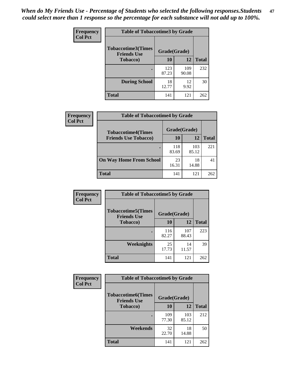*When do My Friends Use - Percentage of Students who selected the following responses.Students could select more than 1 response so the percentage for each substance will not add up to 100%.* **47**

| <b>Frequency</b> | <b>Table of Tobaccotime3 by Grade</b>           |              |              |              |  |
|------------------|-------------------------------------------------|--------------|--------------|--------------|--|
| <b>Col Pct</b>   | <b>Tobaccotime3(Times</b><br><b>Friends Use</b> |              | Grade(Grade) |              |  |
|                  | <b>Tobacco</b> )                                | 10           | 12           | <b>Total</b> |  |
|                  |                                                 | 123<br>87.23 | 109<br>90.08 | 232          |  |
|                  | <b>During School</b>                            | 18<br>12.77  | 12<br>9.92   | 30           |  |
|                  | <b>Total</b>                                    | 141          | 121          | 262          |  |

| Frequency<br><b>Col Pct</b> | <b>Table of Tobaccotime4 by Grade</b> |              |              |              |
|-----------------------------|---------------------------------------|--------------|--------------|--------------|
|                             | <b>Tobaccotime4(Times</b>             | Grade(Grade) |              |              |
|                             | <b>Friends Use Tobacco)</b>           | 10           | 12           | <b>Total</b> |
|                             |                                       | 118<br>83.69 | 103<br>85.12 | 221          |
|                             | <b>On Way Home From School</b>        | 23<br>16.31  | 18<br>14.88  | 41           |
|                             | <b>Total</b>                          | 141          | 121          | 262          |

| <b>Frequency</b> | <b>Table of Tobaccotime5 by Grade</b>           |              |              |              |
|------------------|-------------------------------------------------|--------------|--------------|--------------|
| <b>Col Pct</b>   | <b>Tobaccotime5(Times</b><br><b>Friends Use</b> | Grade(Grade) |              |              |
|                  | <b>Tobacco</b> )                                | 10           | 12           | <b>Total</b> |
|                  |                                                 | 116<br>82.27 | 107<br>88.43 | 223          |
|                  | Weeknights                                      | 25<br>17.73  | 14<br>11.57  | 39           |
|                  | <b>Total</b>                                    | 141          | 121          | 262          |

| Frequency      | <b>Table of Tobaccotime6 by Grade</b>           |              |              |              |  |
|----------------|-------------------------------------------------|--------------|--------------|--------------|--|
| <b>Col Pct</b> | <b>Tobaccotime6(Times</b><br><b>Friends Use</b> | Grade(Grade) |              |              |  |
|                | <b>Tobacco</b> )                                | 10           | 12           | <b>Total</b> |  |
|                |                                                 | 109<br>77.30 | 103<br>85.12 | 212          |  |
|                | Weekends                                        | 32<br>22.70  | 18<br>14.88  | 50           |  |
|                | <b>Total</b>                                    | 141          | 121          | 262          |  |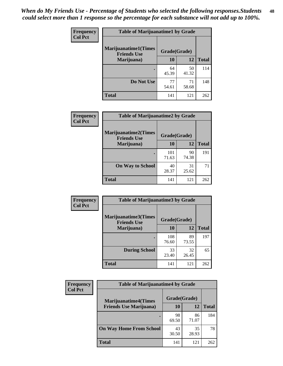| Frequency      | <b>Table of Marijuanatime1 by Grade</b>           |              |             |              |
|----------------|---------------------------------------------------|--------------|-------------|--------------|
| <b>Col Pct</b> | <b>Marijuanatime1(Times</b><br><b>Friends Use</b> | Grade(Grade) |             |              |
|                | Marijuana)                                        | 10           | 12          | <b>Total</b> |
|                |                                                   | 64<br>45.39  | 50<br>41.32 | 114          |
|                | Do Not Use                                        | 77<br>54.61  | 71<br>58.68 | 148          |
|                | <b>Total</b>                                      | 141          | 121         | 262          |

| <b>Frequency</b> | <b>Table of Marijuanatime2 by Grade</b>           |              |             |              |
|------------------|---------------------------------------------------|--------------|-------------|--------------|
| <b>Col Pct</b>   | <b>Marijuanatime2(Times</b><br><b>Friends Use</b> | Grade(Grade) |             |              |
|                  | Marijuana)                                        | 10           | 12          | <b>Total</b> |
|                  |                                                   | 101<br>71.63 | 90<br>74.38 | 191          |
|                  | <b>On Way to School</b>                           | 40<br>28.37  | 31<br>25.62 | 71           |
|                  | <b>Total</b>                                      | 141          | 121         | 262          |

| Frequency      | <b>Table of Marijuanatime3 by Grade</b>    |              |             |              |  |
|----------------|--------------------------------------------|--------------|-------------|--------------|--|
| <b>Col Pct</b> | Marijuanatime3(Times<br><b>Friends Use</b> | Grade(Grade) |             |              |  |
|                | Marijuana)                                 | 10           | 12          | <b>Total</b> |  |
|                |                                            | 108<br>76.60 | 89<br>73.55 | 197          |  |
|                | <b>During School</b>                       | 33<br>23.40  | 32<br>26.45 | 65           |  |
|                | Total                                      | 141          | 121         | 262          |  |

| <b>Frequency</b><br><b>Col Pct</b> | <b>Table of Marijuanatime4 by Grade</b> |              |             |              |
|------------------------------------|-----------------------------------------|--------------|-------------|--------------|
|                                    | <b>Marijuanatime4</b> (Times            | Grade(Grade) |             |              |
|                                    | <b>Friends Use Marijuana</b> )          | 10           | 12          | <b>Total</b> |
|                                    |                                         | 98<br>69.50  | 86<br>71.07 | 184          |
|                                    | <b>On Way Home From School</b>          | 43<br>30.50  | 35<br>28.93 | 78           |
|                                    | <b>Total</b>                            | 141          | 121         | 262          |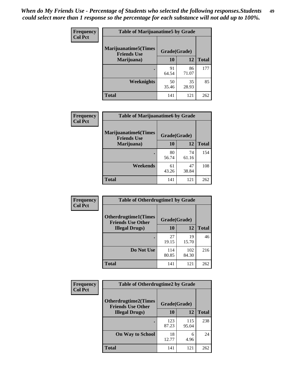| Frequency      | <b>Table of Marijuanatime5 by Grade</b>            |              |             |              |  |
|----------------|----------------------------------------------------|--------------|-------------|--------------|--|
| <b>Col Pct</b> | <b>Marijuanatime5</b> (Times<br><b>Friends Use</b> | Grade(Grade) |             |              |  |
|                | Marijuana)                                         | 10           | 12          | <b>Total</b> |  |
|                |                                                    | 91<br>64.54  | 86<br>71.07 | 177          |  |
|                | <b>Weeknights</b>                                  | 50<br>35.46  | 35<br>28.93 | 85           |  |
|                | <b>Total</b>                                       | 141          | 121         | 262          |  |

| Frequency      | <b>Table of Marijuanatime6 by Grade</b>            |              |             |              |
|----------------|----------------------------------------------------|--------------|-------------|--------------|
| <b>Col Pct</b> | <b>Marijuanatime6</b> (Times<br><b>Friends Use</b> | Grade(Grade) |             |              |
|                | Marijuana)                                         | 10           | 12          | <b>Total</b> |
|                |                                                    | 80<br>56.74  | 74<br>61.16 | 154          |
|                | Weekends                                           | 61<br>43.26  | 47<br>38.84 | 108          |
|                | <b>Total</b>                                       | 141          | 121         | 262          |

| Frequency      | <b>Table of Otherdrugtime1 by Grade</b>                 |              |              |              |  |
|----------------|---------------------------------------------------------|--------------|--------------|--------------|--|
| <b>Col Pct</b> | <b>Otherdrugtime1(Times</b><br><b>Friends Use Other</b> | Grade(Grade) |              |              |  |
|                | <b>Illegal Drugs</b> )                                  | 10           | 12           | <b>Total</b> |  |
|                |                                                         | 27<br>19.15  | 19<br>15.70  | 46           |  |
|                | Do Not Use                                              | 114<br>80.85 | 102<br>84.30 | 216          |  |
|                | Total                                                   | 141          | 121          | 262          |  |

| <b>Frequency</b> | <b>Table of Otherdrugtime2 by Grade</b>                 |              |              |              |  |
|------------------|---------------------------------------------------------|--------------|--------------|--------------|--|
| <b>Col Pct</b>   | <b>Otherdrugtime2(Times</b><br><b>Friends Use Other</b> | Grade(Grade) |              |              |  |
|                  | <b>Illegal Drugs</b> )                                  | 10           | 12           | <b>Total</b> |  |
|                  |                                                         | 123<br>87.23 | 115<br>95.04 | 238          |  |
|                  | <b>On Way to School</b>                                 | 18<br>12.77  | 6<br>4.96    | 24           |  |
|                  | Total                                                   | 141          | 121          | 262          |  |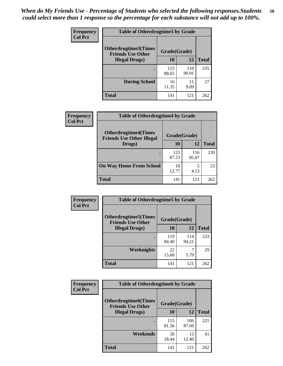| <b>Frequency</b> | <b>Table of Otherdrugtime3 by Grade</b>                 |              |              |              |  |
|------------------|---------------------------------------------------------|--------------|--------------|--------------|--|
| <b>Col Pct</b>   | <b>Otherdrugtime3(Times</b><br><b>Friends Use Other</b> | Grade(Grade) |              |              |  |
|                  | <b>Illegal Drugs)</b>                                   | 10           | 12           | <b>Total</b> |  |
|                  |                                                         | 125<br>88.65 | 110<br>90.91 | 235          |  |
|                  | <b>During School</b>                                    | 16<br>11.35  | 11<br>9.09   | 27           |  |
|                  | Total                                                   | 141          | 121          | 262          |  |

| <b>Frequency</b> | <b>Table of Otherdrugtime4 by Grade</b>                         |              |              |              |  |  |
|------------------|-----------------------------------------------------------------|--------------|--------------|--------------|--|--|
| <b>Col Pct</b>   | <b>Otherdrugtime4(Times</b><br><b>Friends Use Other Illegal</b> | Grade(Grade) |              |              |  |  |
|                  | Drugs)                                                          | 10           | 12           | <b>Total</b> |  |  |
|                  |                                                                 | 123<br>87.23 | 116<br>95.87 | 239          |  |  |
|                  | <b>On Way Home From School</b>                                  | 18<br>12.77  | 5<br>4.13    | 23           |  |  |
|                  | <b>Total</b>                                                    | 141          | 121          | 262          |  |  |

| <b>Frequency</b><br><b>Col Pct</b> | <b>Table of Otherdrugtime5 by Grade</b>                  |              |              |              |  |
|------------------------------------|----------------------------------------------------------|--------------|--------------|--------------|--|
|                                    | <b>Otherdrugtime5</b> (Times<br><b>Friends Use Other</b> | Grade(Grade) |              |              |  |
|                                    | <b>Illegal Drugs</b> )                                   | 10           | 12           | <b>Total</b> |  |
|                                    |                                                          | 119<br>84.40 | 114<br>94.21 | 233          |  |
|                                    | Weeknights                                               | 22<br>15.60  | 7<br>5.79    | 29           |  |
|                                    | Total                                                    | 141          | 121          | 262          |  |

| <b>Frequency</b> | <b>Table of Otherdrugtime6 by Grade</b>                 |              |              |              |  |
|------------------|---------------------------------------------------------|--------------|--------------|--------------|--|
| <b>Col Pct</b>   | <b>Otherdrugtime6(Times</b><br><b>Friends Use Other</b> | Grade(Grade) |              |              |  |
|                  | <b>Illegal Drugs</b> )                                  | 10           | 12           | <b>Total</b> |  |
|                  |                                                         | 115<br>81.56 | 106<br>87.60 | 221          |  |
|                  | <b>Weekends</b>                                         | 26<br>18.44  | 15<br>12.40  | 41           |  |
|                  | <b>Total</b>                                            | 141          | 121          | 262          |  |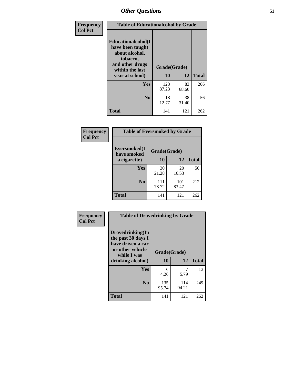| Frequency      | <b>Table of Educationalcohol by Grade</b>                                                                  |              |             |              |  |
|----------------|------------------------------------------------------------------------------------------------------------|--------------|-------------|--------------|--|
| <b>Col Pct</b> | Educationalcohol(I<br>have been taught<br>about alcohol,<br>tobacco,<br>and other drugs<br>within the last | Grade(Grade) |             |              |  |
|                | year at school)                                                                                            | 10           | 12          | <b>Total</b> |  |
|                | <b>Yes</b>                                                                                                 | 123<br>87.23 | 83<br>68.60 | 206          |  |
|                | N <sub>0</sub>                                                                                             | 18<br>12.77  | 38<br>31.40 | 56           |  |
|                | <b>Total</b>                                                                                               | 141          | 121         | 262          |  |

| Frequency      | <b>Table of Eversmoked by Grade</b> |              |              |              |  |
|----------------|-------------------------------------|--------------|--------------|--------------|--|
| <b>Col Pct</b> | Eversmoked(I<br>have smoked         | Grade(Grade) |              |              |  |
|                | a cigarette)                        | 10           | 12           | <b>Total</b> |  |
|                | <b>Yes</b>                          | 30<br>21.28  | 20<br>16.53  | 50           |  |
|                | N <sub>0</sub>                      | 111<br>78.72 | 101<br>83.47 | 212          |  |
|                | <b>Total</b>                        | 141          | 121          | 262          |  |

| Frequency      | <b>Table of Drovedrinking by Grade</b>                                                                              |                    |              |              |
|----------------|---------------------------------------------------------------------------------------------------------------------|--------------------|--------------|--------------|
| <b>Col Pct</b> | Drovedrinking(In<br>the past 30 days I<br>have driven a car<br>or other vehicle<br>while I was<br>drinking alcohol) | Grade(Grade)<br>10 | 12           | <b>Total</b> |
|                | Yes                                                                                                                 | 6<br>4.26          | 5.79         | 13           |
|                | N <sub>0</sub>                                                                                                      | 135<br>95.74       | 114<br>94.21 | 249          |
|                | <b>Total</b>                                                                                                        | 141                | 121          | 262          |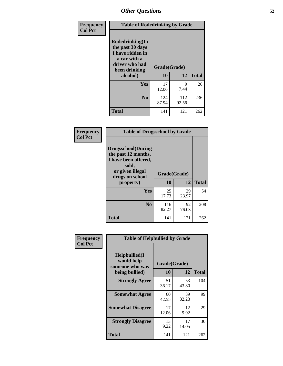| Frequency<br><b>Col Pct</b> | <b>Table of Rodedrinking by Grade</b>                                                                                      |              |              |              |  |
|-----------------------------|----------------------------------------------------------------------------------------------------------------------------|--------------|--------------|--------------|--|
|                             | Rodedrinking(In<br>the past 30 days<br>I have ridden in<br>a car with a<br>driver who had<br>Grade(Grade)<br>been drinking |              |              |              |  |
|                             | alcohol)                                                                                                                   | 10           | 12           | <b>Total</b> |  |
|                             | <b>Yes</b>                                                                                                                 | 17<br>12.06  | 9<br>7.44    | 26           |  |
|                             | N <sub>0</sub>                                                                                                             | 124<br>87.94 | 112<br>92.56 | 236          |  |
|                             | <b>Total</b>                                                                                                               | 141          | 121          | 262          |  |

#### **Frequency Col Pct**

| <b>Table of Drugsschool by Grade</b>                                                                                      |              |             |              |  |  |
|---------------------------------------------------------------------------------------------------------------------------|--------------|-------------|--------------|--|--|
| <b>Drugsschool</b> (During<br>the past 12 months,<br>I have been offered,<br>sold,<br>or given illegal<br>drugs on school | Grade(Grade) |             |              |  |  |
| property)                                                                                                                 | 10           | 12          | <b>Total</b> |  |  |
| Yes                                                                                                                       | 25<br>17.73  | 29<br>23.97 | 54           |  |  |
| N <sub>0</sub>                                                                                                            | 116<br>82.27 | 92<br>76.03 | 208          |  |  |
| Total                                                                                                                     | 141          | 121         | 262          |  |  |

| Frequency      | <b>Table of Helpbullied by Grade</b>           |              |             |              |  |  |
|----------------|------------------------------------------------|--------------|-------------|--------------|--|--|
| <b>Col Pct</b> | Helpbullied(I<br>would help<br>someone who was | Grade(Grade) |             |              |  |  |
|                | being bullied)                                 | 10           | 12          | <b>Total</b> |  |  |
|                | <b>Strongly Agree</b>                          | 51<br>36.17  | 53<br>43.80 | 104          |  |  |
|                | <b>Somewhat Agree</b>                          | 60<br>42.55  | 39<br>32.23 | 99           |  |  |
|                | <b>Somewhat Disagree</b>                       | 17<br>12.06  | 12<br>9.92  | 29           |  |  |
|                | <b>Strongly Disagree</b>                       | 13<br>9.22   | 17<br>14.05 | 30           |  |  |
|                | <b>Total</b>                                   | 141          | 121         | 262          |  |  |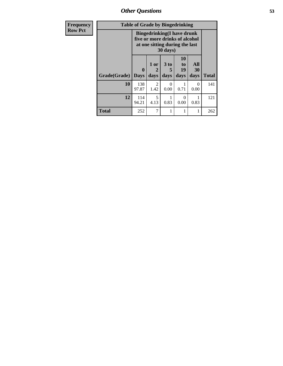| Frequency      | <b>Table of Grade by Bingedrinking</b> |                                                                                                                            |                        |                   |                        |                   |              |
|----------------|----------------------------------------|----------------------------------------------------------------------------------------------------------------------------|------------------------|-------------------|------------------------|-------------------|--------------|
| <b>Row Pct</b> |                                        | <b>Bingedrinking(I have drunk</b><br>five or more drinks of alcohol<br>at one sitting during the last<br>$30 \text{ days}$ |                        |                   |                        |                   |              |
|                | Grade(Grade)                           | $\mathbf{0}$<br><b>Days</b>                                                                                                | 1 or<br>2<br>days      | 3 to<br>5<br>days | 10<br>to<br>19<br>days | All<br>30<br>days | <b>Total</b> |
|                | 10                                     | 138<br>97.87                                                                                                               | $\overline{2}$<br>1.42 | 0<br>0.00         | 0.71                   | $\theta$<br>0.00  | 141          |
|                | 12                                     | 114<br>94.21                                                                                                               | 5<br>4.13              | 0.83              | 0<br>0.00              | 0.83              | 121          |
|                | <b>Total</b>                           | 252                                                                                                                        | 7                      |                   |                        |                   | 262          |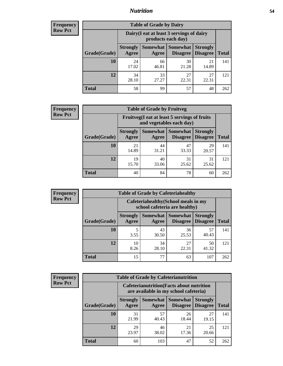### *Nutrition* **54**

| <b>Frequency</b><br>Row Pct |
|-----------------------------|
|                             |

| <b>Table of Grade by Dairy</b> |                          |                                                                 |                                    |                                    |              |  |
|--------------------------------|--------------------------|-----------------------------------------------------------------|------------------------------------|------------------------------------|--------------|--|
|                                |                          | Dairy (I eat at least 3 servings of dairy<br>products each day) |                                    |                                    |              |  |
| Grade(Grade)                   | <b>Strongly</b><br>Agree | Somewhat  <br>Agree                                             | <b>Somewhat</b><br><b>Disagree</b> | <b>Strongly</b><br><b>Disagree</b> | <b>Total</b> |  |
| 10                             | 24<br>17.02              | 66<br>46.81                                                     | 30<br>21.28                        | 21<br>14.89                        | 141          |  |
| 12                             | 34<br>28.10              | 33<br>27.27                                                     | 27<br>22.31                        | 27<br>22.31                        | 121          |  |
| <b>Total</b>                   | 58                       | 99                                                              | 57                                 | 48                                 | 262          |  |

| <b>Frequency</b> |  |
|------------------|--|
| <b>Row Pct</b>   |  |

| <b>Table of Grade by Fruitveg</b>                                        |                          |             |                                        |                                    |              |  |
|--------------------------------------------------------------------------|--------------------------|-------------|----------------------------------------|------------------------------------|--------------|--|
| Fruitveg(I eat at least 5 servings of fruits<br>and vegetables each day) |                          |             |                                        |                                    |              |  |
| Grade(Grade)                                                             | <b>Strongly</b><br>Agree | Agree       | <b>Somewhat   Somewhat</b><br>Disagree | <b>Strongly</b><br><b>Disagree</b> | <b>Total</b> |  |
| 10                                                                       | 21<br>14.89              | 44<br>31.21 | 47<br>33.33                            | 29<br>20.57                        | 141          |  |
| 12                                                                       | 19<br>15.70              | 40<br>33.06 | 31<br>25.62                            | 31<br>25.62                        | 121          |  |
| <b>Total</b>                                                             | 40                       | 84          | 78                                     | 60                                 | 262          |  |

| <b>Frequency</b><br>Row Pct |
|-----------------------------|
|                             |

| <b>Table of Grade by Cafeteriahealthy</b> |                          |                                                                       |                             |                                    |              |  |  |
|-------------------------------------------|--------------------------|-----------------------------------------------------------------------|-----------------------------|------------------------------------|--------------|--|--|
|                                           |                          | Cafeteriahealthy (School meals in my<br>school cafeteria are healthy) |                             |                                    |              |  |  |
| Grade(Grade)                              | <b>Strongly</b><br>Agree | Somewhat  <br>Agree                                                   | <b>Somewhat</b><br>Disagree | <b>Strongly</b><br><b>Disagree</b> | <b>Total</b> |  |  |
| 10                                        | 5<br>3.55                | 43<br>30.50                                                           | 36<br>25.53                 | 57<br>40.43                        | 141          |  |  |
| 12                                        | 10<br>8.26               | 34<br>28.10                                                           | 27<br>22.31                 | 50<br>41.32                        | 121          |  |  |
| <b>Total</b>                              | 15                       | 77                                                                    | 63                          | 107                                | 262          |  |  |

| <b>Frequency</b> |
|------------------|
| <b>Row Pct</b>   |

| <b>Table of Grade by Cafeterianutrition</b> |                                                                                           |             |                                   |                                    |              |  |
|---------------------------------------------|-------------------------------------------------------------------------------------------|-------------|-----------------------------------|------------------------------------|--------------|--|
|                                             | <b>Cafeterianutrition</b> (Facts about nutrition<br>are available in my school cafeteria) |             |                                   |                                    |              |  |
| Grade(Grade)                                | <b>Strongly</b><br>Agree                                                                  | Agree       | Somewhat   Somewhat  <br>Disagree | <b>Strongly</b><br><b>Disagree</b> | <b>Total</b> |  |
| 10                                          | 31<br>21.99                                                                               | 57<br>40.43 | 26<br>18.44                       | 27<br>19.15                        | 141          |  |
| 12                                          | 29<br>23.97                                                                               | 46<br>38.02 | 21<br>17.36                       | 25<br>20.66                        | 121          |  |
| <b>Total</b>                                | 60                                                                                        | 103         | 47                                | 52                                 | 262          |  |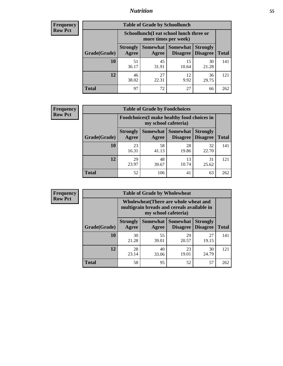### *Nutrition* **55**

| Frequency |
|-----------|
| Row Pct   |

| <b>Table of Grade by Schoollunch</b> |                          |                                                                 |                               |                                    |              |  |  |
|--------------------------------------|--------------------------|-----------------------------------------------------------------|-------------------------------|------------------------------------|--------------|--|--|
|                                      |                          | Schoollunch(I eat school lunch three or<br>more times per week) |                               |                                    |              |  |  |
| Grade(Grade)                         | <b>Strongly</b><br>Agree | Agree                                                           | Somewhat Somewhat<br>Disagree | <b>Strongly</b><br><b>Disagree</b> | <b>Total</b> |  |  |
| 10                                   | 51<br>36.17              | 45<br>31.91                                                     | 15<br>10.64                   | 30<br>21.28                        | 141          |  |  |
| 12                                   | 46<br>38.02              | 27<br>22.31                                                     | 12<br>9.92                    | 36<br>29.75                        | 121          |  |  |
| <b>Total</b>                         | 97                       | 72                                                              | 27                            | 66                                 | 262          |  |  |

| <b>Frequency</b> |  |
|------------------|--|
| <b>Row Pct</b>   |  |

| <b>Table of Grade by Foodchoices</b>                                |                          |             |                               |                                    |              |  |
|---------------------------------------------------------------------|--------------------------|-------------|-------------------------------|------------------------------------|--------------|--|
| Foodchoices (I make healthy food choices in<br>my school cafeteria) |                          |             |                               |                                    |              |  |
| Grade(Grade)                                                        | <b>Strongly</b><br>Agree | Agree       | Somewhat Somewhat<br>Disagree | <b>Strongly</b><br><b>Disagree</b> | <b>Total</b> |  |
| 10                                                                  | 23<br>16.31              | 58<br>41.13 | 28<br>19.86                   | 32<br>22.70                        | 141          |  |
| 12                                                                  | 29<br>23.97              | 48<br>39.67 | 13<br>10.74                   | 31<br>25.62                        | 121          |  |
| <b>Total</b>                                                        | 52                       | 106         | 41                            | 63                                 | 262          |  |

| Frequency      | <b>Table of Grade by Wholewheat</b> |                                                                                                             |                   |                                    |                                    |              |  |  |
|----------------|-------------------------------------|-------------------------------------------------------------------------------------------------------------|-------------------|------------------------------------|------------------------------------|--------------|--|--|
| <b>Row Pct</b> |                                     | Wholewheat (There are whole wheat and<br>multigrain breads and cereals available in<br>my school cafeteria) |                   |                                    |                                    |              |  |  |
|                | Grade(Grade)                        | <b>Strongly</b><br>Agree                                                                                    | Somewhat<br>Agree | <b>Somewhat</b><br><b>Disagree</b> | <b>Strongly</b><br><b>Disagree</b> | <b>Total</b> |  |  |
|                | 10                                  | 30<br>21.28                                                                                                 | 55<br>39.01       | 29<br>20.57                        | 27<br>19.15                        | 141          |  |  |
|                | 12                                  | 28<br>23.14                                                                                                 | 40<br>33.06       | 23<br>19.01                        | 30<br>24.79                        | 121          |  |  |
|                | <b>Total</b>                        | 58                                                                                                          | 95                | 52                                 | 57                                 | 262          |  |  |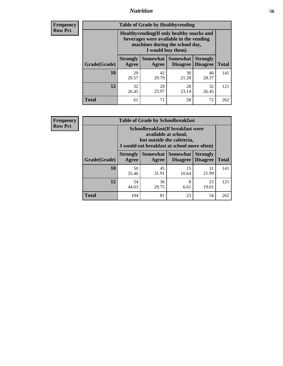### *Nutrition* **56**

**Frequency Row Pct**

| <b>Table of Grade by Healthyvending</b> |                                                                                                                                               |                          |                                    |                                    |              |  |
|-----------------------------------------|-----------------------------------------------------------------------------------------------------------------------------------------------|--------------------------|------------------------------------|------------------------------------|--------------|--|
|                                         | Healthyvending (If only healthy snacks and<br>beverages were available in the vending<br>machines during the school day,<br>I would buy them) |                          |                                    |                                    |              |  |
| Grade(Grade)                            | <b>Strongly</b><br>Agree                                                                                                                      | <b>Somewhat</b><br>Agree | <b>Somewhat</b><br><b>Disagree</b> | <b>Strongly</b><br><b>Disagree</b> | <b>Total</b> |  |
| 10                                      | 29<br>20.57                                                                                                                                   | 42<br>29.79              | 30<br>21.28                        | 40<br>28.37                        | 141          |  |
| 12                                      | 32<br>26.45                                                                                                                                   | 29<br>23.97              | 28<br>23.14                        | 32<br>26.45                        | 121          |  |
| <b>Total</b>                            | 61                                                                                                                                            | 71                       | 58                                 | 72                                 | 262          |  |

**Frequency Row Pct**

| <b>Table of Grade by Schoolbreakfast</b> |                                                                                                                                         |             |                                        |                                    |              |  |
|------------------------------------------|-----------------------------------------------------------------------------------------------------------------------------------------|-------------|----------------------------------------|------------------------------------|--------------|--|
|                                          | Schoolbreakfast (If breakfast were<br>available at school,<br>but outside the cafeteria,<br>I would eat breakfast at school more often) |             |                                        |                                    |              |  |
| Grade(Grade)                             | <b>Strongly</b><br>Agree                                                                                                                | Agree       | Somewhat   Somewhat<br><b>Disagree</b> | <b>Strongly</b><br><b>Disagree</b> | <b>Total</b> |  |
| 10                                       | 50<br>35.46                                                                                                                             | 45<br>31.91 | 15<br>10.64                            | 31<br>21.99                        | 141          |  |
| 12                                       | 54<br>44.63                                                                                                                             | 36<br>29.75 | 8<br>6.61                              | 23<br>19.01                        | 121          |  |
| <b>Total</b>                             | 104                                                                                                                                     | 81          | 23                                     | 54                                 | 262          |  |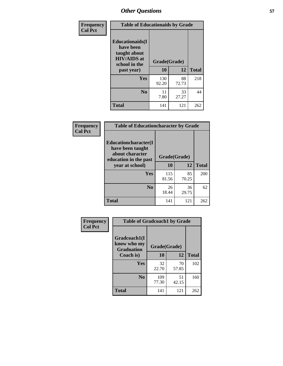| Frequency      | <b>Table of Educationaids by Grade</b>                                                      |              |             |              |  |
|----------------|---------------------------------------------------------------------------------------------|--------------|-------------|--------------|--|
| <b>Col Pct</b> | <b>Educationaids</b> (I<br>have been<br>taught about<br><b>HIV/AIDS</b> at<br>school in the | Grade(Grade) |             |              |  |
|                | past year)                                                                                  | 10           | 12          | <b>Total</b> |  |
|                | Yes                                                                                         | 130<br>92.20 | 88<br>72.73 | 218          |  |
|                | N <sub>0</sub>                                                                              | 11<br>7.80   | 33<br>27.27 | 44           |  |
|                | <b>Total</b>                                                                                | 141          | 121         | 262          |  |

| Frequency      | <b>Table of Educationcharacter by Grade</b>                                                  |              |              |              |
|----------------|----------------------------------------------------------------------------------------------|--------------|--------------|--------------|
| <b>Col Pct</b> | <b>Educationcharacter(I)</b><br>have been taught<br>about character<br>education in the past |              | Grade(Grade) |              |
|                | year at school)                                                                              | 10           | 12           | <b>Total</b> |
|                | Yes                                                                                          | 115<br>81.56 | 85<br>70.25  | 200          |
|                | N <sub>0</sub>                                                                               | 26<br>18.44  | 36<br>29.75  | 62           |
|                | <b>Total</b>                                                                                 | 141          | 121          | 262          |

| Frequency      | <b>Table of Gradcoach1 by Grade</b>              |              |             |              |
|----------------|--------------------------------------------------|--------------|-------------|--------------|
| <b>Col Pct</b> | Gradcoach1(I<br>know who my<br><b>Graduation</b> | Grade(Grade) |             |              |
|                | Coach is)                                        | 10           | 12          | <b>Total</b> |
|                | Yes                                              | 32<br>22.70  | 70<br>57.85 | 102          |
|                | N <sub>0</sub>                                   | 109<br>77.30 | 51<br>42.15 | 160          |
|                | <b>Total</b>                                     | 141          | 121         | 262          |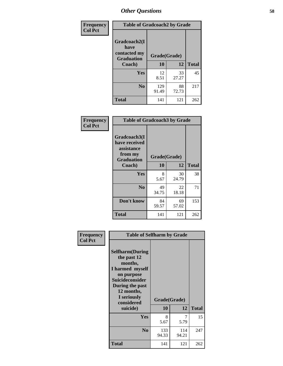| Frequency      | <b>Table of Gradcoach2 by Grade</b> |              |              |              |  |
|----------------|-------------------------------------|--------------|--------------|--------------|--|
| <b>Col Pct</b> | Gradcoach2(I<br>have                |              |              |              |  |
|                | contacted my<br><b>Graduation</b>   |              | Grade(Grade) |              |  |
|                | Coach)                              | 10           | 12           | <b>Total</b> |  |
|                | Yes                                 | 12<br>8.51   | 33<br>27.27  | 45           |  |
|                | N <sub>0</sub>                      | 129<br>91.49 | 88<br>72.73  | 217          |  |
|                | <b>Total</b>                        | 141          | 121          | 262          |  |

| Frequency<br><b>Col Pct</b> | <b>Table of Gradcoach3 by Grade</b>                    |              |             |              |  |
|-----------------------------|--------------------------------------------------------|--------------|-------------|--------------|--|
|                             | Gradcoach3(I<br>have received<br>assistance<br>from my | Grade(Grade) |             |              |  |
|                             | <b>Graduation</b><br>Coach)                            | 10           | 12          | <b>Total</b> |  |
|                             | Yes                                                    | 8<br>5.67    | 30<br>24.79 | 38           |  |
|                             | N <sub>0</sub>                                         | 49<br>34.75  | 22<br>18.18 | 71           |  |
|                             | Don't know                                             | 84<br>59.57  | 69<br>57.02 | 153          |  |
|                             | <b>Total</b>                                           | 141          | 121         | 262          |  |

| Frequency      | <b>Table of Selfharm by Grade</b>                                                                                                                                                      |                    |              |              |
|----------------|----------------------------------------------------------------------------------------------------------------------------------------------------------------------------------------|--------------------|--------------|--------------|
| <b>Col Pct</b> | <b>Selfharm</b> (During<br>the past 12<br>months,<br>I harmed myself<br>on purpose<br><b>Suicideconsider</b><br>During the past<br>12 months,<br>I seriously<br>considered<br>suicide) | Grade(Grade)<br>10 | 12           | <b>Total</b> |
|                | Yes                                                                                                                                                                                    | 8<br>5.67          | 7<br>5.79    | 15           |
|                | N <sub>0</sub>                                                                                                                                                                         | 133<br>94.33       | 114<br>94.21 | 247          |
|                | <b>Total</b>                                                                                                                                                                           | 141                | 121          | 262          |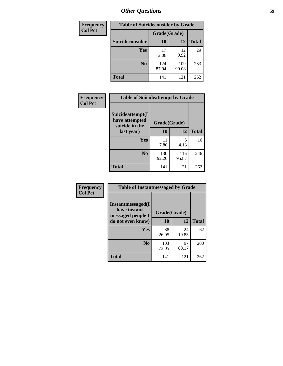| <b>Frequency</b> | <b>Table of Suicideconsider by Grade</b> |              |              |              |  |
|------------------|------------------------------------------|--------------|--------------|--------------|--|
| <b>Col Pct</b>   |                                          | Grade(Grade) |              |              |  |
|                  | <b>Suicideconsider</b>                   | <b>10</b>    | 12           | <b>Total</b> |  |
|                  | Yes                                      | 17<br>12.06  | 12<br>9.92   | 29           |  |
|                  | N <sub>0</sub>                           | 124<br>87.94 | 109<br>90.08 | 233          |  |
|                  | <b>Total</b>                             | 141          | 121          | 262          |  |

| Frequency      | <b>Table of Suicideattempt by Grade</b>              |              |              |              |
|----------------|------------------------------------------------------|--------------|--------------|--------------|
| <b>Col Pct</b> | Suicideattempt(I<br>have attempted<br>suicide in the | Grade(Grade) |              |              |
|                | last year)                                           | 10           | 12           | <b>Total</b> |
|                | Yes                                                  | 11<br>7.80   | 5<br>4.13    | 16           |
|                | N <sub>0</sub>                                       | 130<br>92.20 | 116<br>95.87 | 246          |
|                | <b>Total</b>                                         | 141          | 121          | 262          |

| Frequency      | <b>Table of Instantmessaged by Grade</b>               |              |             |              |
|----------------|--------------------------------------------------------|--------------|-------------|--------------|
| <b>Col Pct</b> | Instantmessaged(I<br>have instant<br>messaged people I | Grade(Grade) |             |              |
|                | do not even know)                                      | 10           | 12          | <b>Total</b> |
|                | Yes                                                    | 38<br>26.95  | 24<br>19.83 | 62           |
|                | N <sub>0</sub>                                         | 103<br>73.05 | 97<br>80.17 | 200          |
|                | <b>Total</b>                                           | 141          | 121         | 262          |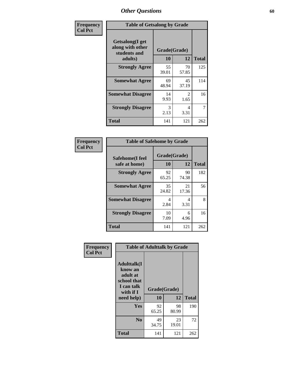| Frequency      | <b>Table of Getsalong by Grade</b>                          |              |                        |              |  |  |  |
|----------------|-------------------------------------------------------------|--------------|------------------------|--------------|--|--|--|
| <b>Col Pct</b> | <b>Getsalong</b> (I get<br>along with other<br>students and | Grade(Grade) |                        |              |  |  |  |
|                | adults)                                                     | 10           | 12                     | <b>Total</b> |  |  |  |
|                | <b>Strongly Agree</b>                                       | 55<br>39.01  | 70<br>57.85            | 125          |  |  |  |
|                | <b>Somewhat Agree</b>                                       | 69<br>48.94  | 45<br>37.19            | 114          |  |  |  |
|                | <b>Somewhat Disagree</b>                                    | 14<br>9.93   | $\mathfrak{D}$<br>1.65 | 16           |  |  |  |
|                | <b>Strongly Disagree</b>                                    | 3<br>2.13    | 4<br>3.31              | 7            |  |  |  |
|                | <b>Total</b>                                                | 141          | 121                    | 262          |  |  |  |

| Frequency      | <b>Table of Safehome by Grade</b> |                    |             |              |  |  |  |
|----------------|-----------------------------------|--------------------|-------------|--------------|--|--|--|
| <b>Col Pct</b> | Safehome(I feel<br>safe at home)  | Grade(Grade)<br>10 | 12          | <b>Total</b> |  |  |  |
|                | <b>Strongly Agree</b>             | 92<br>65.25        | 90<br>74.38 | 182          |  |  |  |
|                | <b>Somewhat Agree</b>             | 35<br>24.82        | 21<br>17.36 | 56           |  |  |  |
|                | <b>Somewhat Disagree</b>          | 4<br>2.84          | 4<br>3.31   | 8            |  |  |  |
|                | <b>Strongly Disagree</b>          | 10<br>7.09         | 6<br>4.96   | 16           |  |  |  |
|                | <b>Total</b>                      | 141                | 121         | 262          |  |  |  |

| Frequency      |                                                                                                   | <b>Table of Adulttalk by Grade</b> |             |              |
|----------------|---------------------------------------------------------------------------------------------------|------------------------------------|-------------|--------------|
| <b>Col Pct</b> | <b>Adulttalk(I</b><br>know an<br>adult at<br>school that<br>I can talk<br>with if I<br>need help) | Grade(Grade)<br>10                 | 12          | <b>Total</b> |
|                | <b>Yes</b>                                                                                        | 92<br>65.25                        | 98<br>80.99 | 190          |
|                | N <sub>0</sub>                                                                                    | 49<br>34.75                        | 23<br>19.01 | 72           |
|                | <b>Total</b>                                                                                      | 141                                | 121         | 262          |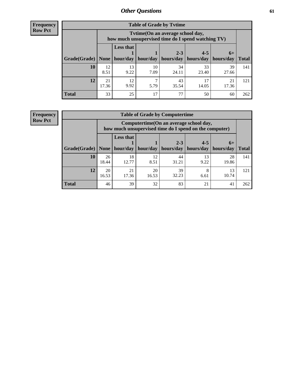**Frequency Row Pct**

| <b>Table of Grade by Tytime</b> |             |                                                                                         |            |                       |             |             |              |  |  |  |
|---------------------------------|-------------|-----------------------------------------------------------------------------------------|------------|-----------------------|-------------|-------------|--------------|--|--|--|
|                                 |             | Tytime (On an average school day,<br>how much unsupervised time do I spend watching TV) |            |                       |             |             |              |  |  |  |
|                                 |             | <b>Less that</b>                                                                        |            | $2 - 3$               | $4 - 5$     | $6+$        |              |  |  |  |
| Grade(Grade)   None             |             | hour/day                                                                                | hour/day   | hours/day   hours/day |             | hours/day   | <b>Total</b> |  |  |  |
| 10                              | 12<br>8.51  | 13<br>9.22                                                                              | 10<br>7.09 | 34<br>24.11           | 33<br>23.40 | 39<br>27.66 | 141          |  |  |  |
| 12                              | 21<br>17.36 | 12<br>9.92                                                                              | ┑<br>5.79  | 43<br>35.54           | 17<br>14.05 | 21<br>17.36 | 121          |  |  |  |
| <b>Total</b>                    | 33          | 25                                                                                      | 17         | 77                    | 50          | 60          | 262          |  |  |  |

**Frequency Row Pct**

| <b>Table of Grade by Computertime</b> |             |                                                                                                   |                     |                      |                      |                   |              |  |  |  |  |
|---------------------------------------|-------------|---------------------------------------------------------------------------------------------------|---------------------|----------------------|----------------------|-------------------|--------------|--|--|--|--|
|                                       |             | Computertime (On an average school day,<br>how much unsupervised time do I spend on the computer) |                     |                      |                      |                   |              |  |  |  |  |
| Grade(Grade)                          | None $ $    | <b>Less that</b>                                                                                  | hour/day   hour/day | $2 - 3$<br>hours/day | $4 - 5$<br>hours/day | $6+$<br>hours/day | <b>Total</b> |  |  |  |  |
| 10                                    | 26<br>18.44 | 18<br>12.77                                                                                       | 12<br>8.51          | 44<br>31.21          | 13<br>9.22           | 28<br>19.86       | 141          |  |  |  |  |
| 12                                    | 20<br>16.53 | 39<br>21<br>20<br>8<br>13<br>32.23<br>10.74<br>17.36<br>16.53<br>6.61                             |                     |                      |                      |                   |              |  |  |  |  |
| <b>Total</b>                          | 46          | 39                                                                                                | 32                  | 83                   | 21                   | 41                | 262          |  |  |  |  |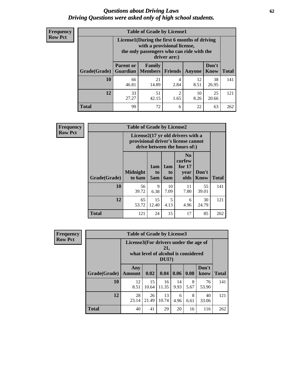#### *Questions about Driving Laws* **62** *Driving Questions were asked only of high school students.*

| <b>Frequency</b> |
|------------------|
| <b>Row Pct</b>   |

| <b>Table of Grade by License1</b> |                              |                                                                                                                                           |                |            |               |              |  |  |  |  |
|-----------------------------------|------------------------------|-------------------------------------------------------------------------------------------------------------------------------------------|----------------|------------|---------------|--------------|--|--|--|--|
|                                   |                              | License1(During the first 6 months of driving<br>with a provisional license,<br>the only passengers who can ride with the<br>driver are:) |                |            |               |              |  |  |  |  |
| Grade(Grade)                      | <b>Parent or</b><br>Guardian | Family<br>  Members                                                                                                                       | <b>Friends</b> | Anyone     | Don't<br>Know | <b>Total</b> |  |  |  |  |
| 10                                | 66<br>46.81                  | 21<br>14.89                                                                                                                               | 4<br>2.84      | 12<br>8.51 | 38<br>26.95   | 141          |  |  |  |  |
| 12                                | 33<br>27.27                  | 51<br>25<br>2<br>10<br>8.26<br>42.15<br>1.65<br>20.66                                                                                     |                |            |               |              |  |  |  |  |
| Total                             | 99                           | 72                                                                                                                                        | 6              | 22         | 63            | 262          |  |  |  |  |

| Frequency      |              | <b>Table of Grade by License2</b>                                                                        |                  |                  |                                                      |                      |              |  |
|----------------|--------------|----------------------------------------------------------------------------------------------------------|------------------|------------------|------------------------------------------------------|----------------------|--------------|--|
| <b>Row Pct</b> |              | License2(17 yr old drivers with a<br>provisional driver's license cannot<br>drive between the hours of:) |                  |                  |                                                      |                      |              |  |
|                | Grade(Grade) | <b>Midnight</b><br>to 6am                                                                                | 1am<br>to<br>5am | 1am<br>to<br>6am | N <sub>0</sub><br>curfew<br>for $17$<br>year<br>olds | Don't<br><b>Know</b> | <b>Total</b> |  |
|                | 10           | 56<br>39.72                                                                                              | 9<br>6.38        | 10<br>7.09       | 11<br>7.80                                           | 55<br>39.01          | 141          |  |
|                | 12           | 65<br>53.72                                                                                              | 15<br>12.40      | 5<br>4.13        | 6<br>4.96                                            | 30<br>24.79          | 121          |  |
|                | <b>Total</b> | 121                                                                                                      | 24               | 15               | 17                                                   | 85                   | 262          |  |

| Frequency      | <b>Table of Grade by License3</b> |                                       |             |                                                        |            |           |               |              |
|----------------|-----------------------------------|---------------------------------------|-------------|--------------------------------------------------------|------------|-----------|---------------|--------------|
| <b>Row Pct</b> |                                   | License3(For drivers under the age of |             | 21,<br>what level of alcohol is considered<br>$DUI$ ?) |            |           |               |              |
|                | Grade(Grade)                      | Any<br><b>Amount</b>                  | 0.02        | 0.04                                                   | 0.06       | 0.08      | Don't<br>know | <b>Total</b> |
|                | <b>10</b>                         | 12<br>8.51                            | 15<br>10.64 | 16<br>11.35                                            | 14<br>9.93 | 8<br>5.67 | 76<br>53.90   | 141          |
|                | 12                                | 28<br>23.14                           | 26<br>21.49 | 13<br>10.74                                            | 6<br>4.96  | 8<br>6.61 | 40<br>33.06   | 121          |
|                | <b>Total</b>                      | 40                                    | 41          | 29                                                     | 20         | 16        | 116           | 262          |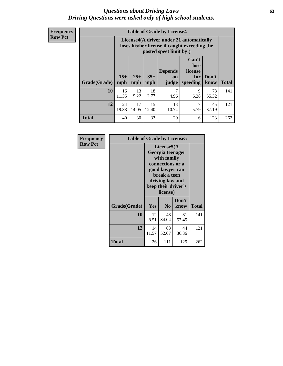#### *Questions about Driving Laws* **63** *Driving Questions were asked only of high school students.*

**Frequency Row Pct**

| <b>Table of Grade by License4</b> |             |                                                                                                                                                                                                                                                                                |             |           |           |             |     |  |  |
|-----------------------------------|-------------|--------------------------------------------------------------------------------------------------------------------------------------------------------------------------------------------------------------------------------------------------------------------------------|-------------|-----------|-----------|-------------|-----|--|--|
|                                   |             | License4(A driver under 21 automatically<br>loses his/her license if caught exceeding the<br>posted speet limit by:)<br>Can't<br>lose<br><b>Depends</b><br>license<br>$15+$<br>$25+$<br>$35+$<br>Don't<br>for<br>on<br>speeding<br><b>Total</b><br>mph<br>know<br>mph<br>judge |             |           |           |             |     |  |  |
| Grade(Grade)                      | mph         |                                                                                                                                                                                                                                                                                |             |           |           |             |     |  |  |
| 10                                | 16<br>11.35 | 13<br>9.22                                                                                                                                                                                                                                                                     | 18<br>12.77 | 7<br>4.96 | 9<br>6.38 | 78<br>55.32 | 141 |  |  |
| 12                                | 24<br>19.83 | 17<br>15<br>13<br>7<br>45<br>5.79<br>37.19<br>14.05<br>12.40<br>10.74                                                                                                                                                                                                          |             |           |           |             |     |  |  |
| <b>Total</b>                      | 40          | 30                                                                                                                                                                                                                                                                             | 33          | 20        | 16        | 123         | 262 |  |  |

| Frequency<br><b>Row Pct</b> | <b>Table of Grade by License5</b> |             |                                                                                                                                      |                     |       |
|-----------------------------|-----------------------------------|-------------|--------------------------------------------------------------------------------------------------------------------------------------|---------------------|-------|
|                             |                                   |             | License5(A)<br>Georgia teenager<br>with family<br>connections or a<br>good lawyer can<br>break a teen<br>driving law and<br>license) | keep their driver's |       |
|                             | Grade(Grade)                      | <b>Yes</b>  | N <sub>0</sub>                                                                                                                       | Don't<br>know       | Total |
|                             | 10                                | 12<br>8.51  | 48<br>34.04                                                                                                                          | 81<br>57.45         | 141   |
|                             | 12                                | 14<br>11.57 | 63<br>52.07                                                                                                                          | 44<br>36.36         | 121   |
|                             | <b>Total</b>                      | 26          | 111                                                                                                                                  | 125                 | 262   |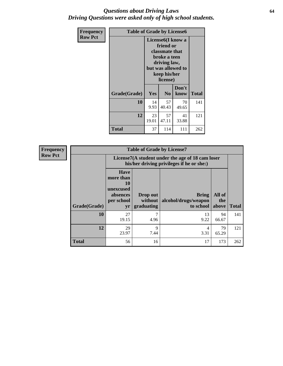#### *Questions about Driving Laws* **64** *Driving Questions were asked only of high school students.*

| <b>Frequency</b> | <b>Table of Grade by License6</b> |                                                                                                                                                 |                |               |              |
|------------------|-----------------------------------|-------------------------------------------------------------------------------------------------------------------------------------------------|----------------|---------------|--------------|
| <b>Row Pct</b>   |                                   | License <sub>6</sub> (I know a<br>friend or<br>classmate that<br>broke a teen<br>driving law,<br>but was allowed to<br>keep his/her<br>license) |                |               |              |
|                  | Grade(Grade)                      | <b>Yes</b>                                                                                                                                      | N <sub>0</sub> | Don't<br>know | <b>Total</b> |
|                  | 10                                | 14<br>9.93                                                                                                                                      | 57<br>40.43    | 70<br>49.65   | 141          |
|                  | 12                                | 23<br>19.01                                                                                                                                     | 121            |               |              |
|                  | Total                             | 37                                                                                                                                              | 114            | 111           | 262          |

| <b>Frequency</b> | <b>Table of Grade by License7</b> |                                                                                               |                                     |                                                   |                        |              |  |
|------------------|-----------------------------------|-----------------------------------------------------------------------------------------------|-------------------------------------|---------------------------------------------------|------------------------|--------------|--|
| <b>Row Pct</b>   |                                   | License7(A student under the age of 18 cam loser<br>his/her driving privileges if he or she:) |                                     |                                                   |                        |              |  |
|                  | Grade(Grade)                      | <b>Have</b><br>more than<br>10<br>unexcused<br>absences<br>per school<br>yr                   | Drop out<br>without  <br>graduating | <b>Bring</b><br>alcohol/drugs/weapon<br>to school | All of<br>the<br>above | <b>Total</b> |  |
|                  | <b>10</b>                         | 27<br>19.15                                                                                   | ┑<br>4.96                           | 13<br>9.22                                        | 94<br>66.67            | 141          |  |
|                  | 12                                | 29<br>23.97                                                                                   | 9<br>7.44                           | 4<br>3.31                                         | 79<br>65.29            | 121          |  |
|                  | <b>Total</b>                      | 56                                                                                            | 16                                  | 17                                                | 173                    | 262          |  |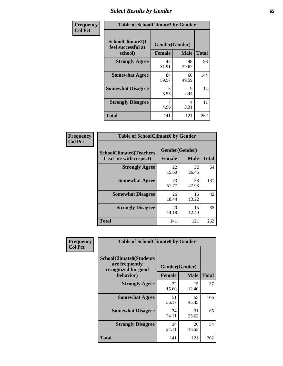# *Select Results by Gender* **65**

| Frequency      | <b>Table of SchoolClimate2 by Gender</b>          |                                 |             |              |
|----------------|---------------------------------------------------|---------------------------------|-------------|--------------|
| <b>Col Pct</b> | SchoolClimate2(I<br>feel successful at<br>school) | Gender(Gender)<br><b>Female</b> | <b>Male</b> | <b>Total</b> |
|                | <b>Strongly Agree</b>                             | 45<br>31.91                     | 48<br>39.67 | 93           |
|                | <b>Somewhat Agree</b>                             | 84<br>59.57                     | 60<br>49.59 | 144          |
|                | <b>Somewhat Disagree</b>                          | 5<br>3.55                       | 9<br>7.44   | 14           |
|                | <b>Strongly Disagree</b>                          | 4.96                            | 4<br>3.31   | 11           |
|                | <b>Total</b>                                      | 141                             | 121         | 262          |

| <b>Frequency</b> | <b>Table of SchoolClimate6 by Gender</b>                 |               |                               |              |  |
|------------------|----------------------------------------------------------|---------------|-------------------------------|--------------|--|
| <b>Col Pct</b>   | <b>SchoolClimate6(Teachers</b><br>treat me with respect) | <b>Female</b> | Gender(Gender)<br><b>Male</b> | <b>Total</b> |  |
|                  | <b>Strongly Agree</b>                                    | 22<br>15.60   | 32<br>26.45                   | 54           |  |
|                  | <b>Somewhat Agree</b>                                    | 73<br>51.77   | 58<br>47.93                   | 131          |  |
|                  | <b>Somewhat Disagree</b>                                 | 26<br>18.44   | 16<br>13.22                   | 42           |  |
|                  | <b>Strongly Disagree</b>                                 | 20<br>14.18   | 15<br>12.40                   | 35           |  |
|                  | <b>Total</b>                                             | 141           | 121                           | 262          |  |

| <b>Frequency</b> | <b>Table of SchoolClimate8 by Gender</b>                                             |                                 |             |              |
|------------------|--------------------------------------------------------------------------------------|---------------------------------|-------------|--------------|
| <b>Col Pct</b>   | <b>SchoolClimate8(Students</b><br>are frequently<br>recognized for good<br>behavior) | Gender(Gender)<br><b>Female</b> | <b>Male</b> | <b>Total</b> |
|                  |                                                                                      |                                 |             |              |
|                  | <b>Strongly Agree</b>                                                                | 22<br>15.60                     | 15<br>12.40 | 37           |
|                  | <b>Somewhat Agree</b>                                                                | 51<br>36.17                     | 55<br>45.45 | 106          |
|                  | <b>Somewhat Disagree</b>                                                             | 34<br>24.11                     | 31<br>25.62 | 65           |
|                  | <b>Strongly Disagree</b>                                                             | 34<br>24.11                     | 20<br>16.53 | 54           |
|                  | <b>Total</b>                                                                         | 141                             | 121         | 262          |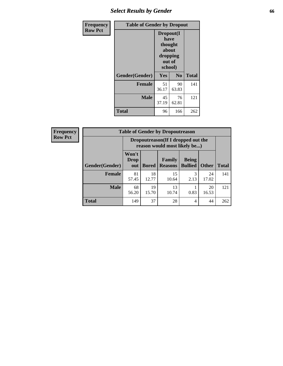# *Select Results by Gender* **66**

| Frequency      | <b>Table of Gender by Dropout</b> |                                                                        |                |              |
|----------------|-----------------------------------|------------------------------------------------------------------------|----------------|--------------|
| <b>Row Pct</b> |                                   | Dropout(I<br>have<br>thought<br>about<br>dropping<br>out of<br>school) |                |              |
|                | Gender(Gender)                    | Yes                                                                    | N <sub>0</sub> | <b>Total</b> |
|                | <b>Female</b>                     | 51<br>36.17                                                            | 90<br>63.83    | 141          |
|                | <b>Male</b>                       | 45<br>37.19                                                            | 76<br>62.81    | 121          |
|                | <b>Total</b>                      | 96                                                                     | 166            | 262          |

| <b>Frequency</b> | <b>Table of Gender by Dropoutreason</b> |                                                                    |              |                          |                                |              |              |
|------------------|-----------------------------------------|--------------------------------------------------------------------|--------------|--------------------------|--------------------------------|--------------|--------------|
| <b>Row Pct</b>   |                                         | Dropoutreason(If I dropped out the<br>reason would most likely be) |              |                          |                                |              |              |
|                  | <b>Gender</b> (Gender)                  | Won't<br><b>Drop</b><br>out                                        | <b>Bored</b> | Family<br><b>Reasons</b> | <b>Being</b><br><b>Bullied</b> | <b>Other</b> | <b>Total</b> |
|                  | <b>Female</b>                           | 81<br>57.45                                                        | 18<br>12.77  | 15<br>10.64              | 2.13                           | 24<br>17.02  | 141          |
|                  | <b>Male</b>                             | 68<br>56.20                                                        | 19<br>15.70  | 13<br>10.74              | 0.83                           | 20<br>16.53  | 121          |
|                  | <b>Total</b>                            | 149                                                                | 37           | 28                       | 4                              | 44           | 262          |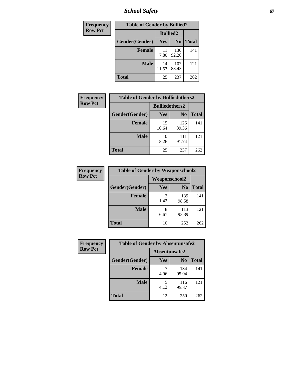*School Safety* **67**

| Frequency      | <b>Table of Gender by Bullied2</b> |                 |                |              |  |
|----------------|------------------------------------|-----------------|----------------|--------------|--|
| <b>Row Pct</b> |                                    | <b>Bullied2</b> |                |              |  |
|                | Gender(Gender)                     | Yes             | N <sub>0</sub> | <b>Total</b> |  |
|                | <b>Female</b>                      | 11<br>7.80      | 130<br>92.20   | 141          |  |
|                | <b>Male</b>                        | 14<br>11.57     | 107<br>88.43   | 121          |  |
|                | <b>Total</b>                       | 25              | 237            | 262          |  |

| Frequency      | <b>Table of Gender by Bulliedothers2</b> |                       |                |              |
|----------------|------------------------------------------|-----------------------|----------------|--------------|
| <b>Row Pct</b> |                                          | <b>Bulliedothers2</b> |                |              |
|                | Gender(Gender)                           | Yes                   | N <sub>0</sub> | <b>Total</b> |
|                | <b>Female</b>                            | 15<br>10.64           | 126<br>89.36   | 141          |
|                | <b>Male</b>                              | 10<br>8.26            | 111<br>91.74   | 121          |
|                | <b>Total</b>                             | 25                    | 237            | 262          |

| Frequency      | <b>Table of Gender by Weaponschool2</b> |               |                |       |
|----------------|-----------------------------------------|---------------|----------------|-------|
| <b>Row Pct</b> |                                         | Weaponschool2 |                |       |
|                | Gender(Gender)                          | Yes           | N <sub>0</sub> | Total |
|                | <b>Female</b>                           | 1.42          | 139<br>98.58   | 141   |
|                | <b>Male</b>                             | 8<br>6.61     | 113<br>93.39   | 121   |
|                | <b>Total</b>                            | 10            | 252            | 262   |

| Frequency      | <b>Table of Gender by Absentunsafe2</b> |               |                |              |
|----------------|-----------------------------------------|---------------|----------------|--------------|
| <b>Row Pct</b> |                                         | Absentunsafe2 |                |              |
|                | Gender(Gender)                          | Yes           | N <sub>0</sub> | <b>Total</b> |
|                | <b>Female</b>                           | 4.96          | 134<br>95.04   | 141          |
|                | <b>Male</b>                             | 5<br>4.13     | 116<br>95.87   | 121          |
|                | <b>Total</b>                            | 12            | 250            | 262          |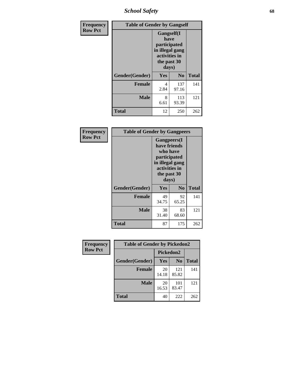*School Safety* **68**

| Frequency      | <b>Table of Gender by Gangself</b> |                                                                                                |              |              |
|----------------|------------------------------------|------------------------------------------------------------------------------------------------|--------------|--------------|
| <b>Row Pct</b> |                                    | Gangself(I<br>have<br>participated<br>in illegal gang<br>activities in<br>the past 30<br>days) |              |              |
|                | Gender(Gender)                     | Yes                                                                                            | $\bf No$     | <b>Total</b> |
|                | <b>Female</b>                      | 4<br>2.84                                                                                      | 137<br>97.16 | 141          |
|                | <b>Male</b>                        | 8<br>6.61                                                                                      | 113<br>93.39 | 121          |
|                | <b>Total</b>                       | 12                                                                                             | 250          | 262          |

| Frequency      | <b>Table of Gender by Gangpeers</b> |                                                                                                                             |                |              |
|----------------|-------------------------------------|-----------------------------------------------------------------------------------------------------------------------------|----------------|--------------|
| <b>Row Pct</b> |                                     | <b>Gangpeers</b> (I<br>have friends<br>who have<br>participated<br>in illegal gang<br>activities in<br>the past 30<br>days) |                |              |
|                | Gender(Gender)                      | <b>Yes</b>                                                                                                                  | N <sub>0</sub> | <b>Total</b> |
|                | <b>Female</b>                       | 49<br>34.75                                                                                                                 | 92<br>65.25    | 141          |
|                | <b>Male</b>                         | 38<br>31.40                                                                                                                 | 83<br>68.60    | 121          |
|                | Total                               | 87                                                                                                                          | 175            | 262          |

| Frequency      | <b>Table of Gender by Pickedon2</b> |             |                |              |
|----------------|-------------------------------------|-------------|----------------|--------------|
| <b>Row Pct</b> |                                     | Pickedon2   |                |              |
|                | Gender(Gender)                      | Yes         | N <sub>0</sub> | <b>Total</b> |
|                | <b>Female</b>                       | 20<br>14.18 | 121<br>85.82   | 141          |
|                | <b>Male</b>                         | 20<br>16.53 | 101<br>83.47   | 121          |
|                | <b>Total</b>                        | 40          | 222            | 262          |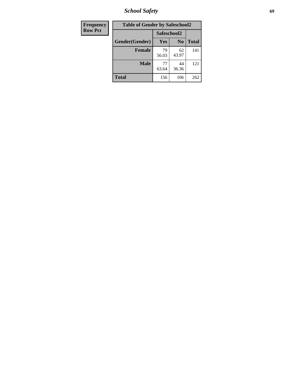*School Safety* **69**

| Frequency      | <b>Table of Gender by Safeschool2</b> |             |                |              |
|----------------|---------------------------------------|-------------|----------------|--------------|
| <b>Row Pct</b> |                                       | Safeschool2 |                |              |
|                | Gender(Gender)                        | <b>Yes</b>  | N <sub>0</sub> | <b>Total</b> |
|                | <b>Female</b>                         | 79<br>56.03 | 62<br>43.97    | 141          |
|                | <b>Male</b>                           | 77<br>63.64 | 44<br>36.36    | 121          |
|                | <b>Total</b>                          | 156         | 106            | 262          |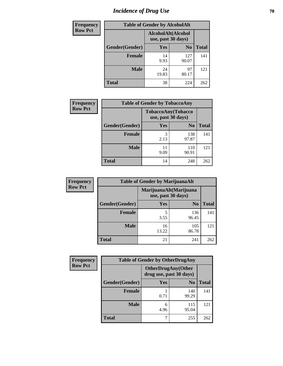# *Incidence of Drug Use* **70**

| Frequency      | <b>Table of Gender by AlcoholAlt</b> |                                          |                |              |
|----------------|--------------------------------------|------------------------------------------|----------------|--------------|
| <b>Row Pct</b> |                                      | AlcoholAlt(Alcohol<br>use, past 30 days) |                |              |
|                | Gender(Gender)                       | Yes                                      | N <sub>0</sub> | <b>Total</b> |
|                | <b>Female</b>                        | 14<br>9.93                               | 127<br>90.07   | 141          |
|                | <b>Male</b>                          | 24<br>19.83                              | 97<br>80.17    | 121          |
|                | <b>Total</b>                         | 38                                       | 224            | 262          |

| <b>Frequency</b> | <b>Table of Gender by TobaccoAny</b> |            |                                          |              |
|------------------|--------------------------------------|------------|------------------------------------------|--------------|
| <b>Row Pct</b>   |                                      |            | TobaccoAny(Tobacco<br>use, past 30 days) |              |
|                  | Gender(Gender)                       | Yes        | N <sub>0</sub>                           | <b>Total</b> |
|                  | <b>Female</b>                        | 3<br>2.13  | 138<br>97.87                             | 141          |
|                  | <b>Male</b>                          | 11<br>9.09 | 110<br>90.91                             | 121          |
|                  | <b>Total</b>                         | 14         | 248                                      | 262          |

| <b>Frequency</b> | <b>Table of Gender by MarijuanaAlt</b> |             |                                              |       |
|------------------|----------------------------------------|-------------|----------------------------------------------|-------|
| <b>Row Pct</b>   |                                        |             | MarijuanaAlt(Marijuana<br>use, past 30 days) |       |
|                  | Gender(Gender)                         | <b>Yes</b>  | N <sub>0</sub>                               | Total |
|                  | <b>Female</b>                          | 5<br>3.55   | 136<br>96.45                                 | 141   |
|                  | <b>Male</b>                            | 16<br>13.22 | 105<br>86.78                                 | 121   |
|                  | <b>Total</b>                           | 21          | 241                                          | 262   |

| <b>Frequency</b> | <b>Table of Gender by OtherDrugAny</b> |                                                      |                |              |
|------------------|----------------------------------------|------------------------------------------------------|----------------|--------------|
| <b>Row Pct</b>   |                                        | <b>OtherDrugAny(Other</b><br>drug use, past 30 days) |                |              |
|                  | Gender(Gender)                         | <b>Yes</b>                                           | N <sub>0</sub> | <b>Total</b> |
|                  | <b>Female</b>                          | 0.71                                                 | 140<br>99.29   | 141          |
|                  | <b>Male</b>                            | 6<br>4.96                                            | 115<br>95.04   | 121          |
|                  | <b>Total</b>                           | 7                                                    | 255            | 262          |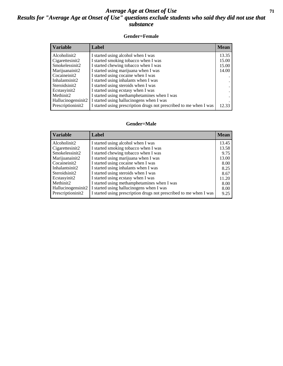#### *Average Age at Onset of Use* **71** *Results for "Average Age at Onset of Use" questions exclude students who said they did not use that substance*

#### **Gender=Female**

| <b>Variable</b>                 | Label                                                              | <b>Mean</b> |
|---------------------------------|--------------------------------------------------------------------|-------------|
| Alcoholinit2                    | I started using alcohol when I was                                 | 13.35       |
| Cigarettesinit2                 | I started smoking tobacco when I was                               | 15.00       |
| Smokelessinit2                  | I started chewing tobacco when I was                               | 15.00       |
| Marijuanainit2                  | I started using marijuana when I was                               | 14.00       |
| Cocaineinit2                    | I started using cocaine when I was                                 |             |
| Inhalantsinit2                  | I started using inhalants when I was                               |             |
| Steroidsinit2                   | I started using steroids when I was                                |             |
| Ecstasyinit2                    | I started using ecstasy when I was                                 |             |
| Methinit2                       | I started using methamphetamines when I was                        |             |
| Hallucinogensinit2              | I started using hallucinogens when I was                           |             |
| Prescription in it <sub>2</sub> | I started using prescription drugs not prescribed to me when I was | 12.33       |

#### **Gender=Male**

| <b>Variable</b>    | Label                                                              | <b>Mean</b> |
|--------------------|--------------------------------------------------------------------|-------------|
| Alcoholinit2       | I started using alcohol when I was                                 | 13.45       |
| Cigarettesinit2    | I started smoking tobacco when I was                               | 13.58       |
| Smokelessinit2     | I started chewing tobacco when I was                               | 9.75        |
| Marijuanainit2     | I started using marijuana when I was                               | 13.00       |
| Cocaineinit2       | I started using cocaine when I was                                 | 8.00        |
| Inhalantsinit2     | I started using inhalants when I was                               | 8.25        |
| Steroidsinit2      | I started using steroids when I was                                | 8.67        |
| Ecstasyinit2       | I started using ecstasy when I was                                 | 11.20       |
| Methinit2          | I started using methamphetamines when I was                        | 8.00        |
| Hallucinogensinit2 | I started using hallucinogens when I was                           | 8.00        |
| Prescriptioninit2  | I started using prescription drugs not prescribed to me when I was | 9.25        |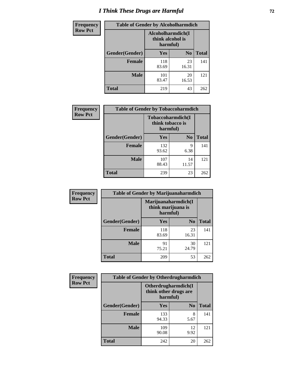# *I Think These Drugs are Harmful* **72**

| <b>Frequency</b> | <b>Table of Gender by Alcoholharmdich</b> |                                                   |                |              |
|------------------|-------------------------------------------|---------------------------------------------------|----------------|--------------|
| <b>Row Pct</b>   |                                           | Alcoholharmdich(I<br>think alcohol is<br>harmful) |                |              |
|                  | Gender(Gender)                            | <b>Yes</b>                                        | N <sub>0</sub> | <b>Total</b> |
|                  | <b>Female</b>                             | 118<br>83.69                                      | 23<br>16.31    | 141          |
|                  | <b>Male</b>                               | 101<br>83.47                                      | 20<br>16.53    | 121          |
|                  | <b>Total</b>                              | 219                                               | 43             | 262          |

| Frequency      | <b>Table of Gender by Tobaccoharmdich</b> |                              |                   |              |
|----------------|-------------------------------------------|------------------------------|-------------------|--------------|
| <b>Row Pct</b> |                                           | think tobacco is<br>harmful) | Tobaccoharmdich(I |              |
|                | Gender(Gender)                            | Yes                          | N <sub>0</sub>    | <b>Total</b> |
|                | <b>Female</b>                             | 132<br>93.62                 | 9<br>6.38         | 141          |
|                | <b>Male</b>                               | 107<br>88.43                 | 14<br>11.57       | 121          |
|                | <b>Total</b>                              | 239                          | 23                | 262          |

| Frequency      | <b>Table of Gender by Marijuanaharmdich</b> |                                                       |                |              |  |
|----------------|---------------------------------------------|-------------------------------------------------------|----------------|--------------|--|
| <b>Row Pct</b> |                                             | Marijuanaharmdich(I<br>think marijuana is<br>harmful) |                |              |  |
|                | Gender(Gender)                              | <b>Yes</b>                                            | N <sub>0</sub> | <b>Total</b> |  |
|                | <b>Female</b>                               | 118<br>83.69                                          | 23<br>16.31    | 141          |  |
|                | <b>Male</b>                                 | 91<br>75.21                                           | 30<br>24.79    | 121          |  |
|                | <b>Total</b>                                | 209                                                   | 53             | 262          |  |

| Frequency      | <b>Table of Gender by Otherdrugharmdich</b>              |              |                |              |  |
|----------------|----------------------------------------------------------|--------------|----------------|--------------|--|
| <b>Row Pct</b> | Otherdrugharmdich(I<br>think other drugs are<br>harmful) |              |                |              |  |
|                | Gender(Gender)                                           | <b>Yes</b>   | N <sub>0</sub> | <b>Total</b> |  |
|                | <b>Female</b>                                            | 133<br>94.33 | 8<br>5.67      | 141          |  |
|                | <b>Male</b>                                              | 109<br>90.08 | 12<br>9.92     | 121          |  |
|                | <b>Total</b>                                             | 242          | 20             | 262          |  |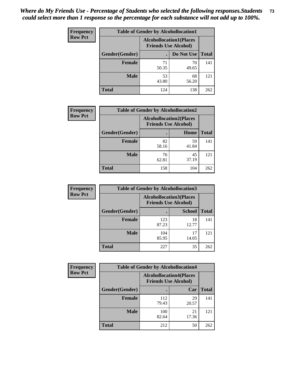| <b>Frequency</b> | <b>Table of Gender by Alcohollocation1</b> |                                                               |             |              |
|------------------|--------------------------------------------|---------------------------------------------------------------|-------------|--------------|
| <b>Row Pct</b>   |                                            | <b>Alcohollocation1(Places</b><br><b>Friends Use Alcohol)</b> |             |              |
|                  | Gender(Gender)                             |                                                               | Do Not Use  | <b>Total</b> |
|                  | <b>Female</b>                              | 71<br>50.35                                                   | 70<br>49.65 | 141          |
|                  | <b>Male</b>                                | 53<br>43.80                                                   | 68<br>56.20 | 121          |
|                  | <b>Total</b>                               | 124                                                           | 138         | 262          |

| <b>Frequency</b> | <b>Table of Gender by Alcohollocation2</b> |                                                               |             |              |
|------------------|--------------------------------------------|---------------------------------------------------------------|-------------|--------------|
| <b>Row Pct</b>   |                                            | <b>Alcohollocation2(Places</b><br><b>Friends Use Alcohol)</b> |             |              |
|                  | Gender(Gender)                             |                                                               | Home        | <b>Total</b> |
|                  | Female                                     | 82<br>58.16                                                   | 59<br>41.84 | 141          |
|                  | <b>Male</b>                                | 76<br>62.81                                                   | 45<br>37.19 | 121          |
|                  | <b>Total</b>                               | 158                                                           | 104         | 262          |

| Frequency      | <b>Table of Gender by Alcohollocation3</b> |                                                               |               |              |
|----------------|--------------------------------------------|---------------------------------------------------------------|---------------|--------------|
| <b>Row Pct</b> |                                            | <b>Alcohollocation3(Places</b><br><b>Friends Use Alcohol)</b> |               |              |
|                | Gender(Gender)                             |                                                               | <b>School</b> | <b>Total</b> |
|                | <b>Female</b>                              | 123<br>87.23                                                  | 18<br>12.77   | 141          |
|                | <b>Male</b>                                | 104<br>85.95                                                  | 17<br>14.05   | 121          |
|                | <b>Total</b>                               | 227                                                           | 35            | 262          |

| Frequency      | <b>Table of Gender by Alcohollocation4</b> |                                                               |             |              |
|----------------|--------------------------------------------|---------------------------------------------------------------|-------------|--------------|
| <b>Row Pct</b> |                                            | <b>Alcohollocation4(Places</b><br><b>Friends Use Alcohol)</b> |             |              |
|                | Gender(Gender)                             |                                                               | Car         | <b>Total</b> |
|                | <b>Female</b>                              | 112<br>79.43                                                  | 29<br>20.57 | 141          |
|                | <b>Male</b>                                | 100<br>82.64                                                  | 21<br>17.36 | 121          |
|                | <b>Total</b>                               | 212                                                           | 50          | 262          |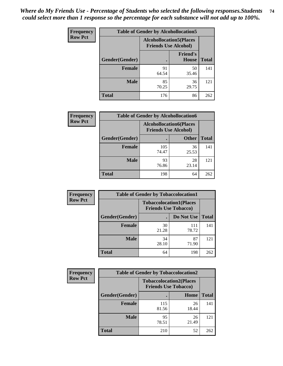| <b>Frequency</b> |                | <b>Table of Gender by Alcohollocation5</b> |                                                               |              |
|------------------|----------------|--------------------------------------------|---------------------------------------------------------------|--------------|
| <b>Row Pct</b>   |                |                                            | <b>Alcohollocation5(Places</b><br><b>Friends Use Alcohol)</b> |              |
|                  | Gender(Gender) | $\bullet$                                  | <b>Friend's</b><br><b>House</b>                               | <b>Total</b> |
|                  | <b>Female</b>  | 91<br>64.54                                | 50<br>35.46                                                   | 141          |
|                  | <b>Male</b>    | 85<br>70.25                                | 36<br>29.75                                                   | 121          |
|                  | <b>Total</b>   | 176                                        | 86                                                            | 262          |

| Frequency      |                        | <b>Table of Gender by Alcohollocation6</b>                    |              |              |
|----------------|------------------------|---------------------------------------------------------------|--------------|--------------|
| <b>Row Pct</b> |                        | <b>Alcohollocation6(Places</b><br><b>Friends Use Alcohol)</b> |              |              |
|                | <b>Gender</b> (Gender) |                                                               | <b>Other</b> | <b>Total</b> |
|                | <b>Female</b>          | 105<br>74.47                                                  | 36<br>25.53  | 141          |
|                | <b>Male</b>            | 93<br>76.86                                                   | 28<br>23.14  | 121          |
|                | <b>Total</b>           | 198                                                           | 64           | 262          |

| Frequency      | <b>Table of Gender by Tobaccolocation1</b> |                                                               |              |              |  |
|----------------|--------------------------------------------|---------------------------------------------------------------|--------------|--------------|--|
| <b>Row Pct</b> |                                            | <b>Tobaccolocation1(Places</b><br><b>Friends Use Tobacco)</b> |              |              |  |
|                | Gender(Gender)                             |                                                               | Do Not Use   | <b>Total</b> |  |
|                | Female                                     | 30<br>21.28                                                   | 111<br>78.72 | 141          |  |
|                | <b>Male</b>                                | 34<br>28.10                                                   | 87<br>71.90  | 121          |  |
|                | <b>Total</b>                               | 64                                                            | 198          | 262          |  |

| Frequency      | <b>Table of Gender by Tobaccolocation2</b> |                             |                                |              |
|----------------|--------------------------------------------|-----------------------------|--------------------------------|--------------|
| <b>Row Pct</b> |                                            | <b>Friends Use Tobacco)</b> | <b>Tobaccolocation2(Places</b> |              |
|                | Gender(Gender)                             |                             | Home                           | <b>Total</b> |
|                | Female                                     | 115<br>81.56                | 26<br>18.44                    | 141          |
|                | <b>Male</b>                                | 95<br>78.51                 | 26<br>21.49                    | 121          |
|                | <b>Total</b>                               | 210                         | 52                             | 262          |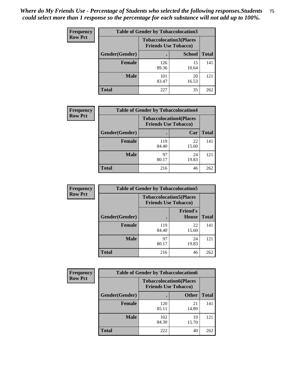| <b>Frequency</b> | <b>Table of Gender by Tobaccolocation3</b> |              |                                                               |              |
|------------------|--------------------------------------------|--------------|---------------------------------------------------------------|--------------|
| <b>Row Pct</b>   |                                            |              | <b>Tobaccolocation3(Places</b><br><b>Friends Use Tobacco)</b> |              |
|                  | Gender(Gender)                             |              | <b>School</b>                                                 | <b>Total</b> |
|                  | <b>Female</b>                              | 126<br>89.36 | 15<br>10.64                                                   | 141          |
|                  | <b>Male</b>                                | 101<br>83.47 | 20<br>16.53                                                   | 121          |
|                  | Total                                      | 227          | 35                                                            | 262          |

| <b>Frequency</b> | <b>Table of Gender by Tobaccolocation4</b> |              |                                                               |              |
|------------------|--------------------------------------------|--------------|---------------------------------------------------------------|--------------|
| <b>Row Pct</b>   |                                            |              | <b>Tobaccolocation4(Places</b><br><b>Friends Use Tobacco)</b> |              |
|                  | Gender(Gender)                             |              | Car                                                           | <b>Total</b> |
|                  | <b>Female</b>                              | 119<br>84.40 | 22<br>15.60                                                   | 141          |
|                  | <b>Male</b>                                | 97<br>80.17  | 24<br>19.83                                                   | 121          |
|                  | <b>Total</b>                               | 216          | 46                                                            | 262          |

| <b>Frequency</b> | <b>Table of Gender by Tobaccolocation5</b> |                                                               |                                 |              |
|------------------|--------------------------------------------|---------------------------------------------------------------|---------------------------------|--------------|
| <b>Row Pct</b>   |                                            | <b>Tobaccolocation5(Places</b><br><b>Friends Use Tobacco)</b> |                                 |              |
|                  | Gender(Gender)                             |                                                               | <b>Friend's</b><br><b>House</b> | <b>Total</b> |
|                  | <b>Female</b>                              | 119<br>84.40                                                  | 22<br>15.60                     | 141          |
|                  | <b>Male</b>                                | 97<br>80.17                                                   | 24<br>19.83                     | 121          |
|                  | <b>Total</b>                               | 216                                                           | 46                              | 262          |

| <b>Frequency</b> | <b>Table of Gender by Tobaccolocation6</b> |                                                               |              |              |
|------------------|--------------------------------------------|---------------------------------------------------------------|--------------|--------------|
| <b>Row Pct</b>   |                                            | <b>Tobaccolocation6(Places</b><br><b>Friends Use Tobacco)</b> |              |              |
|                  | Gender(Gender)                             |                                                               | <b>Other</b> | <b>Total</b> |
|                  | Female                                     | 120<br>85.11                                                  | 21<br>14.89  | 141          |
|                  | <b>Male</b>                                | 102<br>84.30                                                  | 19<br>15.70  | 121          |
|                  | <b>Total</b>                               | 222                                                           | 40           | 262          |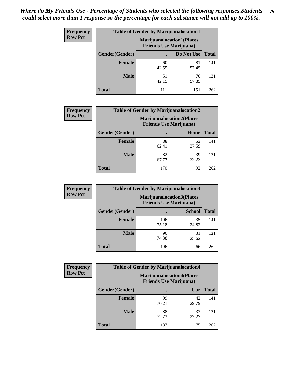| <b>Frequency</b> | <b>Table of Gender by Marijuanalocation1</b> |                                                                    |             |              |  |
|------------------|----------------------------------------------|--------------------------------------------------------------------|-------------|--------------|--|
| <b>Row Pct</b>   |                                              | <b>Marijuanalocation1(Places</b><br><b>Friends Use Marijuana</b> ) |             |              |  |
|                  | Gender(Gender)                               |                                                                    | Do Not Use  | <b>Total</b> |  |
|                  | <b>Female</b>                                | 60<br>42.55                                                        | 81<br>57.45 | 141          |  |
|                  | <b>Male</b>                                  | 51<br>42.15                                                        | 70<br>57.85 | 121          |  |
|                  | <b>Total</b>                                 | 111                                                                | 151         | 262          |  |

| <b>Frequency</b> | <b>Table of Gender by Marijuanalocation2</b> |                                                                    |             |              |
|------------------|----------------------------------------------|--------------------------------------------------------------------|-------------|--------------|
| <b>Row Pct</b>   |                                              | <b>Marijuanalocation2(Places</b><br><b>Friends Use Marijuana</b> ) |             |              |
|                  | Gender(Gender)                               |                                                                    | Home        | <b>Total</b> |
|                  | Female                                       | 88<br>62.41                                                        | 53<br>37.59 | 141          |
|                  | <b>Male</b>                                  | 82<br>67.77                                                        | 39<br>32.23 | 121          |
|                  | <b>Total</b>                                 | 170                                                                | 92          | 262          |

| Frequency      | <b>Table of Gender by Marijuanalocation3</b> |                                                                    |               |              |
|----------------|----------------------------------------------|--------------------------------------------------------------------|---------------|--------------|
| <b>Row Pct</b> |                                              | <b>Marijuanalocation3(Places</b><br><b>Friends Use Marijuana</b> ) |               |              |
|                | Gender(Gender)                               |                                                                    | <b>School</b> | <b>Total</b> |
|                | Female                                       | 106<br>75.18                                                       | 35<br>24.82   | 141          |
|                | <b>Male</b>                                  | 90<br>74.38                                                        | 31<br>25.62   | 121          |
|                | <b>Total</b>                                 | 196                                                                | 66            | 262          |

| <b>Frequency</b> | <b>Table of Gender by Marijuanalocation4</b> |                                |                                  |              |
|------------------|----------------------------------------------|--------------------------------|----------------------------------|--------------|
| <b>Row Pct</b>   |                                              | <b>Friends Use Marijuana</b> ) | <b>Marijuanalocation4(Places</b> |              |
|                  | Gender(Gender)                               |                                | Car                              | <b>Total</b> |
|                  | <b>Female</b>                                | 99<br>70.21                    | 42<br>29.79                      | 141          |
|                  | <b>Male</b>                                  | 88<br>72.73                    | 33<br>27.27                      | 121          |
|                  | <b>Total</b>                                 | 187                            | 75                               | 262          |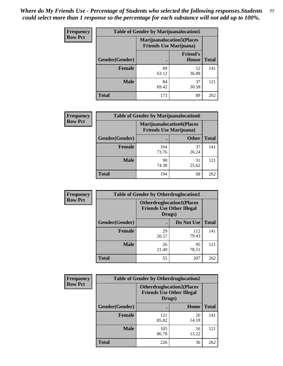| <b>Frequency</b> | <b>Table of Gender by Marijuanalocation5</b> |                                                                     |                                 |              |
|------------------|----------------------------------------------|---------------------------------------------------------------------|---------------------------------|--------------|
| <b>Row Pct</b>   |                                              | <b>Marijuanalocation5</b> (Places<br><b>Friends Use Marijuana</b> ) |                                 |              |
|                  | Gender(Gender)                               |                                                                     | <b>Friend's</b><br><b>House</b> | <b>Total</b> |
|                  | <b>Female</b>                                | 89<br>63.12                                                         | 52<br>36.88                     | 141          |
|                  | <b>Male</b>                                  | 84<br>69.42                                                         | 37<br>30.58                     | 121          |
|                  | <b>Total</b>                                 | 173                                                                 | 89                              | 262          |

| <b>Frequency</b> | <b>Table of Gender by Marijuanalocation6</b> |                                                                    |              |              |
|------------------|----------------------------------------------|--------------------------------------------------------------------|--------------|--------------|
| <b>Row Pct</b>   |                                              | <b>Marijuanalocation6(Places</b><br><b>Friends Use Marijuana</b> ) |              |              |
|                  | Gender(Gender)                               |                                                                    | <b>Other</b> | <b>Total</b> |
|                  | <b>Female</b>                                | 104<br>73.76                                                       | 37<br>26.24  | 141          |
|                  | <b>Male</b>                                  | 90<br>74.38                                                        | 31<br>25.62  | 121          |
|                  | <b>Total</b>                                 | 194                                                                | 68           | 262          |

| Frequency      | <b>Table of Gender by Otherdruglocation1</b> |                                                                                |              |              |
|----------------|----------------------------------------------|--------------------------------------------------------------------------------|--------------|--------------|
| <b>Row Pct</b> |                                              | <b>Otherdruglocation1(Places</b><br><b>Friends Use Other Illegal</b><br>Drugs) |              |              |
|                | Gender(Gender)                               |                                                                                | Do Not Use   | <b>Total</b> |
|                | Female                                       | 29<br>20.57                                                                    | 112<br>79.43 | 141          |
|                | <b>Male</b>                                  | 26<br>21.49                                                                    | 95<br>78.51  | 121          |
|                | <b>Total</b>                                 | 55                                                                             | 207          | 262          |

| <b>Frequency</b> | <b>Table of Gender by Otherdruglocation2</b>                                   |              |             |              |
|------------------|--------------------------------------------------------------------------------|--------------|-------------|--------------|
| <b>Row Pct</b>   | <b>Otherdruglocation2(Places</b><br><b>Friends Use Other Illegal</b><br>Drugs) |              |             |              |
|                  | Gender(Gender)                                                                 |              | Home        | <b>Total</b> |
|                  | <b>Female</b>                                                                  | 121<br>85.82 | 20<br>14.18 | 141          |
|                  | <b>Male</b>                                                                    | 105<br>86.78 | 16<br>13.22 | 121          |
|                  | <b>Total</b>                                                                   | 226          | 36          | 262          |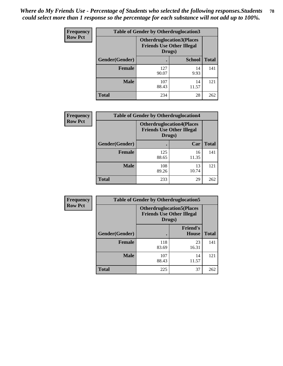| <b>Frequency</b> | <b>Table of Gender by Otherdruglocation3</b> |                                                                                |               |              |
|------------------|----------------------------------------------|--------------------------------------------------------------------------------|---------------|--------------|
| <b>Row Pct</b>   |                                              | <b>Otherdruglocation3(Places</b><br><b>Friends Use Other Illegal</b><br>Drugs) |               |              |
|                  | <b>Gender</b> (Gender)                       |                                                                                | <b>School</b> | <b>Total</b> |
|                  | <b>Female</b>                                | 127<br>90.07                                                                   | 14<br>9.93    | 141          |
|                  | <b>Male</b>                                  | 107<br>88.43                                                                   | 14<br>11.57   | 121          |
|                  | <b>Total</b>                                 | 234                                                                            | 28            | 262          |

| Frequency      | <b>Table of Gender by Otherdruglocation4</b> |                                            |                                  |              |
|----------------|----------------------------------------------|--------------------------------------------|----------------------------------|--------------|
| <b>Row Pct</b> |                                              | <b>Friends Use Other Illegal</b><br>Drugs) | <b>Otherdruglocation4(Places</b> |              |
|                | <b>Gender</b> (Gender)                       |                                            | Car                              | <b>Total</b> |
|                | Female                                       | 125<br>88.65                               | 16<br>11.35                      | 141          |
|                | <b>Male</b>                                  | 108<br>89.26                               | 13<br>10.74                      | 121          |
|                | <b>Total</b>                                 | 233                                        | 29                               | 262          |

| Frequency      | <b>Table of Gender by Otherdruglocation5</b>                                   |              |                                 |              |
|----------------|--------------------------------------------------------------------------------|--------------|---------------------------------|--------------|
| <b>Row Pct</b> | <b>Otherdruglocation5(Places</b><br><b>Friends Use Other Illegal</b><br>Drugs) |              |                                 |              |
|                | Gender(Gender)                                                                 |              | <b>Friend's</b><br><b>House</b> | <b>Total</b> |
|                | <b>Female</b>                                                                  | 118<br>83.69 | 23<br>16.31                     | 141          |
|                | <b>Male</b>                                                                    | 107<br>88.43 | 14<br>11.57                     | 121          |
|                | <b>Total</b>                                                                   | 225          | 37                              | 262          |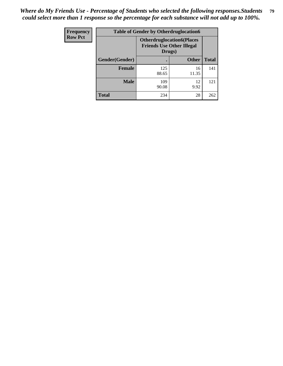| <b>Frequency</b> | <b>Table of Gender by Otherdruglocation6</b> |              |                                                                                |              |
|------------------|----------------------------------------------|--------------|--------------------------------------------------------------------------------|--------------|
| <b>Row Pct</b>   |                                              |              | <b>Otherdruglocation6(Places</b><br><b>Friends Use Other Illegal</b><br>Drugs) |              |
|                  | Gender(Gender)                               |              | <b>Other</b>                                                                   | <b>Total</b> |
|                  | Female                                       | 125<br>88.65 | 16<br>11.35                                                                    | 141          |
|                  | <b>Male</b>                                  | 109<br>90.08 | 12<br>9.92                                                                     | 121          |
|                  | <b>Total</b>                                 | 234          | 28                                                                             | 262          |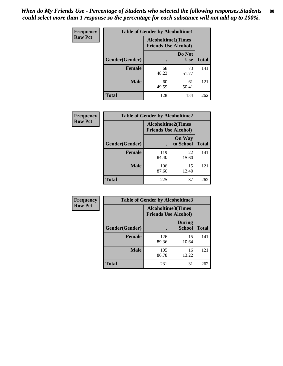| <b>Frequency</b> | <b>Table of Gender by Alcoholtime1</b> |                                                          |                      |              |
|------------------|----------------------------------------|----------------------------------------------------------|----------------------|--------------|
| <b>Row Pct</b>   |                                        | <b>Alcoholtime1(Times</b><br><b>Friends Use Alcohol)</b> |                      |              |
|                  | Gender(Gender)                         | $\bullet$                                                | Do Not<br><b>Use</b> | <b>Total</b> |
|                  | <b>Female</b>                          | 68<br>48.23                                              | 73<br>51.77          | 141          |
|                  | <b>Male</b>                            | 60<br>49.59                                              | 61<br>50.41          | 121          |
|                  | <b>Total</b>                           | 128                                                      | 134                  | 262          |

| Frequency      | <b>Table of Gender by Alcoholtime2</b> |                                                          |                            |              |
|----------------|----------------------------------------|----------------------------------------------------------|----------------------------|--------------|
| <b>Row Pct</b> |                                        | <b>Alcoholtime2(Times</b><br><b>Friends Use Alcohol)</b> |                            |              |
|                | Gender(Gender)                         |                                                          | <b>On Way</b><br>to School | <b>Total</b> |
|                | <b>Female</b>                          | 119<br>84.40                                             | 22<br>15.60                | 141          |
|                | <b>Male</b>                            | 106<br>87.60                                             | 15<br>12.40                | 121          |
|                | <b>Total</b>                           | 225                                                      | 37                         | 262          |

| Frequency      | <b>Table of Gender by Alcoholtime3</b> |                                                   |                                |              |
|----------------|----------------------------------------|---------------------------------------------------|--------------------------------|--------------|
| <b>Row Pct</b> |                                        | Alcoholtime3(Times<br><b>Friends Use Alcohol)</b> |                                |              |
|                | Gender(Gender)                         |                                                   | <b>During</b><br><b>School</b> | <b>Total</b> |
|                | Female                                 | 126<br>89.36                                      | 15<br>10.64                    | 141          |
|                | <b>Male</b>                            | 105<br>86.78                                      | 16<br>13.22                    | 121          |
|                | <b>Total</b>                           | 231                                               | 31                             | 262          |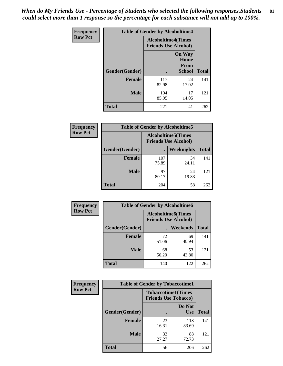*When do My Friends Use - Percentage of Students who selected the following responses.Students could select more than 1 response so the percentage for each substance will not add up to 100%.* **81**

| <b>Frequency</b> | <b>Table of Gender by Alcoholtime4</b> |                                                          |                                                       |              |  |
|------------------|----------------------------------------|----------------------------------------------------------|-------------------------------------------------------|--------------|--|
| <b>Row Pct</b>   |                                        | <b>Alcoholtime4(Times</b><br><b>Friends Use Alcohol)</b> |                                                       |              |  |
|                  | Gender(Gender)                         |                                                          | <b>On Way</b><br>Home<br><b>From</b><br><b>School</b> | <b>Total</b> |  |
|                  | <b>Female</b>                          | 117<br>82.98                                             | 24<br>17.02                                           | 141          |  |
|                  | <b>Male</b>                            | 104<br>85.95                                             | 17<br>14.05                                           | 121          |  |
|                  | <b>Total</b>                           | 221                                                      | 41                                                    | 262          |  |

| <b>Frequency</b> | <b>Table of Gender by Alcoholtime5</b> |                                                           |             |              |
|------------------|----------------------------------------|-----------------------------------------------------------|-------------|--------------|
| <b>Row Pct</b>   |                                        | <b>Alcoholtime5</b> (Times<br><b>Friends Use Alcohol)</b> |             |              |
|                  | Gender(Gender)                         |                                                           | Weeknights  | <b>Total</b> |
|                  | <b>Female</b>                          | 107<br>75.89                                              | 34<br>24.11 | 141          |
|                  | <b>Male</b>                            | 97<br>80.17                                               | 24<br>19.83 | 121          |
|                  | <b>Total</b>                           | 204                                                       | 58          | 262          |

| <b>Frequency</b> | <b>Table of Gender by Alcoholtime6</b> |             |                                                          |              |  |
|------------------|----------------------------------------|-------------|----------------------------------------------------------|--------------|--|
| <b>Row Pct</b>   |                                        |             | <b>Alcoholtime6(Times</b><br><b>Friends Use Alcohol)</b> |              |  |
|                  | Gender(Gender)                         |             | <b>Weekends</b>                                          | <b>Total</b> |  |
|                  | Female                                 | 72<br>51.06 | 69<br>48.94                                              | 141          |  |
|                  | <b>Male</b>                            | 68<br>56.20 | 53<br>43.80                                              | 121          |  |
|                  | <b>Total</b>                           | 140         | 122                                                      | 262          |  |

| <b>Frequency</b> | <b>Table of Gender by Tobaccotime1</b> |                                                          |                      |              |  |
|------------------|----------------------------------------|----------------------------------------------------------|----------------------|--------------|--|
| <b>Row Pct</b>   |                                        | <b>Tobaccotime1(Times</b><br><b>Friends Use Tobacco)</b> |                      |              |  |
|                  | Gender(Gender)                         |                                                          | Do Not<br><b>Use</b> | <b>Total</b> |  |
|                  | <b>Female</b>                          | 23<br>16.31                                              | 118<br>83.69         | 141          |  |
|                  | <b>Male</b>                            | 33<br>27.27                                              | 88<br>72.73          | 121          |  |
|                  | <b>Total</b>                           | 56                                                       | 206                  | 262          |  |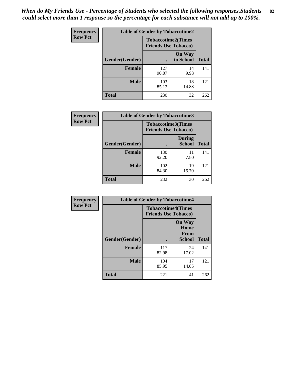*When do My Friends Use - Percentage of Students who selected the following responses.Students could select more than 1 response so the percentage for each substance will not add up to 100%.* **82**

| Frequency      |                | <b>Table of Gender by Tobaccotime2</b>                   |                            |              |
|----------------|----------------|----------------------------------------------------------|----------------------------|--------------|
| <b>Row Pct</b> |                | <b>Tobaccotime2(Times</b><br><b>Friends Use Tobacco)</b> |                            |              |
|                | Gender(Gender) |                                                          | <b>On Way</b><br>to School | <b>Total</b> |
|                | Female         | 127<br>90.07                                             | 14<br>9.93                 | 141          |
|                | <b>Male</b>    | 103<br>85.12                                             | 18<br>14.88                | 121          |
|                | <b>Total</b>   | 230                                                      | 32                         | 262          |

| Frequency      | <b>Table of Gender by Tobaccotime3</b> |                                                          |                                |              |
|----------------|----------------------------------------|----------------------------------------------------------|--------------------------------|--------------|
| <b>Row Pct</b> |                                        | <b>Tobaccotime3(Times</b><br><b>Friends Use Tobacco)</b> |                                |              |
|                | Gender(Gender)                         |                                                          | <b>During</b><br><b>School</b> | <b>Total</b> |
|                | <b>Female</b>                          | 130<br>92.20                                             | 11<br>7.80                     | 141          |
|                | <b>Male</b>                            | 102<br>84.30                                             | 19<br>15.70                    | 121          |
|                | <b>Total</b>                           | 232                                                      | 30                             | 262          |

| Frequency      | <b>Table of Gender by Tobaccotime4</b> |                                                          |                                                |              |
|----------------|----------------------------------------|----------------------------------------------------------|------------------------------------------------|--------------|
| <b>Row Pct</b> |                                        | <b>Tobaccotime4(Times</b><br><b>Friends Use Tobacco)</b> |                                                |              |
|                | Gender(Gender)                         |                                                          | <b>On Way</b><br>Home<br><b>From</b><br>School | <b>Total</b> |
|                | <b>Female</b>                          | 117<br>82.98                                             | 24<br>17.02                                    | 141          |
|                | <b>Male</b>                            | 104<br>85.95                                             | 17<br>14.05                                    | 121          |
|                | <b>Total</b>                           | 221                                                      | 41                                             | 262          |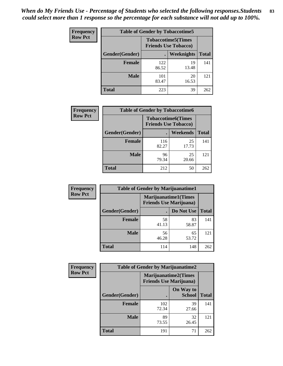| <b>Frequency</b> | <b>Table of Gender by Tobaccotime5</b> |              |                                                          |              |  |
|------------------|----------------------------------------|--------------|----------------------------------------------------------|--------------|--|
| <b>Row Pct</b>   |                                        |              | <b>Tobaccotime5(Times</b><br><b>Friends Use Tobacco)</b> |              |  |
|                  | <b>Gender</b> (Gender)                 |              | <b>Weeknights</b>                                        | <b>Total</b> |  |
|                  | <b>Female</b>                          | 122<br>86.52 | 19<br>13.48                                              | 141          |  |
|                  | <b>Male</b>                            | 101<br>83.47 | 20<br>16.53                                              | 121          |  |
|                  | <b>Total</b>                           | 223          | 39                                                       | 262          |  |

| <b>Frequency</b> |                | <b>Table of Gender by Tobaccotime6</b>                   |             |              |
|------------------|----------------|----------------------------------------------------------|-------------|--------------|
| <b>Row Pct</b>   |                | <b>Tobaccotime6(Times</b><br><b>Friends Use Tobacco)</b> |             |              |
|                  | Gender(Gender) |                                                          | Weekends    | <b>Total</b> |
|                  | Female         | 116<br>82.27                                             | 25<br>17.73 | 141          |
|                  | <b>Male</b>    | 96<br>79.34                                              | 25<br>20.66 | 121          |
|                  | <b>Total</b>   | 212                                                      | 50          | 262          |

| <b>Frequency</b> | <b>Table of Gender by Marijuanatime1</b> |                                |                             |              |  |
|------------------|------------------------------------------|--------------------------------|-----------------------------|--------------|--|
| <b>Row Pct</b>   |                                          | <b>Friends Use Marijuana</b> ) | <b>Marijuanatime1(Times</b> |              |  |
|                  | Gender(Gender)                           |                                | Do Not Use                  | <b>Total</b> |  |
|                  | <b>Female</b>                            | 58<br>41.13                    | 83<br>58.87                 | 141          |  |
|                  | <b>Male</b>                              | 56<br>46.28                    | 65<br>53.72                 | 121          |  |
|                  | <b>Total</b>                             | 114                            | 148                         | 262          |  |

| <b>Frequency</b> | <b>Table of Gender by Marijuanatime2</b> |                                                        |                            |              |
|------------------|------------------------------------------|--------------------------------------------------------|----------------------------|--------------|
| <b>Row Pct</b>   |                                          | Marijuanatime2(Times<br><b>Friends Use Marijuana</b> ) |                            |              |
|                  | Gender(Gender)                           |                                                        | On Way to<br><b>School</b> | <b>Total</b> |
|                  | <b>Female</b>                            | 102<br>72.34                                           | 39<br>27.66                | 141          |
|                  | <b>Male</b>                              | 89<br>73.55                                            | 32<br>26.45                | 121          |
|                  | <b>Total</b>                             | 191                                                    | 71                         | 262          |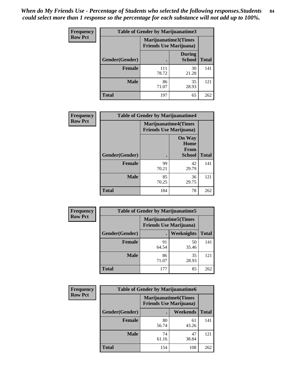*When do My Friends Use - Percentage of Students who selected the following responses.Students could select more than 1 response so the percentage for each substance will not add up to 100%.* **84**

| <b>Frequency</b> | Table of Gender by Marijuanatime3 |                                                        |                                |              |
|------------------|-----------------------------------|--------------------------------------------------------|--------------------------------|--------------|
| <b>Row Pct</b>   |                                   | Marijuanatime3(Times<br><b>Friends Use Marijuana</b> ) |                                |              |
|                  | Gender(Gender)                    |                                                        | <b>During</b><br><b>School</b> | <b>Total</b> |
|                  | <b>Female</b>                     | 111<br>78.72                                           | 30<br>21.28                    | 141          |
|                  | <b>Male</b>                       | 86<br>71.07                                            | 35<br>28.93                    | 121          |
|                  | <b>Total</b>                      | 197                                                    | 65                             | 262          |

| Frequency      | <b>Table of Gender by Marijuanatime4</b> |                                |                                                       |              |
|----------------|------------------------------------------|--------------------------------|-------------------------------------------------------|--------------|
| <b>Row Pct</b> |                                          | <b>Friends Use Marijuana</b> ) | <b>Marijuanatime4</b> (Times                          |              |
|                | Gender(Gender)                           |                                | <b>On Way</b><br>Home<br><b>From</b><br><b>School</b> | <b>Total</b> |
|                | <b>Female</b>                            | 99<br>70.21                    | 42<br>29.79                                           | 141          |
|                | <b>Male</b>                              | 85<br>70.25                    | 36<br>29.75                                           | 121          |
|                | <b>Total</b>                             | 184                            | 78                                                    | 262          |

| Frequency      | <b>Table of Gender by Marijuanatime5</b> |             |                                                                |              |  |
|----------------|------------------------------------------|-------------|----------------------------------------------------------------|--------------|--|
| <b>Row Pct</b> |                                          |             | <b>Marijuanatime5</b> (Times<br><b>Friends Use Marijuana</b> ) |              |  |
|                | Gender(Gender)                           |             | <b>Weeknights</b>                                              | <b>Total</b> |  |
|                | <b>Female</b>                            | 91<br>64.54 | 50<br>35.46                                                    | 141          |  |
|                | <b>Male</b>                              | 86<br>71.07 | 35<br>28.93                                                    | 121          |  |
|                | <b>Total</b>                             | 177         | 85                                                             | 262          |  |

| Frequency      | <b>Table of Gender by Marijuanatime6</b> |                                                               |                 |              |  |
|----------------|------------------------------------------|---------------------------------------------------------------|-----------------|--------------|--|
| <b>Row Pct</b> |                                          | <b>Marijuanatime6(Times</b><br><b>Friends Use Marijuana</b> ) |                 |              |  |
|                | Gender(Gender)                           |                                                               | <b>Weekends</b> | <b>Total</b> |  |
|                | <b>Female</b>                            | 80<br>56.74                                                   | 61<br>43.26     | 141          |  |
|                | <b>Male</b>                              | 74<br>61.16                                                   | 47<br>38.84     | 121          |  |
|                | <b>Total</b>                             | 154                                                           | 108             | 262          |  |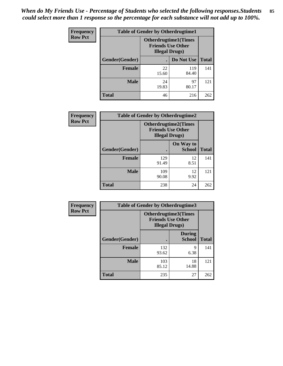*When do My Friends Use - Percentage of Students who selected the following responses.Students could select more than 1 response so the percentage for each substance will not add up to 100%.* **85**

| <b>Frequency</b> | <b>Table of Gender by Otherdrugtime1</b> |                                                    |                             |     |  |
|------------------|------------------------------------------|----------------------------------------------------|-----------------------------|-----|--|
| <b>Row Pct</b>   |                                          | <b>Friends Use Other</b><br><b>Illegal Drugs</b> ) | <b>Otherdrugtime1(Times</b> |     |  |
|                  | Gender(Gender)                           |                                                    | Do Not Use   Total          |     |  |
|                  | <b>Female</b>                            | 22<br>15.60                                        | 119<br>84.40                | 141 |  |
|                  | <b>Male</b>                              | 24<br>19.83                                        | 97<br>80.17                 | 121 |  |
|                  | <b>Total</b>                             | 46                                                 | 216                         | 262 |  |

| Frequency      | <b>Table of Gender by Otherdrugtime2</b> |                                                                                   |                            |              |
|----------------|------------------------------------------|-----------------------------------------------------------------------------------|----------------------------|--------------|
| <b>Row Pct</b> |                                          | <b>Otherdrugtime2(Times</b><br><b>Friends Use Other</b><br><b>Illegal Drugs</b> ) |                            |              |
|                | Gender(Gender)                           |                                                                                   | On Way to<br><b>School</b> | <b>Total</b> |
|                | <b>Female</b>                            | 129<br>91.49                                                                      | 12<br>8.51                 | 141          |
|                | <b>Male</b>                              | 109<br>90.08                                                                      | 12<br>9.92                 | 121          |
|                | <b>Total</b>                             | 238                                                                               | 24                         | 262          |

| Frequency      | <b>Table of Gender by Otherdrugtime3</b> |                        |                                                         |              |
|----------------|------------------------------------------|------------------------|---------------------------------------------------------|--------------|
| <b>Row Pct</b> |                                          | <b>Illegal Drugs</b> ) | <b>Otherdrugtime3(Times</b><br><b>Friends Use Other</b> |              |
|                | Gender(Gender)                           |                        | <b>During</b><br><b>School</b>                          | <b>Total</b> |
|                | <b>Female</b>                            | 132<br>93.62           | 9<br>6.38                                               | 141          |
|                | <b>Male</b>                              | 103<br>85.12           | 18<br>14.88                                             | 121          |
|                | <b>Total</b>                             | 235                    | 27                                                      | 262          |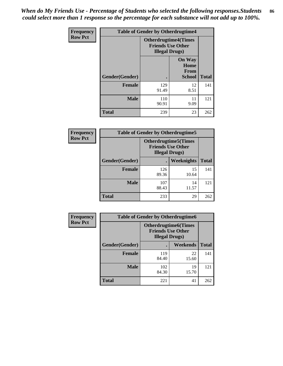*When do My Friends Use - Percentage of Students who selected the following responses.Students could select more than 1 response so the percentage for each substance will not add up to 100%.* **86**

| <b>Frequency</b> | <b>Table of Gender by Otherdrugtime4</b> |                                                    |                                                |              |
|------------------|------------------------------------------|----------------------------------------------------|------------------------------------------------|--------------|
| <b>Row Pct</b>   |                                          | <b>Friends Use Other</b><br><b>Illegal Drugs</b> ) | <b>Otherdrugtime4(Times</b>                    |              |
|                  | Gender(Gender)                           |                                                    | <b>On Way</b><br>Home<br>From<br><b>School</b> | <b>Total</b> |
|                  | <b>Female</b>                            | 129<br>91.49                                       | 12<br>8.51                                     | 141          |
|                  | <b>Male</b>                              | 110<br>90.91                                       | 11<br>9.09                                     | 121          |
|                  | <b>Total</b>                             | 239                                                | 23                                             | 262          |

| Frequency      | <b>Table of Gender by Otherdrugtime5</b> |                                                                                    |             |              |
|----------------|------------------------------------------|------------------------------------------------------------------------------------|-------------|--------------|
| <b>Row Pct</b> |                                          | <b>Otherdrugtime5</b> (Times<br><b>Friends Use Other</b><br><b>Illegal Drugs</b> ) |             |              |
|                | Gender(Gender)                           |                                                                                    | Weeknights  | <b>Total</b> |
|                | Female                                   | 126<br>89.36                                                                       | 15<br>10.64 | 141          |
|                | <b>Male</b>                              | 107<br>88.43                                                                       | 14<br>11.57 | 121          |
|                | <b>Total</b>                             | 233                                                                                | 29          | 262          |

| <b>Frequency</b> | <b>Table of Gender by Otherdrugtime6</b> |                                                                                   |             |              |
|------------------|------------------------------------------|-----------------------------------------------------------------------------------|-------------|--------------|
| <b>Row Pct</b>   |                                          | <b>Otherdrugtime6(Times</b><br><b>Friends Use Other</b><br><b>Illegal Drugs</b> ) |             |              |
|                  | Gender(Gender)                           |                                                                                   | Weekends    | <b>Total</b> |
|                  | <b>Female</b>                            | 119<br>84.40                                                                      | 22<br>15.60 | 141          |
|                  | <b>Male</b>                              | 102<br>84.30                                                                      | 19<br>15.70 | 121          |
|                  | <b>Total</b>                             | 221                                                                               | 41          | 262          |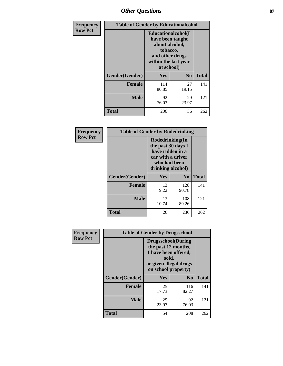## *Other Questions* **87**

| Frequency      | <b>Table of Gender by Educationalcohol</b> |                                                                                                                               |                |              |
|----------------|--------------------------------------------|-------------------------------------------------------------------------------------------------------------------------------|----------------|--------------|
| <b>Row Pct</b> |                                            | Educationalcohol(I<br>have been taught<br>about alcohol,<br>tobacco,<br>and other drugs<br>within the last year<br>at school) |                |              |
|                | Gender(Gender)                             | Yes                                                                                                                           | N <sub>0</sub> | <b>Total</b> |
|                | Female                                     | 114<br>80.85                                                                                                                  | 27<br>19.15    | 141          |
|                | <b>Male</b>                                | 92<br>76.03                                                                                                                   | 29<br>23.97    | 121          |
|                | Total                                      | 206                                                                                                                           | 56             | 262          |

| Frequency      | <b>Table of Gender by Rodedrinking</b>                                                                              |             |              |              |
|----------------|---------------------------------------------------------------------------------------------------------------------|-------------|--------------|--------------|
| <b>Row Pct</b> | Rodedrinking(In<br>the past 30 days I<br>have ridden in a<br>car with a driver<br>who had been<br>drinking alcohol) |             |              |              |
|                | Gender(Gender)                                                                                                      | Yes         | $\bf N_0$    | <b>Total</b> |
|                | <b>Female</b>                                                                                                       | 13<br>9.22  | 128<br>90.78 | 141          |
|                | <b>Male</b>                                                                                                         | 13<br>10.74 | 108<br>89.26 | 121          |
|                | <b>Total</b>                                                                                                        | 26          | 236          | 262          |

| Frequency      | <b>Table of Gender by Drugsschool</b> |                                                                                                                                     |                |              |
|----------------|---------------------------------------|-------------------------------------------------------------------------------------------------------------------------------------|----------------|--------------|
| <b>Row Pct</b> |                                       | <b>Drugsschool</b> (During<br>the past 12 months,<br>I have been offered,<br>sold,<br>or given illegal drugs<br>on school property) |                |              |
|                | Gender(Gender)                        | Yes                                                                                                                                 | N <sub>0</sub> | <b>Total</b> |
|                | <b>Female</b>                         | 25<br>17.73                                                                                                                         | 116<br>82.27   | 141          |
|                | <b>Male</b>                           | 29<br>23.97                                                                                                                         | 92<br>76.03    | 121          |
|                | <b>Total</b>                          | 54                                                                                                                                  | 208            | 262          |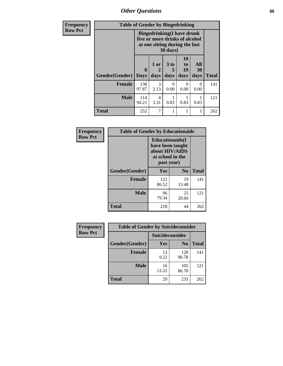*Other Questions* **88**

| Frequency      | <b>Table of Gender by Bingedrinking</b> |                                                                                                                            |                        |                   |                        |                   |              |
|----------------|-----------------------------------------|----------------------------------------------------------------------------------------------------------------------------|------------------------|-------------------|------------------------|-------------------|--------------|
| <b>Row Pct</b> |                                         | <b>Bingedrinking(I have drunk</b><br>five or more drinks of alcohol<br>at one sitting during the last<br>$30 \text{ days}$ |                        |                   |                        |                   |              |
|                | Gender(Gender)                          | $\mathbf{0}$<br><b>Days</b>                                                                                                | 1 or<br>days           | 3 to<br>5<br>days | 10<br>to<br>19<br>days | All<br>30<br>days | <b>Total</b> |
|                | <b>Female</b>                           | 138<br>97.87                                                                                                               | 3<br>2.13              | 0<br>0.00         | $\Omega$<br>0.00       | 0<br>0.00         | 141          |
|                | <b>Male</b>                             | 114<br>94.21                                                                                                               | $\overline{4}$<br>3.31 | 0.83              | 0.83                   | 0.83              | 121          |
|                | <b>Total</b>                            | 252                                                                                                                        |                        |                   |                        |                   | 262          |

| Frequency      | <b>Table of Gender by Educationaids</b> |                                                                                                 |                |              |
|----------------|-----------------------------------------|-------------------------------------------------------------------------------------------------|----------------|--------------|
| <b>Row Pct</b> |                                         | <b>Educationaids</b> (I<br>have been taught<br>about HIV/AIDS<br>at school in the<br>past year) |                |              |
|                | Gender(Gender)                          | Yes                                                                                             | N <sub>0</sub> | <b>Total</b> |
|                | <b>Female</b>                           | 122<br>86.52                                                                                    | 19<br>13.48    | 141          |
|                | <b>Male</b>                             | 96<br>79.34                                                                                     | 25<br>20.66    | 121          |
|                | <b>Total</b>                            | 218                                                                                             | 44             | 262          |

| <b>Frequency</b> | <b>Table of Gender by Suicideconsider</b> |                 |                |              |
|------------------|-------------------------------------------|-----------------|----------------|--------------|
| <b>Row Pct</b>   |                                           | Suicideconsider |                |              |
|                  | Gender(Gender)                            | Yes             | N <sub>0</sub> | <b>Total</b> |
|                  | <b>Female</b>                             | 13<br>9.22      | 128<br>90.78   | 141          |
|                  | <b>Male</b>                               | 16<br>13.22     | 105<br>86.78   | 121          |
|                  | <b>Total</b>                              | 29              | 233            | 262          |